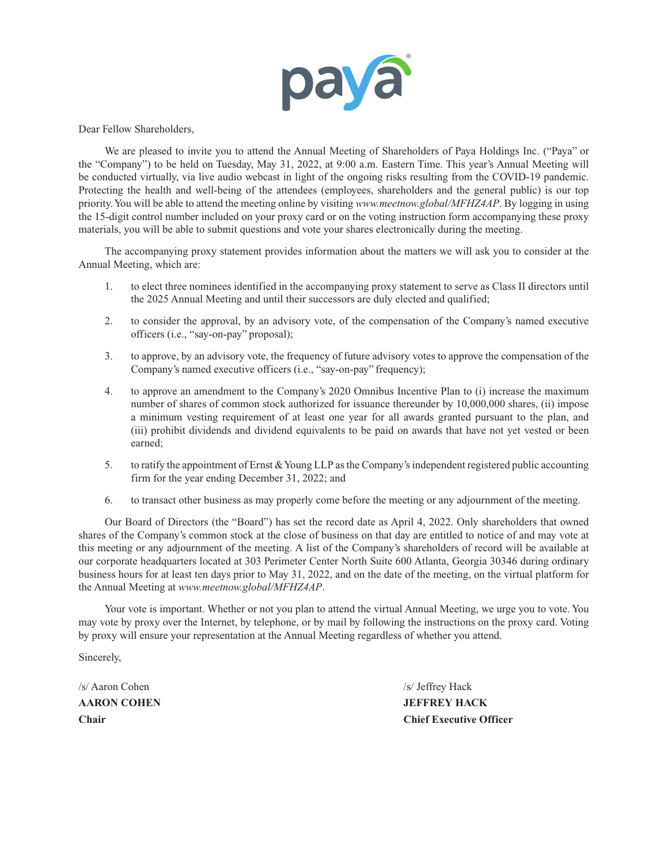

Dear Fellow Shareholders,

We are pleased to invite you to attend the Annual Meeting of Shareholders of Paya Holdings Inc. ("Paya" or the "Company") to be held on Tuesday, May 31, 2022, at 9:00 a.m. Eastern Time. This year's Annual Meeting will be conducted virtually, via live audio webcast in light of the ongoing risks resulting from the COVID-19 pandemic. Protecting the health and well-being of the attendees (employees, shareholders and the general public) is our top priority. You will be able to attend the meeting online by visiting *www.meetnow.global/MFHZ4AP*. By logging in using the 15-digit control number included on your proxy card or on the voting instruction form accompanying these proxy materials, you will be able to submit questions and vote your shares electronically during the meeting.

The accompanying proxy statement provides information about the matters we will ask you to consider at the Annual Meeting, which are:

- 1. to elect three nominees identified in the accompanying proxy statement to serve as Class II directors until the 2025 Annual Meeting and until their successors are duly elected and qualified;
- 2. to consider the approval, by an advisory vote, of the compensation of the Company's named executive officers (i.e., "say-on-pay" proposal);
- 3. to approve, by an advisory vote, the frequency of future advisory votes to approve the compensation of the Company's named executive officers (i.e., "say-on-pay" frequency);
- 4. to approve an amendment to the Company's 2020 Omnibus Incentive Plan to (i) increase the maximum number of shares of common stock authorized for issuance thereunder by 10,000,000 shares, (ii) impose a minimum vesting requirement of at least one year for all awards granted pursuant to the plan, and (iii) prohibit dividends and dividend equivalents to be paid on awards that have not yet vested or been earned;
- 5. to ratify the appointment of Ernst & Young LLP as the Company's independent registered public accounting firm for the year ending December 31, 2022; and
- 6. to transact other business as may properly come before the meeting or any adjournment of the meeting.

Our Board of Directors (the "Board") has set the record date as April 4, 2022. Only shareholders that owned shares of the Company's common stock at the close of business on that day are entitled to notice of and may vote at this meeting or any adjournment of the meeting. A list of the Company's shareholders of record will be available at our corporate headquarters located at 303 Perimeter Center North Suite 600 Atlanta, Georgia 30346 during ordinary business hours for at least ten days prior to May 31, 2022, and on the date of the meeting, on the virtual platform for the Annual Meeting at *www.meetnow.global/MFHZ4AP*.

Your vote is important. Whether or not you plan to attend the virtual Annual Meeting, we urge you to vote. You may vote by proxy over the Internet, by telephone, or by mail by following the instructions on the proxy card. Voting by proxy will ensure your representation at the Annual Meeting regardless of whether you attend.

Sincerely,

/s/ Aaron Cohen /s/ Jeffrey Hack

**AARON COHEN JEFFREY HACK Chair Chair Chair Chair Chief Executive Officer**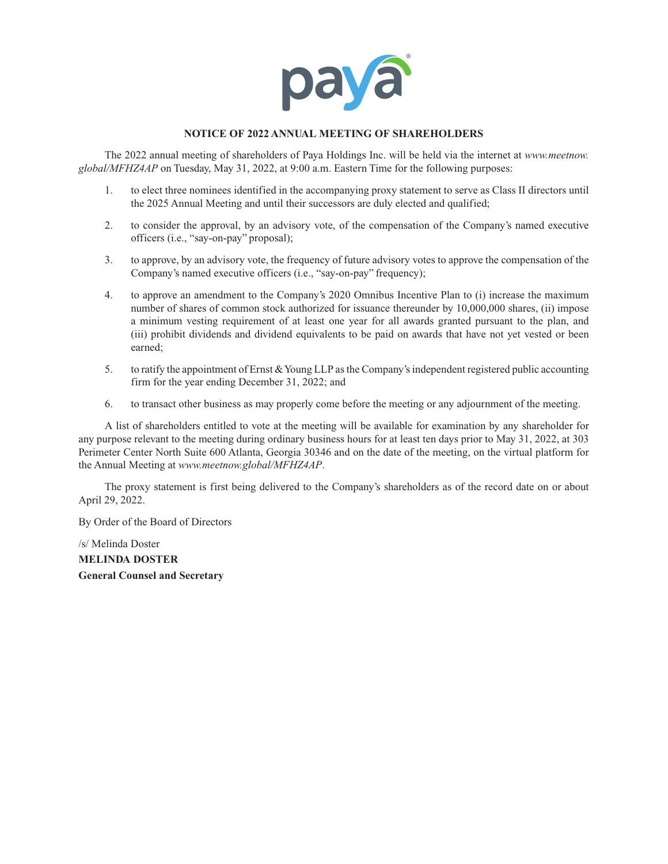

## **NOTICE OF 2022 ANNUAL MEETING OF SHAREHOLDERS**

The 2022 annual meeting of shareholders of Paya Holdings Inc. will be held via the internet at *www.meetnow. global/MFHZ4AP* on Tuesday, May 31, 2022, at 9:00 a.m. Eastern Time for the following purposes:

- 1. to elect three nominees identified in the accompanying proxy statement to serve as Class II directors until the 2025 Annual Meeting and until their successors are duly elected and qualified;
- 2. to consider the approval, by an advisory vote, of the compensation of the Company's named executive officers (i.e., "say-on-pay" proposal);
- 3. to approve, by an advisory vote, the frequency of future advisory votes to approve the compensation of the Company's named executive officers (i.e., "say-on-pay" frequency);
- 4. to approve an amendment to the Company's 2020 Omnibus Incentive Plan to (i) increase the maximum number of shares of common stock authorized for issuance thereunder by 10,000,000 shares, (ii) impose a minimum vesting requirement of at least one year for all awards granted pursuant to the plan, and (iii) prohibit dividends and dividend equivalents to be paid on awards that have not yet vested or been earned;
- 5. to ratify the appointment of Ernst & Young LLP as the Company's independent registered public accounting firm for the year ending December 31, 2022; and
- 6. to transact other business as may properly come before the meeting or any adjournment of the meeting.

A list of shareholders entitled to vote at the meeting will be available for examination by any shareholder for any purpose relevant to the meeting during ordinary business hours for at least ten days prior to May 31, 2022, at 303 Perimeter Center North Suite 600 Atlanta, Georgia 30346 and on the date of the meeting, on the virtual platform for the Annual Meeting at *www.meetnow.global/MFHZ4AP*.

The proxy statement is first being delivered to the Company's shareholders as of the record date on or about April 29, 2022.

By Order of the Board of Directors

/s/ Melinda Doster

**MELINDA DOSTER General Counsel and Secretary**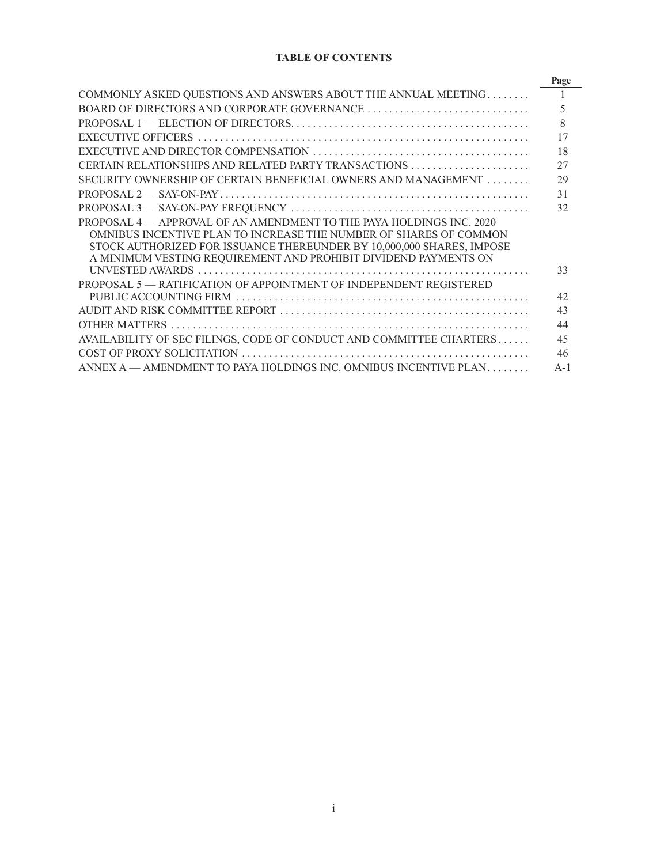# **TABLE OF CONTENTS**

|                                                                                                                                           | Page  |
|-------------------------------------------------------------------------------------------------------------------------------------------|-------|
| COMMONLY ASKED QUESTIONS AND ANSWERS ABOUT THE ANNUAL MEETING                                                                             |       |
|                                                                                                                                           | 5     |
|                                                                                                                                           | 8     |
|                                                                                                                                           | 17    |
|                                                                                                                                           | 18    |
|                                                                                                                                           | 27    |
| SECURITY OWNERSHIP OF CERTAIN BENEFICIAL OWNERS AND MANAGEMENT                                                                            | 29    |
|                                                                                                                                           | 31    |
|                                                                                                                                           | 32    |
| PROPOSAL 4 - APPROVAL OF AN AMENDMENT TO THE PAYA HOLDINGS INC. 2020<br>OMNIBUS INCENTIVE PLAN TO INCREASE THE NUMBER OF SHARES OF COMMON |       |
| STOCK AUTHORIZED FOR ISSUANCE THEREUNDER BY 10,000,000 SHARES, IMPOSE<br>A MINIMUM VESTING REQUIREMENT AND PROHIBIT DIVIDEND PAYMENTS ON  |       |
|                                                                                                                                           | 33    |
| PROPOSAL 5 - RATIFICATION OF APPOINTMENT OF INDEPENDENT REGISTERED                                                                        | 42    |
|                                                                                                                                           | 43    |
|                                                                                                                                           | 44    |
| AVAILABILITY OF SEC FILINGS, CODE OF CONDUCT AND COMMITTEE CHARTERS                                                                       | 45    |
|                                                                                                                                           | 46    |
| ANNEX A — AMENDMENT TO PAYA HOLDINGS INC. OMNIBUS INCENTIVE PLAN                                                                          | $A-1$ |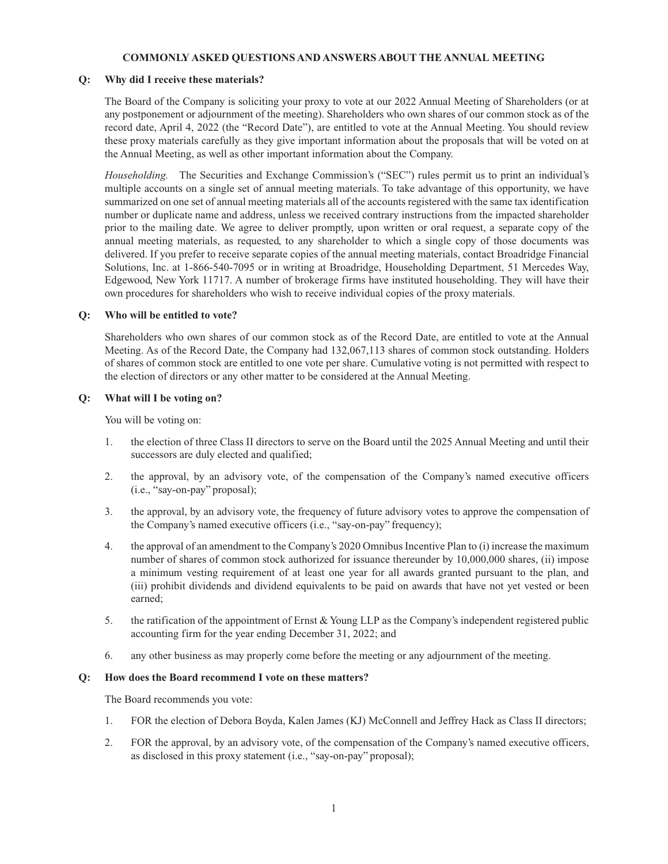## **COMMONLY ASKED QUESTIONS AND ANSWERS ABOUT THE ANNUAL MEETING**

## **Q: Why did I receive these materials?**

The Board of the Company is soliciting your proxy to vote at our 2022 Annual Meeting of Shareholders (or at any postponement or adjournment of the meeting). Shareholders who own shares of our common stock as of the record date, April 4, 2022 (the "Record Date"), are entitled to vote at the Annual Meeting. You should review these proxy materials carefully as they give important information about the proposals that will be voted on at the Annual Meeting, as well as other important information about the Company.

*Householding.* The Securities and Exchange Commission's ("SEC") rules permit us to print an individual's multiple accounts on a single set of annual meeting materials. To take advantage of this opportunity, we have summarized on one set of annual meeting materials all of the accounts registered with the same tax identification number or duplicate name and address, unless we received contrary instructions from the impacted shareholder prior to the mailing date. We agree to deliver promptly, upon written or oral request, a separate copy of the annual meeting materials, as requested, to any shareholder to which a single copy of those documents was delivered. If you prefer to receive separate copies of the annual meeting materials, contact Broadridge Financial Solutions, Inc. at 1-866-540-7095 or in writing at Broadridge, Householding Department, 51 Mercedes Way, Edgewood, New York 11717. A number of brokerage firms have instituted householding. They will have their own procedures for shareholders who wish to receive individual copies of the proxy materials.

## **Q: Who will be entitled to vote?**

Shareholders who own shares of our common stock as of the Record Date, are entitled to vote at the Annual Meeting. As of the Record Date, the Company had 132,067,113 shares of common stock outstanding. Holders of shares of common stock are entitled to one vote per share. Cumulative voting is not permitted with respect to the election of directors or any other matter to be considered at the Annual Meeting.

## **Q: What will I be voting on?**

You will be voting on:

- 1. the election of three Class II directors to serve on the Board until the 2025 Annual Meeting and until their successors are duly elected and qualified;
- 2. the approval, by an advisory vote, of the compensation of the Company's named executive officers (i.e., "say-on-pay" proposal);
- 3. the approval, by an advisory vote, the frequency of future advisory votes to approve the compensation of the Company's named executive officers (i.e., "say-on-pay" frequency);
- 4. the approval of an amendment to the Company's 2020 Omnibus Incentive Plan to (i) increase the maximum number of shares of common stock authorized for issuance thereunder by 10,000,000 shares, (ii) impose a minimum vesting requirement of at least one year for all awards granted pursuant to the plan, and (iii) prohibit dividends and dividend equivalents to be paid on awards that have not yet vested or been earned;
- 5. the ratification of the appointment of Ernst & Young LLP as the Company's independent registered public accounting firm for the year ending December 31, 2022; and
- 6. any other business as may properly come before the meeting or any adjournment of the meeting.

## **Q: How does the Board recommend I vote on these matters?**

The Board recommends you vote:

- 1. FOR the election of Debora Boyda, Kalen James (KJ) McConnell and Jeffrey Hack as Class II directors;
- 2. FOR the approval, by an advisory vote, of the compensation of the Company's named executive officers, as disclosed in this proxy statement (i.e., "say-on-pay" proposal);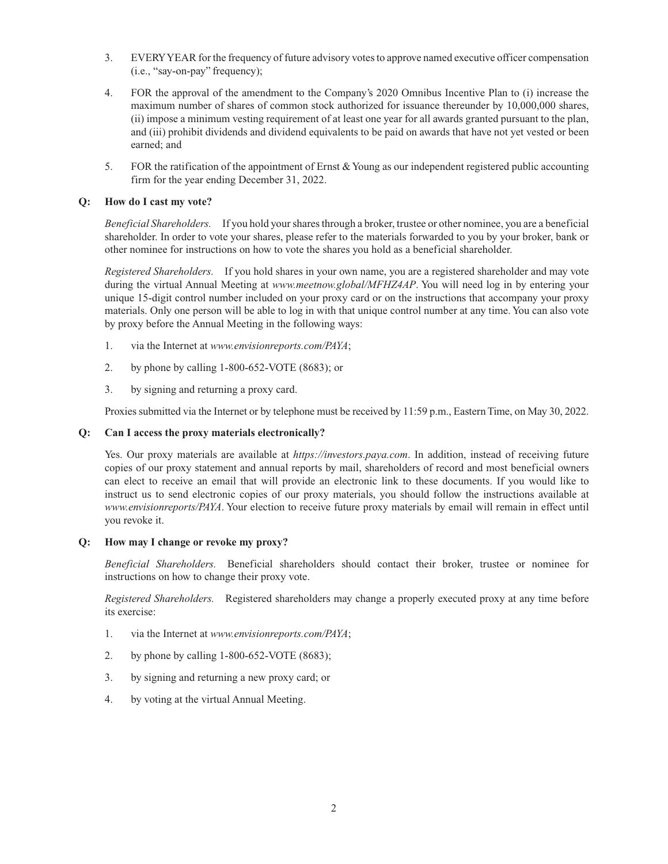- 3. EVERY YEAR for the frequency of future advisory votes to approve named executive officer compensation (i.e., "say-on-pay" frequency);
- 4. FOR the approval of the amendment to the Company's 2020 Omnibus Incentive Plan to (i) increase the maximum number of shares of common stock authorized for issuance thereunder by 10,000,000 shares, (ii) impose a minimum vesting requirement of at least one year for all awards granted pursuant to the plan, and (iii) prohibit dividends and dividend equivalents to be paid on awards that have not yet vested or been earned; and
- 5. FOR the ratification of the appointment of Ernst & Young as our independent registered public accounting firm for the year ending December 31, 2022.

## **Q: How do I cast my vote?**

*Beneficial Shareholders.* If you hold your shares through a broker, trustee or other nominee, you are a beneficial shareholder. In order to vote your shares, please refer to the materials forwarded to you by your broker, bank or other nominee for instructions on how to vote the shares you hold as a beneficial shareholder.

*Registered Shareholders.* If you hold shares in your own name, you are a registered shareholder and may vote during the virtual Annual Meeting at *www.meetnow.global/MFHZ4AP*. You will need log in by entering your unique 15-digit control number included on your proxy card or on the instructions that accompany your proxy materials. Only one person will be able to log in with that unique control number at any time. You can also vote by proxy before the Annual Meeting in the following ways:

- 1. via the Internet at *www.envisionreports.com/PAYA*;
- 2. by phone by calling 1-800-652-VOTE (8683); or
- 3. by signing and returning a proxy card.

Proxies submitted via the Internet or by telephone must be received by 11:59 p.m., Eastern Time, on May 30, 2022.

### **Q: Can I access the proxy materials electronically?**

Yes. Our proxy materials are available at *https://investors.paya.com*. In addition, instead of receiving future copies of our proxy statement and annual reports by mail, shareholders of record and most beneficial owners can elect to receive an email that will provide an electronic link to these documents. If you would like to instruct us to send electronic copies of our proxy materials, you should follow the instructions available at *www.envisionreports/PAYA*. Your election to receive future proxy materials by email will remain in effect until you revoke it.

### **Q: How may I change or revoke my proxy?**

*Beneficial Shareholders.* Beneficial shareholders should contact their broker, trustee or nominee for instructions on how to change their proxy vote.

*Registered Shareholders.* Registered shareholders may change a properly executed proxy at any time before its exercise:

- 1. via the Internet at *www.envisionreports.com/PAYA*;
- 2. by phone by calling 1-800-652-VOTE (8683);
- 3. by signing and returning a new proxy card; or
- 4. by voting at the virtual Annual Meeting.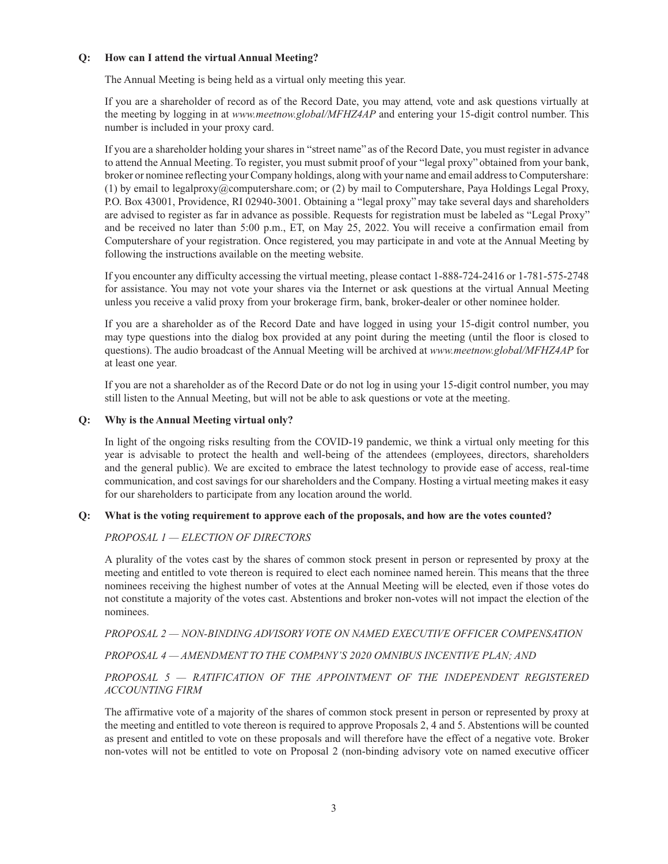## **Q: How can I attend the virtual Annual Meeting?**

The Annual Meeting is being held as a virtual only meeting this year.

If you are a shareholder of record as of the Record Date, you may attend, vote and ask questions virtually at the meeting by logging in at *www.meetnow.global/MFHZ4AP* and entering your 15-digit control number. This number is included in your proxy card.

If you are a shareholder holding your shares in "street name" as of the Record Date, you must register in advance to attend the Annual Meeting. To register, you must submit proof of your "legal proxy" obtained from your bank, broker or nominee reflecting your Company holdings, along with your name and email address to Computershare: (1) by email to legalproxy@computershare.com; or (2) by mail to Computershare, Paya Holdings Legal Proxy, P.O. Box 43001, Providence, RI 02940-3001. Obtaining a "legal proxy" may take several days and shareholders are advised to register as far in advance as possible. Requests for registration must be labeled as "Legal Proxy" and be received no later than 5:00 p.m., ET, on May 25, 2022. You will receive a confirmation email from Computershare of your registration. Once registered, you may participate in and vote at the Annual Meeting by following the instructions available on the meeting website.

If you encounter any difficulty accessing the virtual meeting, please contact 1-888-724-2416 or 1-781-575-2748 for assistance. You may not vote your shares via the Internet or ask questions at the virtual Annual Meeting unless you receive a valid proxy from your brokerage firm, bank, broker-dealer or other nominee holder.

If you are a shareholder as of the Record Date and have logged in using your 15-digit control number, you may type questions into the dialog box provided at any point during the meeting (until the floor is closed to questions). The audio broadcast of the Annual Meeting will be archived at *www.meetnow.global/MFHZ4AP* for at least one year.

If you are not a shareholder as of the Record Date or do not log in using your 15-digit control number, you may still listen to the Annual Meeting, but will not be able to ask questions or vote at the meeting.

## **Q: Why is the Annual Meeting virtual only?**

In light of the ongoing risks resulting from the COVID-19 pandemic, we think a virtual only meeting for this year is advisable to protect the health and well-being of the attendees (employees, directors, shareholders and the general public). We are excited to embrace the latest technology to provide ease of access, real-time communication, and cost savings for our shareholders and the Company. Hosting a virtual meeting makes it easy for our shareholders to participate from any location around the world.

### **Q: What is the voting requirement to approve each of the proposals, and how are the votes counted?**

## *PROPOSAL 1 — ELECTION OF DIRECTORS*

A plurality of the votes cast by the shares of common stock present in person or represented by proxy at the meeting and entitled to vote thereon is required to elect each nominee named herein. This means that the three nominees receiving the highest number of votes at the Annual Meeting will be elected, even if those votes do not constitute a majority of the votes cast. Abstentions and broker non-votes will not impact the election of the nominees.

*PROPOSAL 2 — NON-BINDING ADVISORY VOTE ON NAMED EXECUTIVE OFFICER COMPENSATION* 

*PROPOSAL 4 — AMENDMENT TO THE COMPANY'S 2020 OMNIBUS INCENTIVE PLAN; AND*

# *PROPOSAL 5 — RATIFICATION OF THE APPOINTMENT OF THE INDEPENDENT REGISTERED ACCOUNTING FIRM*

The affirmative vote of a majority of the shares of common stock present in person or represented by proxy at the meeting and entitled to vote thereon is required to approve Proposals 2, 4 and 5. Abstentions will be counted as present and entitled to vote on these proposals and will therefore have the effect of a negative vote. Broker non-votes will not be entitled to vote on Proposal 2 (non-binding advisory vote on named executive officer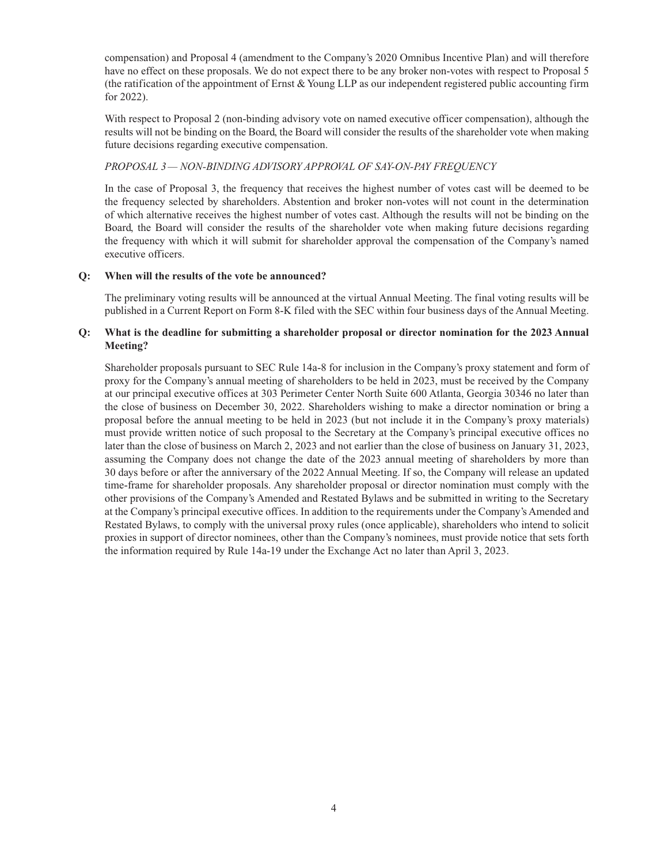compensation) and Proposal 4 (amendment to the Company's 2020 Omnibus Incentive Plan) and will therefore have no effect on these proposals. We do not expect there to be any broker non-votes with respect to Proposal 5 (the ratification of the appointment of Ernst & Young LLP as our independent registered public accounting firm for 2022).

With respect to Proposal 2 (non-binding advisory vote on named executive officer compensation), although the results will not be binding on the Board, the Board will consider the results of the shareholder vote when making future decisions regarding executive compensation.

## *PROPOSAL 3— NON-BINDING ADVISORY APPROVAL OF SAY-ON-PAY FREQUENCY*

In the case of Proposal 3, the frequency that receives the highest number of votes cast will be deemed to be the frequency selected by shareholders. Abstention and broker non-votes will not count in the determination of which alternative receives the highest number of votes cast. Although the results will not be binding on the Board, the Board will consider the results of the shareholder vote when making future decisions regarding the frequency with which it will submit for shareholder approval the compensation of the Company's named executive officers.

## **Q: When will the results of the vote be announced?**

The preliminary voting results will be announced at the virtual Annual Meeting. The final voting results will be published in a Current Report on Form 8-K filed with the SEC within four business days of the Annual Meeting.

## **Q: What is the deadline for submitting a shareholder proposal or director nomination for the 2023 Annual Meeting?**

Shareholder proposals pursuant to SEC Rule 14a-8 for inclusion in the Company's proxy statement and form of proxy for the Company's annual meeting of shareholders to be held in 2023, must be received by the Company at our principal executive offices at 303 Perimeter Center North Suite 600 Atlanta, Georgia 30346 no later than the close of business on December 30, 2022. Shareholders wishing to make a director nomination or bring a proposal before the annual meeting to be held in 2023 (but not include it in the Company's proxy materials) must provide written notice of such proposal to the Secretary at the Company's principal executive offices no later than the close of business on March 2, 2023 and not earlier than the close of business on January 31, 2023, assuming the Company does not change the date of the 2023 annual meeting of shareholders by more than 30 days before or after the anniversary of the 2022 Annual Meeting. If so, the Company will release an updated time-frame for shareholder proposals. Any shareholder proposal or director nomination must comply with the other provisions of the Company's Amended and Restated Bylaws and be submitted in writing to the Secretary at the Company's principal executive offices. In addition to the requirements under the Company's Amended and Restated Bylaws, to comply with the universal proxy rules (once applicable), shareholders who intend to solicit proxies in support of director nominees, other than the Company's nominees, must provide notice that sets forth the information required by Rule 14a-19 under the Exchange Act no later than April 3, 2023.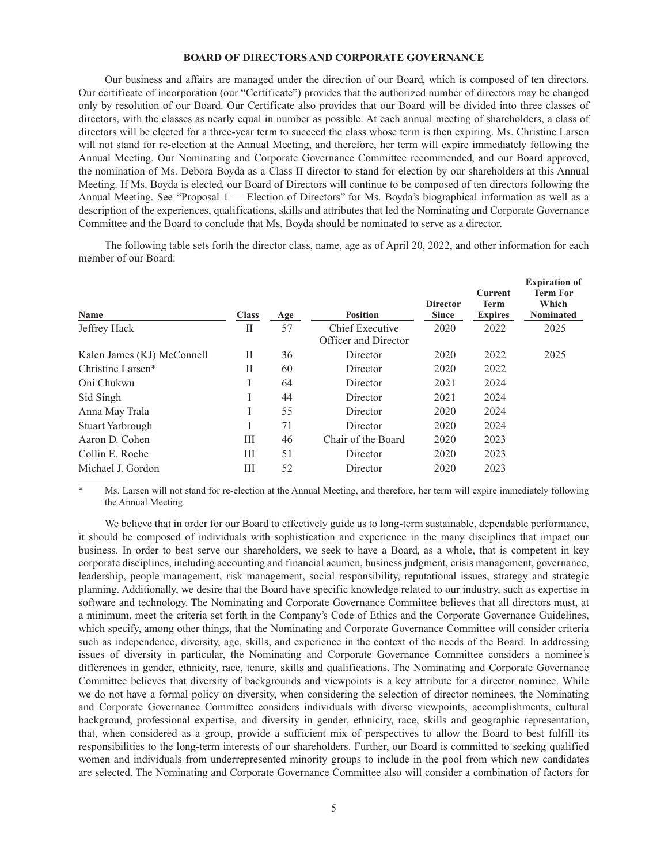### **BOARD OF DIRECTORS AND CORPORATE GOVERNANCE**

Our business and affairs are managed under the direction of our Board, which is composed of ten directors. Our certificate of incorporation (our "Certificate") provides that the authorized number of directors may be changed only by resolution of our Board. Our Certificate also provides that our Board will be divided into three classes of directors, with the classes as nearly equal in number as possible. At each annual meeting of shareholders, a class of directors will be elected for a three-year term to succeed the class whose term is then expiring. Ms. Christine Larsen will not stand for re-election at the Annual Meeting, and therefore, her term will expire immediately following the Annual Meeting. Our Nominating and Corporate Governance Committee recommended, and our Board approved, the nomination of Ms. Debora Boyda as a Class II director to stand for election by our shareholders at this Annual Meeting. If Ms. Boyda is elected, our Board of Directors will continue to be composed of ten directors following the Annual Meeting. See "Proposal 1 — Election of Directors" for Ms. Boyda's biographical information as well as a description of the experiences, qualifications, skills and attributes that led the Nominating and Corporate Governance Committee and the Board to conclude that Ms. Boyda should be nominated to serve as a director.

The following table sets forth the director class, name, age as of April 20, 2022, and other information for each member of our Board:

| Name                       | <b>Class</b> | Age | <b>Position</b>                                | <b>Director</b><br><b>Since</b> | <b>Current</b><br><b>Term</b><br><b>Expires</b> | <b>Expiration of</b><br><b>Term For</b><br>Which<br><b>Nominated</b> |
|----------------------------|--------------|-----|------------------------------------------------|---------------------------------|-------------------------------------------------|----------------------------------------------------------------------|
| Jeffrey Hack               | П            | 57  | <b>Chief Executive</b><br>Officer and Director | 2020                            | 2022                                            | 2025                                                                 |
| Kalen James (KJ) McConnell | П            | 36  | Director                                       | 2020                            | 2022                                            | 2025                                                                 |
| Christine Larsen*          | Н            | 60  | Director                                       | 2020                            | 2022                                            |                                                                      |
| Oni Chukwu                 | I            | 64  | Director                                       | 2021                            | 2024                                            |                                                                      |
| Sid Singh                  | I            | 44  | Director                                       | 2021                            | 2024                                            |                                                                      |
| Anna May Trala             |              | 55  | Director                                       | 2020                            | 2024                                            |                                                                      |
| Stuart Yarbrough           |              | 71  | Director                                       | 2020                            | 2024                                            |                                                                      |
| Aaron D. Cohen             | Ш            | 46  | Chair of the Board                             | 2020                            | 2023                                            |                                                                      |
| Collin E. Roche            | Ш            | 51  | Director                                       | 2020                            | 2023                                            |                                                                      |
| Michael J. Gordon          | Ш            | 52  | Director                                       | 2020                            | 2023                                            |                                                                      |
|                            |              |     |                                                |                                 |                                                 |                                                                      |

Ms. Larsen will not stand for re-election at the Annual Meeting, and therefore, her term will expire immediately following the Annual Meeting.

We believe that in order for our Board to effectively guide us to long-term sustainable, dependable performance, it should be composed of individuals with sophistication and experience in the many disciplines that impact our business. In order to best serve our shareholders, we seek to have a Board, as a whole, that is competent in key corporate disciplines, including accounting and financial acumen, business judgment, crisis management, governance, leadership, people management, risk management, social responsibility, reputational issues, strategy and strategic planning. Additionally, we desire that the Board have specific knowledge related to our industry, such as expertise in software and technology. The Nominating and Corporate Governance Committee believes that all directors must, at a minimum, meet the criteria set forth in the Company's Code of Ethics and the Corporate Governance Guidelines, which specify, among other things, that the Nominating and Corporate Governance Committee will consider criteria such as independence, diversity, age, skills, and experience in the context of the needs of the Board. In addressing issues of diversity in particular, the Nominating and Corporate Governance Committee considers a nominee's differences in gender, ethnicity, race, tenure, skills and qualifications. The Nominating and Corporate Governance Committee believes that diversity of backgrounds and viewpoints is a key attribute for a director nominee. While we do not have a formal policy on diversity, when considering the selection of director nominees, the Nominating and Corporate Governance Committee considers individuals with diverse viewpoints, accomplishments, cultural background, professional expertise, and diversity in gender, ethnicity, race, skills and geographic representation, that, when considered as a group, provide a sufficient mix of perspectives to allow the Board to best fulfill its responsibilities to the long-term interests of our shareholders. Further, our Board is committed to seeking qualified women and individuals from underrepresented minority groups to include in the pool from which new candidates are selected. The Nominating and Corporate Governance Committee also will consider a combination of factors for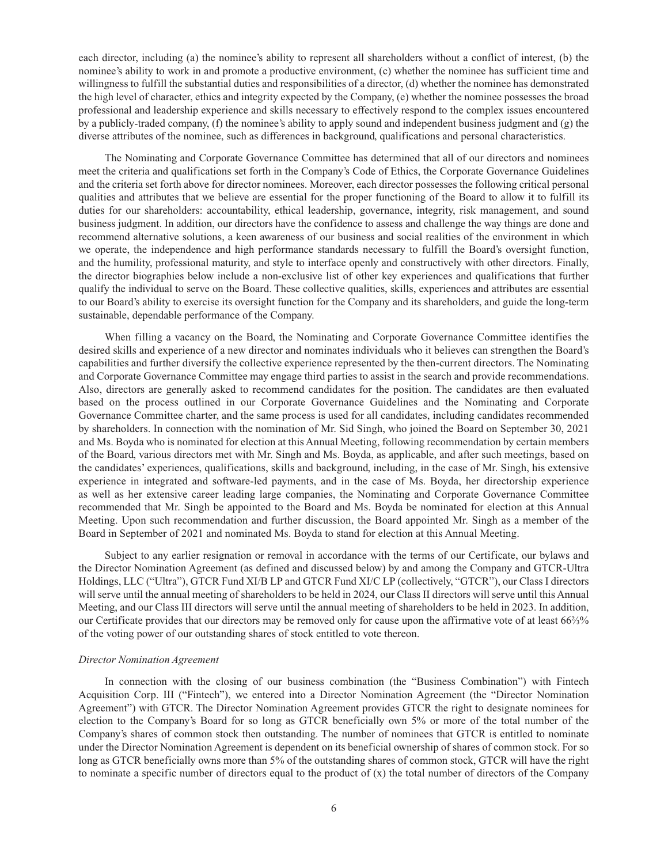each director, including (a) the nominee's ability to represent all shareholders without a conflict of interest, (b) the nominee's ability to work in and promote a productive environment, (c) whether the nominee has sufficient time and willingness to fulfill the substantial duties and responsibilities of a director, (d) whether the nominee has demonstrated the high level of character, ethics and integrity expected by the Company, (e) whether the nominee possesses the broad professional and leadership experience and skills necessary to effectively respond to the complex issues encountered by a publicly-traded company, (f) the nominee's ability to apply sound and independent business judgment and (g) the diverse attributes of the nominee, such as differences in background, qualifications and personal characteristics.

The Nominating and Corporate Governance Committee has determined that all of our directors and nominees meet the criteria and qualifications set forth in the Company's Code of Ethics, the Corporate Governance Guidelines and the criteria set forth above for director nominees. Moreover, each director possesses the following critical personal qualities and attributes that we believe are essential for the proper functioning of the Board to allow it to fulfill its duties for our shareholders: accountability, ethical leadership, governance, integrity, risk management, and sound business judgment. In addition, our directors have the confidence to assess and challenge the way things are done and recommend alternative solutions, a keen awareness of our business and social realities of the environment in which we operate, the independence and high performance standards necessary to fulfill the Board's oversight function, and the humility, professional maturity, and style to interface openly and constructively with other directors. Finally, the director biographies below include a non-exclusive list of other key experiences and qualifications that further qualify the individual to serve on the Board. These collective qualities, skills, experiences and attributes are essential to our Board's ability to exercise its oversight function for the Company and its shareholders, and guide the long-term sustainable, dependable performance of the Company.

When filling a vacancy on the Board, the Nominating and Corporate Governance Committee identifies the desired skills and experience of a new director and nominates individuals who it believes can strengthen the Board's capabilities and further diversify the collective experience represented by the then-current directors. The Nominating and Corporate Governance Committee may engage third parties to assist in the search and provide recommendations. Also, directors are generally asked to recommend candidates for the position. The candidates are then evaluated based on the process outlined in our Corporate Governance Guidelines and the Nominating and Corporate Governance Committee charter, and the same process is used for all candidates, including candidates recommended by shareholders. In connection with the nomination of Mr. Sid Singh, who joined the Board on September 30, 2021 and Ms. Boyda who is nominated for election at this Annual Meeting, following recommendation by certain members of the Board, various directors met with Mr. Singh and Ms. Boyda, as applicable, and after such meetings, based on the candidates' experiences, qualifications, skills and background, including, in the case of Mr. Singh, his extensive experience in integrated and software-led payments, and in the case of Ms. Boyda, her directorship experience as well as her extensive career leading large companies, the Nominating and Corporate Governance Committee recommended that Mr. Singh be appointed to the Board and Ms. Boyda be nominated for election at this Annual Meeting. Upon such recommendation and further discussion, the Board appointed Mr. Singh as a member of the Board in September of 2021 and nominated Ms. Boyda to stand for election at this Annual Meeting.

Subject to any earlier resignation or removal in accordance with the terms of our Certificate, our bylaws and the Director Nomination Agreement (as defined and discussed below) by and among the Company and GTCR-Ultra Holdings, LLC ("Ultra"), GTCR Fund XI/B LP and GTCR Fund XI/C LP (collectively, "GTCR"), our Class I directors will serve until the annual meeting of shareholders to be held in 2024, our Class II directors will serve until this Annual Meeting, and our Class III directors will serve until the annual meeting of shareholders to be held in 2023. In addition, our Certificate provides that our directors may be removed only for cause upon the affirmative vote of at least 66⅔% of the voting power of our outstanding shares of stock entitled to vote thereon.

#### *Director Nomination Agreement*

In connection with the closing of our business combination (the "Business Combination") with Fintech Acquisition Corp. III ("Fintech"), we entered into a Director Nomination Agreement (the "Director Nomination Agreement") with GTCR. The Director Nomination Agreement provides GTCR the right to designate nominees for election to the Company's Board for so long as GTCR beneficially own 5% or more of the total number of the Company's shares of common stock then outstanding. The number of nominees that GTCR is entitled to nominate under the Director Nomination Agreement is dependent on its beneficial ownership of shares of common stock. For so long as GTCR beneficially owns more than 5% of the outstanding shares of common stock, GTCR will have the right to nominate a specific number of directors equal to the product of  $(x)$  the total number of directors of the Company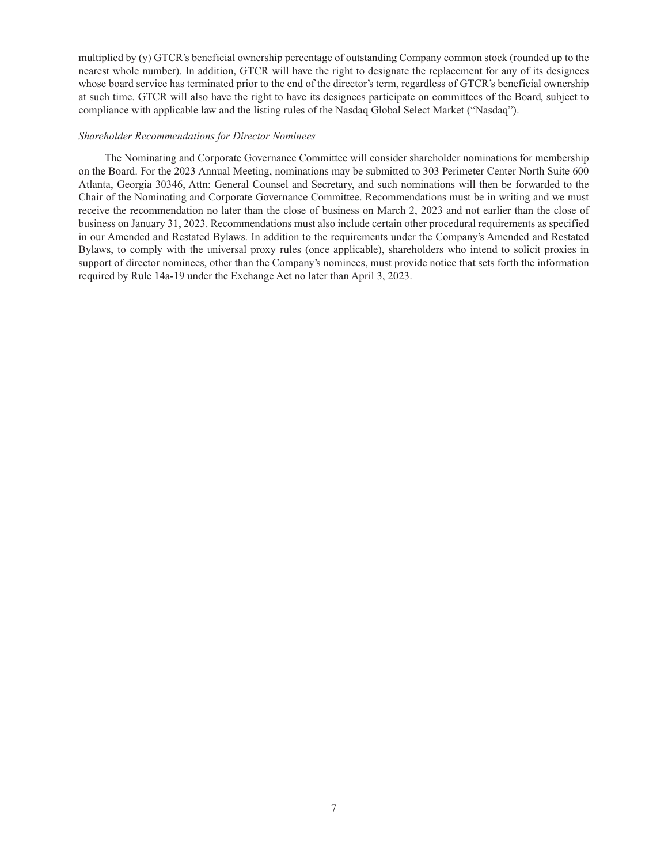multiplied by (y) GTCR's beneficial ownership percentage of outstanding Company common stock (rounded up to the nearest whole number). In addition, GTCR will have the right to designate the replacement for any of its designees whose board service has terminated prior to the end of the director's term, regardless of GTCR's beneficial ownership at such time. GTCR will also have the right to have its designees participate on committees of the Board, subject to compliance with applicable law and the listing rules of the Nasdaq Global Select Market ("Nasdaq").

#### *Shareholder Recommendations for Director Nominees*

The Nominating and Corporate Governance Committee will consider shareholder nominations for membership on the Board. For the 2023 Annual Meeting, nominations may be submitted to 303 Perimeter Center North Suite 600 Atlanta, Georgia 30346, Attn: General Counsel and Secretary, and such nominations will then be forwarded to the Chair of the Nominating and Corporate Governance Committee. Recommendations must be in writing and we must receive the recommendation no later than the close of business on March 2, 2023 and not earlier than the close of business on January 31, 2023. Recommendations must also include certain other procedural requirements as specified in our Amended and Restated Bylaws. In addition to the requirements under the Company's Amended and Restated Bylaws, to comply with the universal proxy rules (once applicable), shareholders who intend to solicit proxies in support of director nominees, other than the Company's nominees, must provide notice that sets forth the information required by Rule 14a-19 under the Exchange Act no later than April 3, 2023.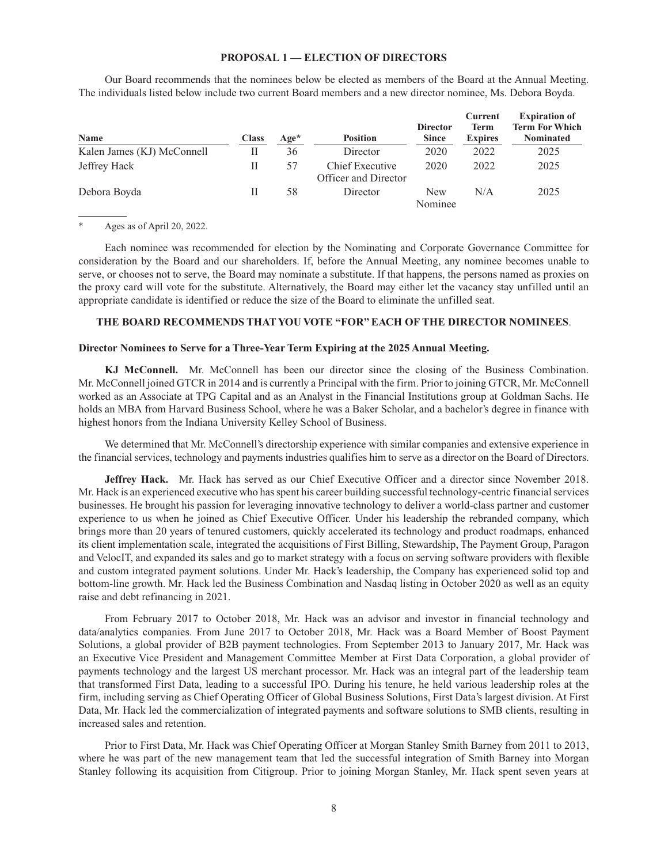#### **PROPOSAL 1 — ELECTION OF DIRECTORS**

Our Board recommends that the nominees below be elected as members of the Board at the Annual Meeting. The individuals listed below include two current Board members and a new director nominee, Ms. Debora Boyda.

| Name                       | <b>Class</b> | $Age*$ | <b>Position</b>                         | <b>Director</b><br><b>Since</b> | <b>Current</b><br>Term<br><b>Expires</b> | <b>Expiration of</b><br><b>Term For Which</b><br><b>Nominated</b> |
|----------------------------|--------------|--------|-----------------------------------------|---------------------------------|------------------------------------------|-------------------------------------------------------------------|
| Kalen James (KJ) McConnell | Н            | 36     | Director                                | 2020                            | 2022                                     | 2025                                                              |
| Jeffrey Hack               | Н            | 57     | Chief Executive<br>Officer and Director | 2020                            | 2022                                     | 2025                                                              |
| Debora Boyda               | Н            | 58     | Director                                | <b>New</b><br>Nominee           | N/A                                      | 2025                                                              |

Ages as of April 20, 2022.

Each nominee was recommended for election by the Nominating and Corporate Governance Committee for consideration by the Board and our shareholders. If, before the Annual Meeting, any nominee becomes unable to serve, or chooses not to serve, the Board may nominate a substitute. If that happens, the persons named as proxies on the proxy card will vote for the substitute. Alternatively, the Board may either let the vacancy stay unfilled until an appropriate candidate is identified or reduce the size of the Board to eliminate the unfilled seat.

## **THE BOARD RECOMMENDS THAT YOU VOTE "FOR" EACH OF THE DIRECTOR NOMINEES**.

#### **Director Nominees to Serve for a Three-Year Term Expiring at the 2025 Annual Meeting.**

**KJ McConnell.** Mr. McConnell has been our director since the closing of the Business Combination. Mr. McConnell joined GTCR in 2014 and is currently a Principal with the firm. Prior to joining GTCR, Mr. McConnell worked as an Associate at TPG Capital and as an Analyst in the Financial Institutions group at Goldman Sachs. He holds an MBA from Harvard Business School, where he was a Baker Scholar, and a bachelor's degree in finance with highest honors from the Indiana University Kelley School of Business.

We determined that Mr. McConnell's directorship experience with similar companies and extensive experience in the financial services, technology and payments industries qualifies him to serve as a director on the Board of Directors.

**Jeffrey Hack.** Mr. Hack has served as our Chief Executive Officer and a director since November 2018. Mr. Hack is an experienced executive who has spent his career building successful technology-centric financial services businesses. He brought his passion for leveraging innovative technology to deliver a world-class partner and customer experience to us when he joined as Chief Executive Officer. Under his leadership the rebranded company, which brings more than 20 years of tenured customers, quickly accelerated its technology and product roadmaps, enhanced its client implementation scale, integrated the acquisitions of First Billing, Stewardship, The Payment Group, Paragon and VelocIT, and expanded its sales and go to market strategy with a focus on serving software providers with flexible and custom integrated payment solutions. Under Mr. Hack's leadership, the Company has experienced solid top and bottom-line growth. Mr. Hack led the Business Combination and Nasdaq listing in October 2020 as well as an equity raise and debt refinancing in 2021.

From February 2017 to October 2018, Mr. Hack was an advisor and investor in financial technology and data/analytics companies. From June 2017 to October 2018, Mr. Hack was a Board Member of Boost Payment Solutions, a global provider of B2B payment technologies. From September 2013 to January 2017, Mr. Hack was an Executive Vice President and Management Committee Member at First Data Corporation, a global provider of payments technology and the largest US merchant processor. Mr. Hack was an integral part of the leadership team that transformed First Data, leading to a successful IPO. During his tenure, he held various leadership roles at the firm, including serving as Chief Operating Officer of Global Business Solutions, First Data's largest division. At First Data, Mr. Hack led the commercialization of integrated payments and software solutions to SMB clients, resulting in increased sales and retention.

Prior to First Data, Mr. Hack was Chief Operating Officer at Morgan Stanley Smith Barney from 2011 to 2013, where he was part of the new management team that led the successful integration of Smith Barney into Morgan Stanley following its acquisition from Citigroup. Prior to joining Morgan Stanley, Mr. Hack spent seven years at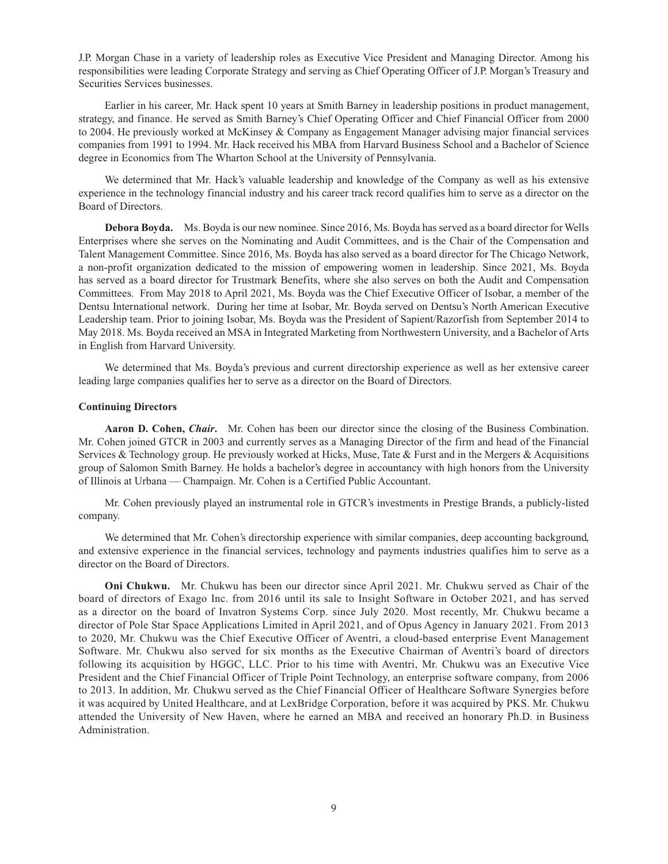J.P. Morgan Chase in a variety of leadership roles as Executive Vice President and Managing Director. Among his responsibilities were leading Corporate Strategy and serving as Chief Operating Officer of J.P. Morgan's Treasury and Securities Services businesses.

Earlier in his career, Mr. Hack spent 10 years at Smith Barney in leadership positions in product management, strategy, and finance. He served as Smith Barney's Chief Operating Officer and Chief Financial Officer from 2000 to 2004. He previously worked at McKinsey & Company as Engagement Manager advising major financial services companies from 1991 to 1994. Mr. Hack received his MBA from Harvard Business School and a Bachelor of Science degree in Economics from The Wharton School at the University of Pennsylvania.

We determined that Mr. Hack's valuable leadership and knowledge of the Company as well as his extensive experience in the technology financial industry and his career track record qualifies him to serve as a director on the Board of Directors.

**Debora Boyda.** Ms. Boyda is our new nominee. Since 2016, Ms. Boyda has served as a board director for Wells Enterprises where she serves on the Nominating and Audit Committees, and is the Chair of the Compensation and Talent Management Committee. Since 2016, Ms. Boyda has also served as a board director for The Chicago Network, a non-profit organization dedicated to the mission of empowering women in leadership. Since 2021, Ms. Boyda has served as a board director for Trustmark Benefits, where she also serves on both the Audit and Compensation Committees. From May 2018 to April 2021, Ms. Boyda was the Chief Executive Officer of Isobar, a member of the Dentsu International network. During her time at Isobar, Mr. Boyda served on Dentsu's North American Executive Leadership team. Prior to joining Isobar, Ms. Boyda was the President of Sapient/Razorfish from September 2014 to May 2018. Ms. Boyda received an MSA in Integrated Marketing from Northwestern University, and a Bachelor of Arts in English from Harvard University.

We determined that Ms. Boyda's previous and current directorship experience as well as her extensive career leading large companies qualifies her to serve as a director on the Board of Directors.

### **Continuing Directors**

**Aaron D. Cohen,** *Chair***.** Mr. Cohen has been our director since the closing of the Business Combination. Mr. Cohen joined GTCR in 2003 and currently serves as a Managing Director of the firm and head of the Financial Services & Technology group. He previously worked at Hicks, Muse, Tate & Furst and in the Mergers & Acquisitions group of Salomon Smith Barney. He holds a bachelor's degree in accountancy with high honors from the University of Illinois at Urbana — Champaign. Mr. Cohen is a Certified Public Accountant.

Mr. Cohen previously played an instrumental role in GTCR's investments in Prestige Brands, a publicly-listed company.

We determined that Mr. Cohen's directorship experience with similar companies, deep accounting background, and extensive experience in the financial services, technology and payments industries qualifies him to serve as a director on the Board of Directors.

**Oni Chukwu.** Mr. Chukwu has been our director since April 2021. Mr. Chukwu served as Chair of the board of directors of Exago Inc. from 2016 until its sale to Insight Software in October 2021, and has served as a director on the board of Invatron Systems Corp. since July 2020. Most recently, Mr. Chukwu became a director of Pole Star Space Applications Limited in April 2021, and of Opus Agency in January 2021. From 2013 to 2020, Mr. Chukwu was the Chief Executive Officer of Aventri, a cloud-based enterprise Event Management Software. Mr. Chukwu also served for six months as the Executive Chairman of Aventri's board of directors following its acquisition by HGGC, LLC. Prior to his time with Aventri, Mr. Chukwu was an Executive Vice President and the Chief Financial Officer of Triple Point Technology, an enterprise software company, from 2006 to 2013. In addition, Mr. Chukwu served as the Chief Financial Officer of Healthcare Software Synergies before it was acquired by United Healthcare, and at LexBridge Corporation, before it was acquired by PKS. Mr. Chukwu attended the University of New Haven, where he earned an MBA and received an honorary Ph.D. in Business Administration.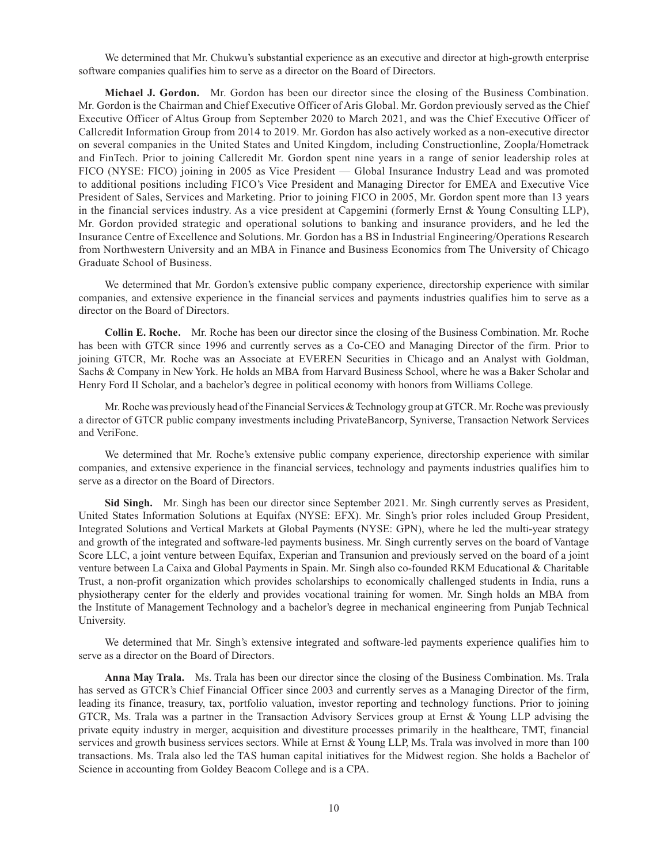We determined that Mr. Chukwu's substantial experience as an executive and director at high-growth enterprise software companies qualifies him to serve as a director on the Board of Directors.

**Michael J. Gordon.** Mr. Gordon has been our director since the closing of the Business Combination. Mr. Gordon is the Chairman and Chief Executive Officer of Aris Global. Mr. Gordon previously served as the Chief Executive Officer of Altus Group from September 2020 to March 2021, and was the Chief Executive Officer of Callcredit Information Group from 2014 to 2019. Mr. Gordon has also actively worked as a non-executive director on several companies in the United States and United Kingdom, including Constructionline, Zoopla/Hometrack and FinTech. Prior to joining Callcredit Mr. Gordon spent nine years in a range of senior leadership roles at FICO (NYSE: FICO) joining in 2005 as Vice President — Global Insurance Industry Lead and was promoted to additional positions including FICO's Vice President and Managing Director for EMEA and Executive Vice President of Sales, Services and Marketing. Prior to joining FICO in 2005, Mr. Gordon spent more than 13 years in the financial services industry. As a vice president at Capgemini (formerly Ernst & Young Consulting LLP), Mr. Gordon provided strategic and operational solutions to banking and insurance providers, and he led the Insurance Centre of Excellence and Solutions. Mr. Gordon has a BS in Industrial Engineering/Operations Research from Northwestern University and an MBA in Finance and Business Economics from The University of Chicago Graduate School of Business.

We determined that Mr. Gordon's extensive public company experience, directorship experience with similar companies, and extensive experience in the financial services and payments industries qualifies him to serve as a director on the Board of Directors.

**Collin E. Roche.** Mr. Roche has been our director since the closing of the Business Combination. Mr. Roche has been with GTCR since 1996 and currently serves as a Co-CEO and Managing Director of the firm. Prior to joining GTCR, Mr. Roche was an Associate at EVEREN Securities in Chicago and an Analyst with Goldman, Sachs & Company in New York. He holds an MBA from Harvard Business School, where he was a Baker Scholar and Henry Ford II Scholar, and a bachelor's degree in political economy with honors from Williams College.

Mr. Roche was previously head of the Financial Services & Technology group at GTCR. Mr. Roche was previously a director of GTCR public company investments including PrivateBancorp, Syniverse, Transaction Network Services and VeriFone.

We determined that Mr. Roche's extensive public company experience, directorship experience with similar companies, and extensive experience in the financial services, technology and payments industries qualifies him to serve as a director on the Board of Directors.

**Sid Singh.** Mr. Singh has been our director since September 2021. Mr. Singh currently serves as President, United States Information Solutions at Equifax (NYSE: EFX). Mr. Singh's prior roles included Group President, Integrated Solutions and Vertical Markets at Global Payments (NYSE: GPN), where he led the multi-year strategy and growth of the integrated and software-led payments business. Mr. Singh currently serves on the board of Vantage Score LLC, a joint venture between Equifax, Experian and Transunion and previously served on the board of a joint venture between La Caixa and Global Payments in Spain. Mr. Singh also co-founded RKM Educational & Charitable Trust, a non-profit organization which provides scholarships to economically challenged students in India, runs a physiotherapy center for the elderly and provides vocational training for women. Mr. Singh holds an MBA from the Institute of Management Technology and a bachelor's degree in mechanical engineering from Punjab Technical University.

We determined that Mr. Singh's extensive integrated and software-led payments experience qualifies him to serve as a director on the Board of Directors.

**Anna May Trala.** Ms. Trala has been our director since the closing of the Business Combination. Ms. Trala has served as GTCR's Chief Financial Officer since 2003 and currently serves as a Managing Director of the firm, leading its finance, treasury, tax, portfolio valuation, investor reporting and technology functions. Prior to joining GTCR, Ms. Trala was a partner in the Transaction Advisory Services group at Ernst & Young LLP advising the private equity industry in merger, acquisition and divestiture processes primarily in the healthcare, TMT, financial services and growth business services sectors. While at Ernst & Young LLP, Ms. Trala was involved in more than 100 transactions. Ms. Trala also led the TAS human capital initiatives for the Midwest region. She holds a Bachelor of Science in accounting from Goldey Beacom College and is a CPA.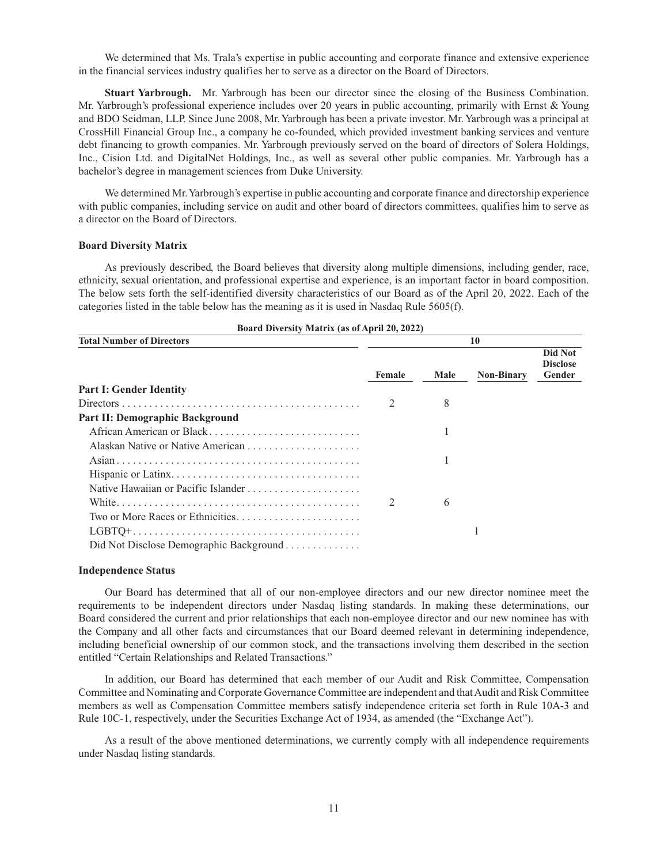We determined that Ms. Trala's expertise in public accounting and corporate finance and extensive experience in the financial services industry qualifies her to serve as a director on the Board of Directors.

**Stuart Yarbrough.** Mr. Yarbrough has been our director since the closing of the Business Combination. Mr. Yarbrough's professional experience includes over 20 years in public accounting, primarily with Ernst & Young and BDO Seidman, LLP. Since June 2008, Mr. Yarbrough has been a private investor. Mr. Yarbrough was a principal at CrossHill Financial Group Inc., a company he co-founded, which provided investment banking services and venture debt financing to growth companies. Mr. Yarbrough previously served on the board of directors of Solera Holdings, Inc., Cision Ltd. and DigitalNet Holdings, Inc., as well as several other public companies. Mr. Yarbrough has a bachelor's degree in management sciences from Duke University.

We determined Mr. Yarbrough's expertise in public accounting and corporate finance and directorship experience with public companies, including service on audit and other board of directors committees, qualifies him to serve as a director on the Board of Directors.

### **Board Diversity Matrix**

As previously described, the Board believes that diversity along multiple dimensions, including gender, race, ethnicity, sexual orientation, and professional expertise and experience, is an important factor in board composition. The below sets forth the self-identified diversity characteristics of our Board as of the April 20, 2022. Each of the categories listed in the table below has the meaning as it is used in Nasdaq Rule 5605(f).

| <b>Total Number of Directors</b>        | 10     |      |                   |                                      |  |  |  |  |
|-----------------------------------------|--------|------|-------------------|--------------------------------------|--|--|--|--|
|                                         | Female | Male | <b>Non-Binary</b> | Did Not<br><b>Disclose</b><br>Gender |  |  |  |  |
| <b>Part I: Gender Identity</b>          |        |      |                   |                                      |  |  |  |  |
|                                         |        | 8    |                   |                                      |  |  |  |  |
| Part II: Demographic Background         |        |      |                   |                                      |  |  |  |  |
| African American or Black               |        |      |                   |                                      |  |  |  |  |
|                                         |        |      |                   |                                      |  |  |  |  |
|                                         |        |      |                   |                                      |  |  |  |  |
|                                         |        |      |                   |                                      |  |  |  |  |
|                                         |        |      |                   |                                      |  |  |  |  |
|                                         |        | 6    |                   |                                      |  |  |  |  |
|                                         |        |      |                   |                                      |  |  |  |  |
|                                         |        |      |                   |                                      |  |  |  |  |
| Did Not Disclose Demographic Background |        |      |                   |                                      |  |  |  |  |

|  | Board Diversity Matrix (as of April 20, 2022) |  |  |  |
|--|-----------------------------------------------|--|--|--|
|--|-----------------------------------------------|--|--|--|

#### **Independence Status**

Our Board has determined that all of our non-employee directors and our new director nominee meet the requirements to be independent directors under Nasdaq listing standards. In making these determinations, our Board considered the current and prior relationships that each non-employee director and our new nominee has with the Company and all other facts and circumstances that our Board deemed relevant in determining independence, including beneficial ownership of our common stock, and the transactions involving them described in the section entitled "Certain Relationships and Related Transactions."

In addition, our Board has determined that each member of our Audit and Risk Committee, Compensation Committee and Nominating and Corporate Governance Committee are independent and that Audit and Risk Committee members as well as Compensation Committee members satisfy independence criteria set forth in Rule 10A-3 and Rule 10C-1, respectively, under the Securities Exchange Act of 1934, as amended (the "Exchange Act").

As a result of the above mentioned determinations, we currently comply with all independence requirements under Nasdaq listing standards.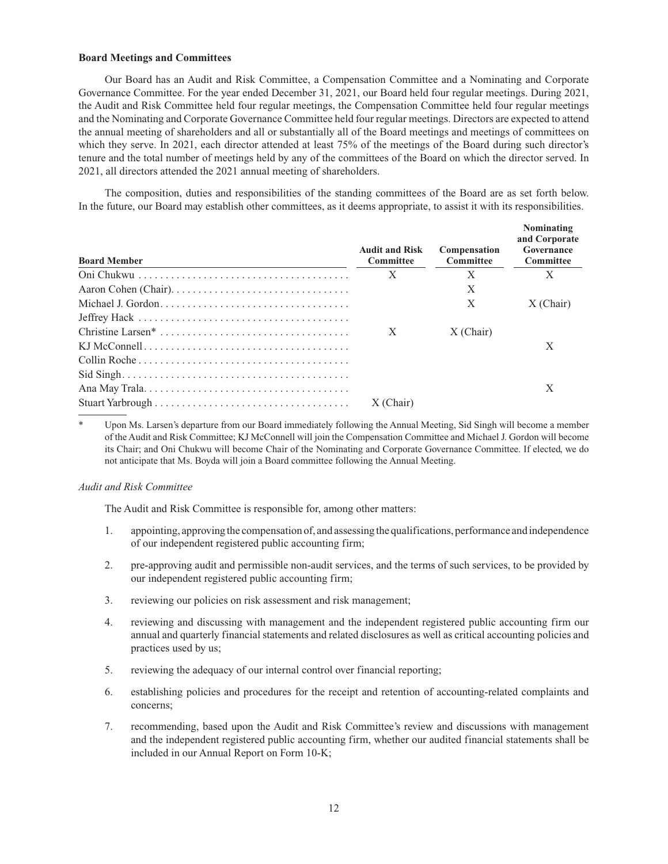### **Board Meetings and Committees**

Our Board has an Audit and Risk Committee, a Compensation Committee and a Nominating and Corporate Governance Committee. For the year ended December 31, 2021, our Board held four regular meetings. During 2021, the Audit and Risk Committee held four regular meetings, the Compensation Committee held four regular meetings and the Nominating and Corporate Governance Committee held four regular meetings. Directors are expected to attend the annual meeting of shareholders and all or substantially all of the Board meetings and meetings of committees on which they serve. In 2021, each director attended at least 75% of the meetings of the Board during such director's tenure and the total number of meetings held by any of the committees of the Board on which the director served. In 2021, all directors attended the 2021 annual meeting of shareholders.

The composition, duties and responsibilities of the standing committees of the Board are as set forth below. In the future, our Board may establish other committees, as it deems appropriate, to assist it with its responsibilities.

| <b>Board Member</b> | <b>Audit and Risk</b><br>Committee | Compensation<br><b>Committee</b> | Nominating<br>and Corporate<br>Governance<br>Committee |
|---------------------|------------------------------------|----------------------------------|--------------------------------------------------------|
|                     | X                                  | X                                |                                                        |
|                     |                                    | X                                |                                                        |
|                     |                                    | X                                | $X$ (Chair)                                            |
|                     |                                    |                                  |                                                        |
|                     | X                                  | $X$ (Chair)                      |                                                        |
|                     |                                    |                                  | X                                                      |
|                     |                                    |                                  |                                                        |
|                     |                                    |                                  |                                                        |
|                     |                                    |                                  | X                                                      |
|                     | $X$ (Chair)                        |                                  |                                                        |

Upon Ms. Larsen's departure from our Board immediately following the Annual Meeting, Sid Singh will become a member of the Audit and Risk Committee; KJ McConnell will join the Compensation Committee and Michael J. Gordon will become its Chair; and Oni Chukwu will become Chair of the Nominating and Corporate Governance Committee. If elected, we do not anticipate that Ms. Boyda will join a Board committee following the Annual Meeting.

#### *Audit and Risk Committee*

The Audit and Risk Committee is responsible for, among other matters:

- 1. appointing, approving the compensation of, and assessing the qualifications, performance and independence of our independent registered public accounting firm;
- 2. pre-approving audit and permissible non-audit services, and the terms of such services, to be provided by our independent registered public accounting firm;
- 3. reviewing our policies on risk assessment and risk management;
- 4. reviewing and discussing with management and the independent registered public accounting firm our annual and quarterly financial statements and related disclosures as well as critical accounting policies and practices used by us;
- 5. reviewing the adequacy of our internal control over financial reporting;
- 6. establishing policies and procedures for the receipt and retention of accounting-related complaints and concerns;
- 7. recommending, based upon the Audit and Risk Committee's review and discussions with management and the independent registered public accounting firm, whether our audited financial statements shall be included in our Annual Report on Form 10-K;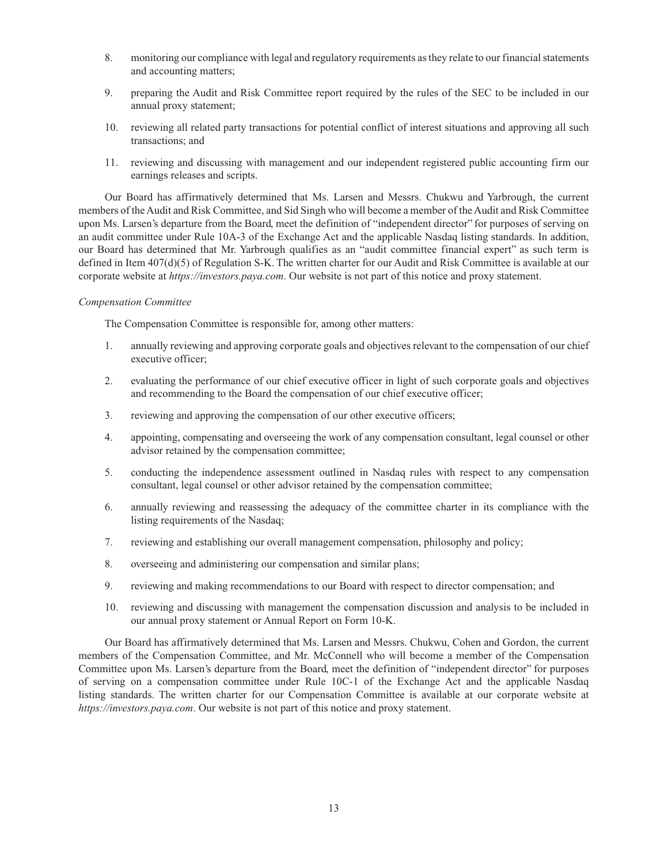- 8. monitoring our compliance with legal and regulatory requirements as they relate to our financial statements and accounting matters;
- 9. preparing the Audit and Risk Committee report required by the rules of the SEC to be included in our annual proxy statement;
- 10. reviewing all related party transactions for potential conflict of interest situations and approving all such transactions; and
- 11. reviewing and discussing with management and our independent registered public accounting firm our earnings releases and scripts.

Our Board has affirmatively determined that Ms. Larsen and Messrs. Chukwu and Yarbrough, the current members of the Audit and Risk Committee, and Sid Singh who will become a member of the Audit and Risk Committee upon Ms. Larsen's departure from the Board, meet the definition of "independent director" for purposes of serving on an audit committee under Rule 10A-3 of the Exchange Act and the applicable Nasdaq listing standards. In addition, our Board has determined that Mr. Yarbrough qualifies as an "audit committee financial expert" as such term is defined in Item 407(d)(5) of Regulation S-K. The written charter for our Audit and Risk Committee is available at our corporate website at *https://investors.paya.com*. Our website is not part of this notice and proxy statement.

### *Compensation Committee*

The Compensation Committee is responsible for, among other matters:

- 1. annually reviewing and approving corporate goals and objectives relevant to the compensation of our chief executive officer;
- 2. evaluating the performance of our chief executive officer in light of such corporate goals and objectives and recommending to the Board the compensation of our chief executive officer;
- 3. reviewing and approving the compensation of our other executive officers;
- 4. appointing, compensating and overseeing the work of any compensation consultant, legal counsel or other advisor retained by the compensation committee;
- 5. conducting the independence assessment outlined in Nasdaq rules with respect to any compensation consultant, legal counsel or other advisor retained by the compensation committee;
- 6. annually reviewing and reassessing the adequacy of the committee charter in its compliance with the listing requirements of the Nasdaq;
- 7. reviewing and establishing our overall management compensation, philosophy and policy;
- 8. overseeing and administering our compensation and similar plans;
- 9. reviewing and making recommendations to our Board with respect to director compensation; and
- 10. reviewing and discussing with management the compensation discussion and analysis to be included in our annual proxy statement or Annual Report on Form 10-K.

Our Board has affirmatively determined that Ms. Larsen and Messrs. Chukwu, Cohen and Gordon, the current members of the Compensation Committee, and Mr. McConnell who will become a member of the Compensation Committee upon Ms. Larsen's departure from the Board, meet the definition of "independent director" for purposes of serving on a compensation committee under Rule 10C-1 of the Exchange Act and the applicable Nasdaq listing standards. The written charter for our Compensation Committee is available at our corporate website at *https://investors.paya.com*. Our website is not part of this notice and proxy statement.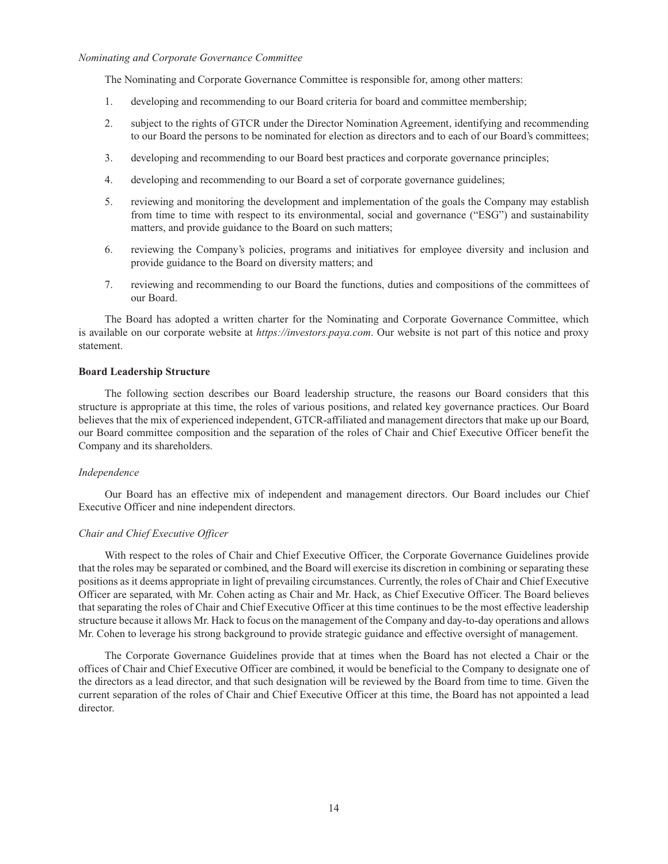### *Nominating and Corporate Governance Committee*

The Nominating and Corporate Governance Committee is responsible for, among other matters:

- 1. developing and recommending to our Board criteria for board and committee membership;
- 2. subject to the rights of GTCR under the Director Nomination Agreement, identifying and recommending to our Board the persons to be nominated for election as directors and to each of our Board's committees;
- 3. developing and recommending to our Board best practices and corporate governance principles;
- 4. developing and recommending to our Board a set of corporate governance guidelines;
- 5. reviewing and monitoring the development and implementation of the goals the Company may establish from time to time with respect to its environmental, social and governance ("ESG") and sustainability matters, and provide guidance to the Board on such matters;
- 6. reviewing the Company's policies, programs and initiatives for employee diversity and inclusion and provide guidance to the Board on diversity matters; and
- 7. reviewing and recommending to our Board the functions, duties and compositions of the committees of our Board.

The Board has adopted a written charter for the Nominating and Corporate Governance Committee, which is available on our corporate website at *https://investors.paya.com*. Our website is not part of this notice and proxy statement.

#### **Board Leadership Structure**

The following section describes our Board leadership structure, the reasons our Board considers that this structure is appropriate at this time, the roles of various positions, and related key governance practices. Our Board believes that the mix of experienced independent, GTCR-affiliated and management directors that make up our Board, our Board committee composition and the separation of the roles of Chair and Chief Executive Officer benefit the Company and its shareholders.

### *Independence*

Our Board has an effective mix of independent and management directors. Our Board includes our Chief Executive Officer and nine independent directors.

## *Chair and Chief Executive Officer*

With respect to the roles of Chair and Chief Executive Officer, the Corporate Governance Guidelines provide that the roles may be separated or combined, and the Board will exercise its discretion in combining or separating these positions as it deems appropriate in light of prevailing circumstances. Currently, the roles of Chair and Chief Executive Officer are separated, with Mr. Cohen acting as Chair and Mr. Hack, as Chief Executive Officer. The Board believes that separating the roles of Chair and Chief Executive Officer at this time continues to be the most effective leadership structure because it allows Mr. Hack to focus on the management of the Company and day-to-day operations and allows Mr. Cohen to leverage his strong background to provide strategic guidance and effective oversight of management.

The Corporate Governance Guidelines provide that at times when the Board has not elected a Chair or the offices of Chair and Chief Executive Officer are combined, it would be beneficial to the Company to designate one of the directors as a lead director, and that such designation will be reviewed by the Board from time to time. Given the current separation of the roles of Chair and Chief Executive Officer at this time, the Board has not appointed a lead director.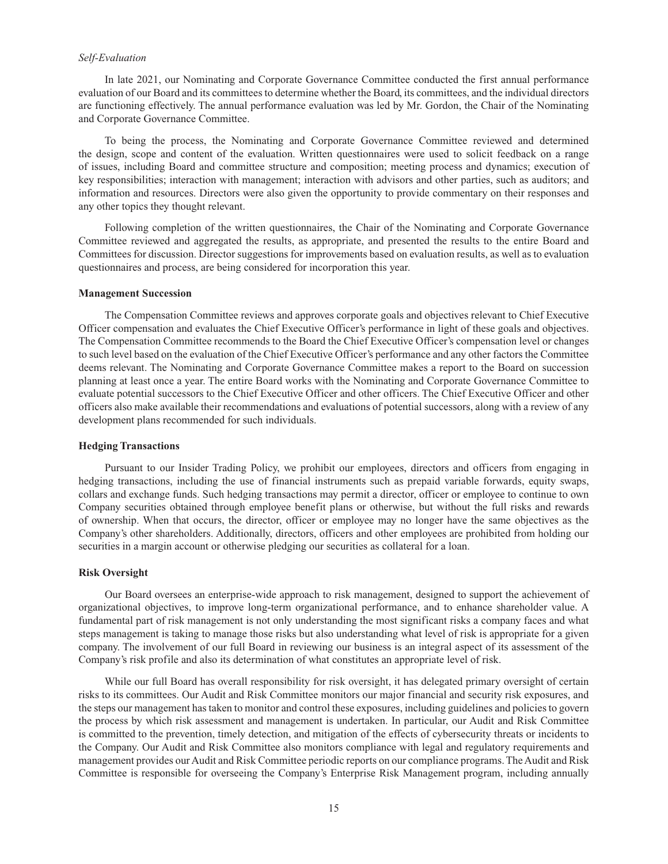### *Self-Evaluation*

In late 2021, our Nominating and Corporate Governance Committee conducted the first annual performance evaluation of our Board and its committees to determine whether the Board, its committees, and the individual directors are functioning effectively. The annual performance evaluation was led by Mr. Gordon, the Chair of the Nominating and Corporate Governance Committee.

To being the process, the Nominating and Corporate Governance Committee reviewed and determined the design, scope and content of the evaluation. Written questionnaires were used to solicit feedback on a range of issues, including Board and committee structure and composition; meeting process and dynamics; execution of key responsibilities; interaction with management; interaction with advisors and other parties, such as auditors; and information and resources. Directors were also given the opportunity to provide commentary on their responses and any other topics they thought relevant.

Following completion of the written questionnaires, the Chair of the Nominating and Corporate Governance Committee reviewed and aggregated the results, as appropriate, and presented the results to the entire Board and Committees for discussion. Director suggestions for improvements based on evaluation results, as well as to evaluation questionnaires and process, are being considered for incorporation this year.

#### **Management Succession**

The Compensation Committee reviews and approves corporate goals and objectives relevant to Chief Executive Officer compensation and evaluates the Chief Executive Officer's performance in light of these goals and objectives. The Compensation Committee recommends to the Board the Chief Executive Officer's compensation level or changes to such level based on the evaluation of the Chief Executive Officer's performance and any other factors the Committee deems relevant. The Nominating and Corporate Governance Committee makes a report to the Board on succession planning at least once a year. The entire Board works with the Nominating and Corporate Governance Committee to evaluate potential successors to the Chief Executive Officer and other officers. The Chief Executive Officer and other officers also make available their recommendations and evaluations of potential successors, along with a review of any development plans recommended for such individuals.

#### **Hedging Transactions**

Pursuant to our Insider Trading Policy, we prohibit our employees, directors and officers from engaging in hedging transactions, including the use of financial instruments such as prepaid variable forwards, equity swaps, collars and exchange funds. Such hedging transactions may permit a director, officer or employee to continue to own Company securities obtained through employee benefit plans or otherwise, but without the full risks and rewards of ownership. When that occurs, the director, officer or employee may no longer have the same objectives as the Company's other shareholders. Additionally, directors, officers and other employees are prohibited from holding our securities in a margin account or otherwise pledging our securities as collateral for a loan.

#### **Risk Oversight**

Our Board oversees an enterprise-wide approach to risk management, designed to support the achievement of organizational objectives, to improve long-term organizational performance, and to enhance shareholder value. A fundamental part of risk management is not only understanding the most significant risks a company faces and what steps management is taking to manage those risks but also understanding what level of risk is appropriate for a given company. The involvement of our full Board in reviewing our business is an integral aspect of its assessment of the Company's risk profile and also its determination of what constitutes an appropriate level of risk.

While our full Board has overall responsibility for risk oversight, it has delegated primary oversight of certain risks to its committees. Our Audit and Risk Committee monitors our major financial and security risk exposures, and the steps our management has taken to monitor and control these exposures, including guidelines and policies to govern the process by which risk assessment and management is undertaken. In particular, our Audit and Risk Committee is committed to the prevention, timely detection, and mitigation of the effects of cybersecurity threats or incidents to the Company. Our Audit and Risk Committee also monitors compliance with legal and regulatory requirements and management provides our Audit and Risk Committee periodic reports on our compliance programs. The Audit and Risk Committee is responsible for overseeing the Company's Enterprise Risk Management program, including annually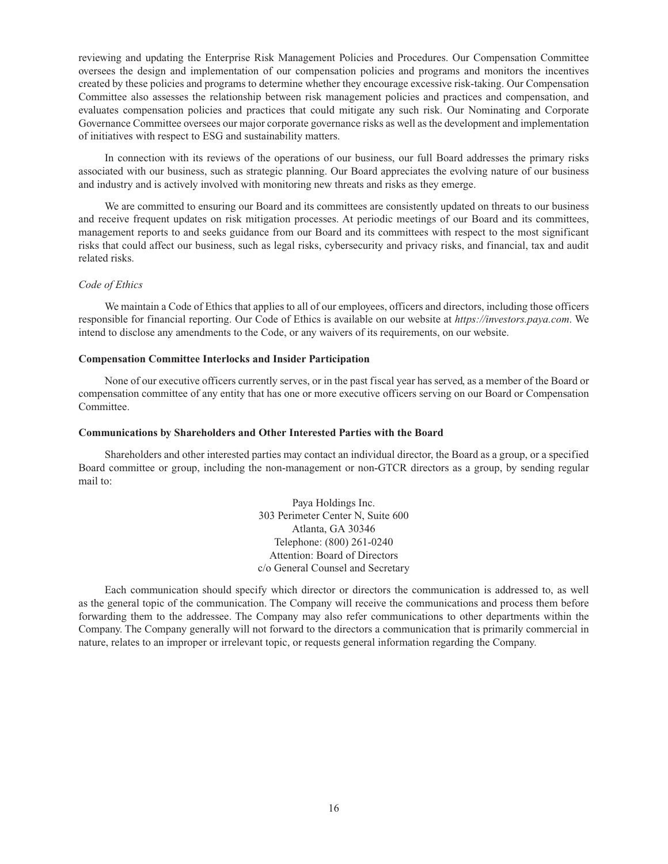reviewing and updating the Enterprise Risk Management Policies and Procedures. Our Compensation Committee oversees the design and implementation of our compensation policies and programs and monitors the incentives created by these policies and programs to determine whether they encourage excessive risk-taking. Our Compensation Committee also assesses the relationship between risk management policies and practices and compensation, and evaluates compensation policies and practices that could mitigate any such risk. Our Nominating and Corporate Governance Committee oversees our major corporate governance risks as well as the development and implementation of initiatives with respect to ESG and sustainability matters.

In connection with its reviews of the operations of our business, our full Board addresses the primary risks associated with our business, such as strategic planning. Our Board appreciates the evolving nature of our business and industry and is actively involved with monitoring new threats and risks as they emerge.

We are committed to ensuring our Board and its committees are consistently updated on threats to our business and receive frequent updates on risk mitigation processes. At periodic meetings of our Board and its committees, management reports to and seeks guidance from our Board and its committees with respect to the most significant risks that could affect our business, such as legal risks, cybersecurity and privacy risks, and financial, tax and audit related risks.

### *Code of Ethics*

We maintain a Code of Ethics that applies to all of our employees, officers and directors, including those officers responsible for financial reporting. Our Code of Ethics is available on our website at *https://investors.paya.com*. We intend to disclose any amendments to the Code, or any waivers of its requirements, on our website.

### **Compensation Committee Interlocks and Insider Participation**

None of our executive officers currently serves, or in the past fiscal year has served, as a member of the Board or compensation committee of any entity that has one or more executive officers serving on our Board or Compensation Committee.

### **Communications by Shareholders and Other Interested Parties with the Board**

Shareholders and other interested parties may contact an individual director, the Board as a group, or a specified Board committee or group, including the non-management or non-GTCR directors as a group, by sending regular mail to:

> Paya Holdings Inc. 303 Perimeter Center N, Suite 600 Atlanta, GA 30346 Telephone: (800) 261-0240 Attention: Board of Directors c/o General Counsel and Secretary

Each communication should specify which director or directors the communication is addressed to, as well as the general topic of the communication. The Company will receive the communications and process them before forwarding them to the addressee. The Company may also refer communications to other departments within the Company. The Company generally will not forward to the directors a communication that is primarily commercial in nature, relates to an improper or irrelevant topic, or requests general information regarding the Company.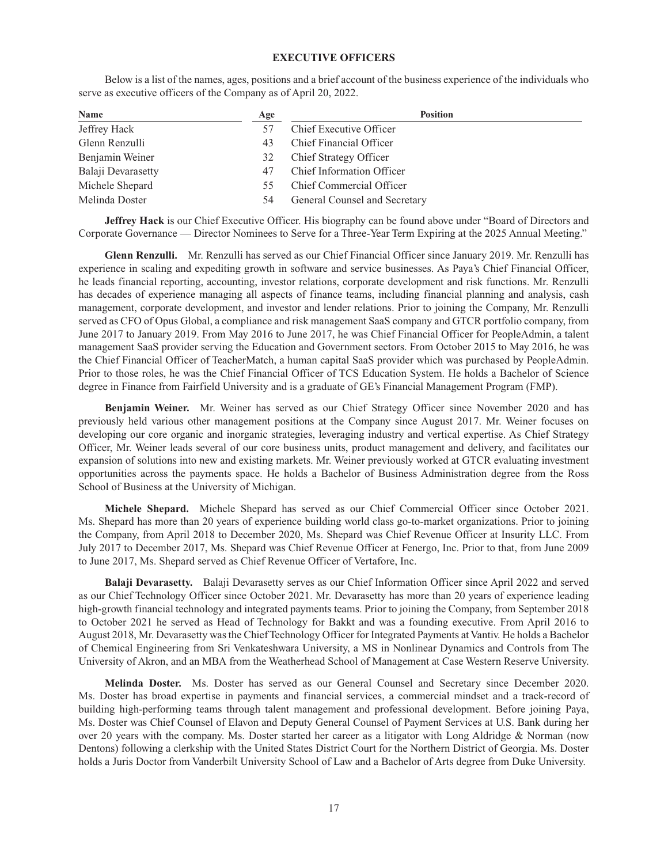### **EXECUTIVE OFFICERS**

Below is a list of the names, ages, positions and a brief account of the business experience of the individuals who serve as executive officers of the Company as of April 20, 2022.

| <b>Name</b>        | Age | <b>Position</b>                  |
|--------------------|-----|----------------------------------|
| Jeffrey Hack       | 57  | Chief Executive Officer          |
| Glenn Renzulli     | 43  | Chief Financial Officer          |
| Benjamin Weiner    | 32  | Chief Strategy Officer           |
| Balaji Devarasetty | 47  | <b>Chief Information Officer</b> |
| Michele Shepard    | 55  | Chief Commercial Officer         |
| Melinda Doster     | 54  | General Counsel and Secretary    |

**Jeffrey Hack** is our Chief Executive Officer. His biography can be found above under "Board of Directors and Corporate Governance — Director Nominees to Serve for a Three-Year Term Expiring at the 2025 Annual Meeting."

**Glenn Renzulli.** Mr. Renzulli has served as our Chief Financial Officer since January 2019. Mr. Renzulli has experience in scaling and expediting growth in software and service businesses. As Paya's Chief Financial Officer, he leads financial reporting, accounting, investor relations, corporate development and risk functions. Mr. Renzulli has decades of experience managing all aspects of finance teams, including financial planning and analysis, cash management, corporate development, and investor and lender relations. Prior to joining the Company, Mr. Renzulli served as CFO of Opus Global, a compliance and risk management SaaS company and GTCR portfolio company, from June 2017 to January 2019. From May 2016 to June 2017, he was Chief Financial Officer for PeopleAdmin, a talent management SaaS provider serving the Education and Government sectors. From October 2015 to May 2016, he was the Chief Financial Officer of TeacherMatch, a human capital SaaS provider which was purchased by PeopleAdmin. Prior to those roles, he was the Chief Financial Officer of TCS Education System. He holds a Bachelor of Science degree in Finance from Fairfield University and is a graduate of GE's Financial Management Program (FMP).

**Benjamin Weiner.** Mr. Weiner has served as our Chief Strategy Officer since November 2020 and has previously held various other management positions at the Company since August 2017. Mr. Weiner focuses on developing our core organic and inorganic strategies, leveraging industry and vertical expertise. As Chief Strategy Officer, Mr. Weiner leads several of our core business units, product management and delivery, and facilitates our expansion of solutions into new and existing markets. Mr. Weiner previously worked at GTCR evaluating investment opportunities across the payments space. He holds a Bachelor of Business Administration degree from the Ross School of Business at the University of Michigan.

**Michele Shepard.** Michele Shepard has served as our Chief Commercial Officer since October 2021. Ms. Shepard has more than 20 years of experience building world class go-to-market organizations. Prior to joining the Company, from April 2018 to December 2020, Ms. Shepard was Chief Revenue Officer at Insurity LLC. From July 2017 to December 2017, Ms. Shepard was Chief Revenue Officer at Fenergo, Inc. Prior to that, from June 2009 to June 2017, Ms. Shepard served as Chief Revenue Officer of Vertafore, Inc.

**Balaji Devarasetty.** Balaji Devarasetty serves as our Chief Information Officer since April 2022 and served as our Chief Technology Officer since October 2021. Mr. Devarasetty has more than 20 years of experience leading high-growth financial technology and integrated payments teams. Prior to joining the Company, from September 2018 to October 2021 he served as Head of Technology for Bakkt and was a founding executive. From April 2016 to August 2018, Mr. Devarasetty was the Chief Technology Officer for Integrated Payments at Vantiv. He holds a Bachelor of Chemical Engineering from Sri Venkateshwara University, a MS in Nonlinear Dynamics and Controls from The University of Akron, and an MBA from the Weatherhead School of Management at Case Western Reserve University.

**Melinda Doster.** Ms. Doster has served as our General Counsel and Secretary since December 2020. Ms. Doster has broad expertise in payments and financial services, a commercial mindset and a track-record of building high-performing teams through talent management and professional development. Before joining Paya, Ms. Doster was Chief Counsel of Elavon and Deputy General Counsel of Payment Services at U.S. Bank during her over 20 years with the company. Ms. Doster started her career as a litigator with Long Aldridge & Norman (now Dentons) following a clerkship with the United States District Court for the Northern District of Georgia. Ms. Doster holds a Juris Doctor from Vanderbilt University School of Law and a Bachelor of Arts degree from Duke University.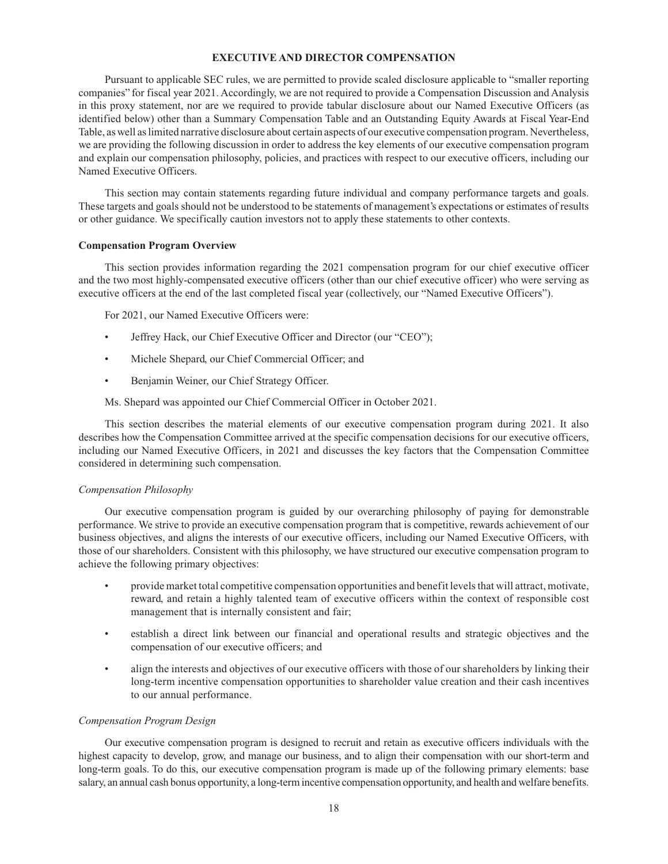### **EXECUTIVE AND DIRECTOR COMPENSATION**

Pursuant to applicable SEC rules, we are permitted to provide scaled disclosure applicable to "smaller reporting companies" for fiscal year 2021. Accordingly, we are not required to provide a Compensation Discussion and Analysis in this proxy statement, nor are we required to provide tabular disclosure about our Named Executive Officers (as identified below) other than a Summary Compensation Table and an Outstanding Equity Awards at Fiscal Year-End Table, as well as limited narrative disclosure about certain aspects of our executive compensation program. Nevertheless, we are providing the following discussion in order to address the key elements of our executive compensation program and explain our compensation philosophy, policies, and practices with respect to our executive officers, including our Named Executive Officers.

This section may contain statements regarding future individual and company performance targets and goals. These targets and goals should not be understood to be statements of management's expectations or estimates of results or other guidance. We specifically caution investors not to apply these statements to other contexts.

### **Compensation Program Overview**

This section provides information regarding the 2021 compensation program for our chief executive officer and the two most highly-compensated executive officers (other than our chief executive officer) who were serving as executive officers at the end of the last completed fiscal year (collectively, our "Named Executive Officers").

For 2021, our Named Executive Officers were:

- Jeffrey Hack, our Chief Executive Officer and Director (our "CEO");
- Michele Shepard, our Chief Commercial Officer; and
- Benjamin Weiner, our Chief Strategy Officer.
- Ms. Shepard was appointed our Chief Commercial Officer in October 2021.

This section describes the material elements of our executive compensation program during 2021. It also describes how the Compensation Committee arrived at the specific compensation decisions for our executive officers, including our Named Executive Officers, in 2021 and discusses the key factors that the Compensation Committee considered in determining such compensation.

### *Compensation Philosophy*

Our executive compensation program is guided by our overarching philosophy of paying for demonstrable performance. We strive to provide an executive compensation program that is competitive, rewards achievement of our business objectives, and aligns the interests of our executive officers, including our Named Executive Officers, with those of our shareholders. Consistent with this philosophy, we have structured our executive compensation program to achieve the following primary objectives:

- provide market total competitive compensation opportunities and benefit levels that will attract, motivate, reward, and retain a highly talented team of executive officers within the context of responsible cost management that is internally consistent and fair;
- establish a direct link between our financial and operational results and strategic objectives and the compensation of our executive officers; and
- align the interests and objectives of our executive officers with those of our shareholders by linking their long-term incentive compensation opportunities to shareholder value creation and their cash incentives to our annual performance.

## *Compensation Program Design*

Our executive compensation program is designed to recruit and retain as executive officers individuals with the highest capacity to develop, grow, and manage our business, and to align their compensation with our short-term and long-term goals. To do this, our executive compensation program is made up of the following primary elements: base salary, an annual cash bonus opportunity, a long-term incentive compensation opportunity, and health and welfare benefits.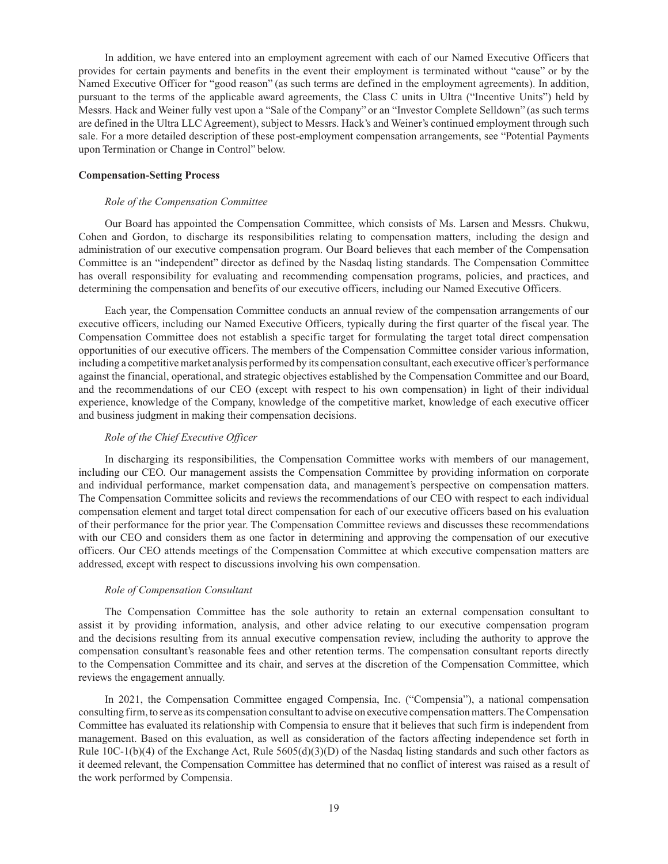In addition, we have entered into an employment agreement with each of our Named Executive Officers that provides for certain payments and benefits in the event their employment is terminated without "cause" or by the Named Executive Officer for "good reason" (as such terms are defined in the employment agreements). In addition, pursuant to the terms of the applicable award agreements, the Class C units in Ultra ("Incentive Units") held by Messrs. Hack and Weiner fully vest upon a "Sale of the Company" or an "Investor Complete Selldown" (as such terms are defined in the Ultra LLC Agreement), subject to Messrs. Hack's and Weiner's continued employment through such sale. For a more detailed description of these post-employment compensation arrangements, see "Potential Payments upon Termination or Change in Control" below.

#### **Compensation-Setting Process**

#### *Role of the Compensation Committee*

Our Board has appointed the Compensation Committee, which consists of Ms. Larsen and Messrs. Chukwu, Cohen and Gordon, to discharge its responsibilities relating to compensation matters, including the design and administration of our executive compensation program. Our Board believes that each member of the Compensation Committee is an "independent" director as defined by the Nasdaq listing standards. The Compensation Committee has overall responsibility for evaluating and recommending compensation programs, policies, and practices, and determining the compensation and benefits of our executive officers, including our Named Executive Officers.

Each year, the Compensation Committee conducts an annual review of the compensation arrangements of our executive officers, including our Named Executive Officers, typically during the first quarter of the fiscal year. The Compensation Committee does not establish a specific target for formulating the target total direct compensation opportunities of our executive officers. The members of the Compensation Committee consider various information, including a competitive market analysis performed by its compensation consultant, each executive officer's performance against the financial, operational, and strategic objectives established by the Compensation Committee and our Board, and the recommendations of our CEO (except with respect to his own compensation) in light of their individual experience, knowledge of the Company, knowledge of the competitive market, knowledge of each executive officer and business judgment in making their compensation decisions.

#### *Role of the Chief Executive Officer*

In discharging its responsibilities, the Compensation Committee works with members of our management, including our CEO. Our management assists the Compensation Committee by providing information on corporate and individual performance, market compensation data, and management's perspective on compensation matters. The Compensation Committee solicits and reviews the recommendations of our CEO with respect to each individual compensation element and target total direct compensation for each of our executive officers based on his evaluation of their performance for the prior year. The Compensation Committee reviews and discusses these recommendations with our CEO and considers them as one factor in determining and approving the compensation of our executive officers. Our CEO attends meetings of the Compensation Committee at which executive compensation matters are addressed, except with respect to discussions involving his own compensation.

#### *Role of Compensation Consultant*

The Compensation Committee has the sole authority to retain an external compensation consultant to assist it by providing information, analysis, and other advice relating to our executive compensation program and the decisions resulting from its annual executive compensation review, including the authority to approve the compensation consultant's reasonable fees and other retention terms. The compensation consultant reports directly to the Compensation Committee and its chair, and serves at the discretion of the Compensation Committee, which reviews the engagement annually.

In 2021, the Compensation Committee engaged Compensia, Inc. ("Compensia"), a national compensation consulting firm, to serve as its compensation consultant to advise on executive compensation matters. The Compensation Committee has evaluated its relationship with Compensia to ensure that it believes that such firm is independent from management. Based on this evaluation, as well as consideration of the factors affecting independence set forth in Rule  $10C-1(b)(4)$  of the Exchange Act, Rule  $5605(d)(3)(D)$  of the Nasdaq listing standards and such other factors as it deemed relevant, the Compensation Committee has determined that no conflict of interest was raised as a result of the work performed by Compensia.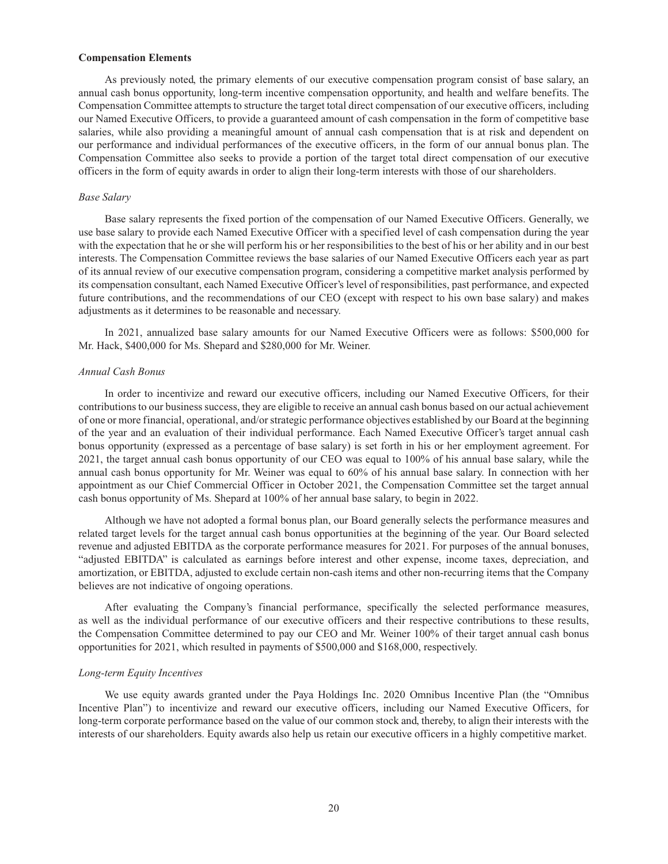#### **Compensation Elements**

As previously noted, the primary elements of our executive compensation program consist of base salary, an annual cash bonus opportunity, long-term incentive compensation opportunity, and health and welfare benefits. The Compensation Committee attempts to structure the target total direct compensation of our executive officers, including our Named Executive Officers, to provide a guaranteed amount of cash compensation in the form of competitive base salaries, while also providing a meaningful amount of annual cash compensation that is at risk and dependent on our performance and individual performances of the executive officers, in the form of our annual bonus plan. The Compensation Committee also seeks to provide a portion of the target total direct compensation of our executive officers in the form of equity awards in order to align their long-term interests with those of our shareholders.

#### *Base Salary*

Base salary represents the fixed portion of the compensation of our Named Executive Officers. Generally, we use base salary to provide each Named Executive Officer with a specified level of cash compensation during the year with the expectation that he or she will perform his or her responsibilities to the best of his or her ability and in our best interests. The Compensation Committee reviews the base salaries of our Named Executive Officers each year as part of its annual review of our executive compensation program, considering a competitive market analysis performed by its compensation consultant, each Named Executive Officer's level of responsibilities, past performance, and expected future contributions, and the recommendations of our CEO (except with respect to his own base salary) and makes adjustments as it determines to be reasonable and necessary.

In 2021, annualized base salary amounts for our Named Executive Officers were as follows: \$500,000 for Mr. Hack, \$400,000 for Ms. Shepard and \$280,000 for Mr. Weiner.

### *Annual Cash Bonus*

In order to incentivize and reward our executive officers, including our Named Executive Officers, for their contributions to our business success, they are eligible to receive an annual cash bonus based on our actual achievement of one or more financial, operational, and/or strategic performance objectives established by our Board at the beginning of the year and an evaluation of their individual performance. Each Named Executive Officer's target annual cash bonus opportunity (expressed as a percentage of base salary) is set forth in his or her employment agreement. For 2021, the target annual cash bonus opportunity of our CEO was equal to 100% of his annual base salary, while the annual cash bonus opportunity for Mr. Weiner was equal to 60% of his annual base salary. In connection with her appointment as our Chief Commercial Officer in October 2021, the Compensation Committee set the target annual cash bonus opportunity of Ms. Shepard at 100% of her annual base salary, to begin in 2022.

Although we have not adopted a formal bonus plan, our Board generally selects the performance measures and related target levels for the target annual cash bonus opportunities at the beginning of the year. Our Board selected revenue and adjusted EBITDA as the corporate performance measures for 2021. For purposes of the annual bonuses, "adjusted EBITDA" is calculated as earnings before interest and other expense, income taxes, depreciation, and amortization, or EBITDA, adjusted to exclude certain non-cash items and other non-recurring items that the Company believes are not indicative of ongoing operations.

After evaluating the Company's financial performance, specifically the selected performance measures, as well as the individual performance of our executive officers and their respective contributions to these results, the Compensation Committee determined to pay our CEO and Mr. Weiner 100% of their target annual cash bonus opportunities for 2021, which resulted in payments of \$500,000 and \$168,000, respectively.

### *Long-term Equity Incentives*

We use equity awards granted under the Paya Holdings Inc. 2020 Omnibus Incentive Plan (the "Omnibus Incentive Plan") to incentivize and reward our executive officers, including our Named Executive Officers, for long-term corporate performance based on the value of our common stock and, thereby, to align their interests with the interests of our shareholders. Equity awards also help us retain our executive officers in a highly competitive market.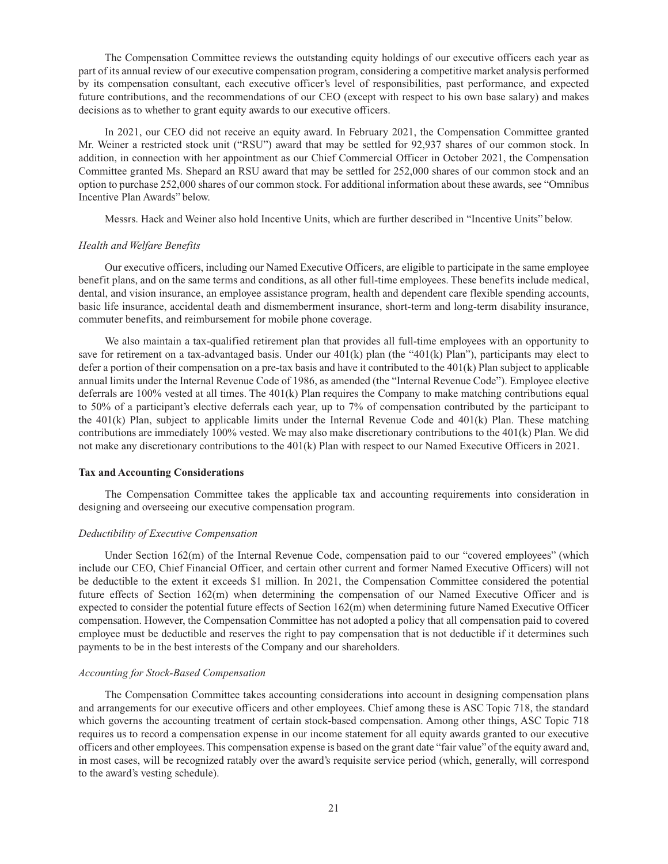The Compensation Committee reviews the outstanding equity holdings of our executive officers each year as part of its annual review of our executive compensation program, considering a competitive market analysis performed by its compensation consultant, each executive officer's level of responsibilities, past performance, and expected future contributions, and the recommendations of our CEO (except with respect to his own base salary) and makes decisions as to whether to grant equity awards to our executive officers.

In 2021, our CEO did not receive an equity award. In February 2021, the Compensation Committee granted Mr. Weiner a restricted stock unit ("RSU") award that may be settled for 92,937 shares of our common stock. In addition, in connection with her appointment as our Chief Commercial Officer in October 2021, the Compensation Committee granted Ms. Shepard an RSU award that may be settled for 252,000 shares of our common stock and an option to purchase 252,000 shares of our common stock. For additional information about these awards, see "Omnibus Incentive Plan Awards" below.

Messrs. Hack and Weiner also hold Incentive Units, which are further described in "Incentive Units" below.

#### *Health and Welfare Benefits*

Our executive officers, including our Named Executive Officers, are eligible to participate in the same employee benefit plans, and on the same terms and conditions, as all other full-time employees. These benefits include medical, dental, and vision insurance, an employee assistance program, health and dependent care flexible spending accounts, basic life insurance, accidental death and dismemberment insurance, short-term and long-term disability insurance, commuter benefits, and reimbursement for mobile phone coverage.

We also maintain a tax-qualified retirement plan that provides all full-time employees with an opportunity to save for retirement on a tax-advantaged basis. Under our  $401(k)$  plan (the " $401(k)$  Plan"), participants may elect to defer a portion of their compensation on a pre-tax basis and have it contributed to the 401(k) Plan subject to applicable annual limits under the Internal Revenue Code of 1986, as amended (the "Internal Revenue Code"). Employee elective deferrals are 100% vested at all times. The 401(k) Plan requires the Company to make matching contributions equal to 50% of a participant's elective deferrals each year, up to 7% of compensation contributed by the participant to the 401(k) Plan, subject to applicable limits under the Internal Revenue Code and 401(k) Plan. These matching contributions are immediately 100% vested. We may also make discretionary contributions to the 401(k) Plan. We did not make any discretionary contributions to the 401(k) Plan with respect to our Named Executive Officers in 2021.

#### **Tax and Accounting Considerations**

The Compensation Committee takes the applicable tax and accounting requirements into consideration in designing and overseeing our executive compensation program.

#### *Deductibility of Executive Compensation*

Under Section 162(m) of the Internal Revenue Code, compensation paid to our "covered employees" (which include our CEO, Chief Financial Officer, and certain other current and former Named Executive Officers) will not be deductible to the extent it exceeds \$1 million. In 2021, the Compensation Committee considered the potential future effects of Section 162(m) when determining the compensation of our Named Executive Officer and is expected to consider the potential future effects of Section 162(m) when determining future Named Executive Officer compensation. However, the Compensation Committee has not adopted a policy that all compensation paid to covered employee must be deductible and reserves the right to pay compensation that is not deductible if it determines such payments to be in the best interests of the Company and our shareholders.

#### *Accounting for Stock-Based Compensation*

The Compensation Committee takes accounting considerations into account in designing compensation plans and arrangements for our executive officers and other employees. Chief among these is ASC Topic 718, the standard which governs the accounting treatment of certain stock-based compensation. Among other things, ASC Topic 718 requires us to record a compensation expense in our income statement for all equity awards granted to our executive officers and other employees. This compensation expense is based on the grant date "fair value" of the equity award and, in most cases, will be recognized ratably over the award's requisite service period (which, generally, will correspond to the award's vesting schedule).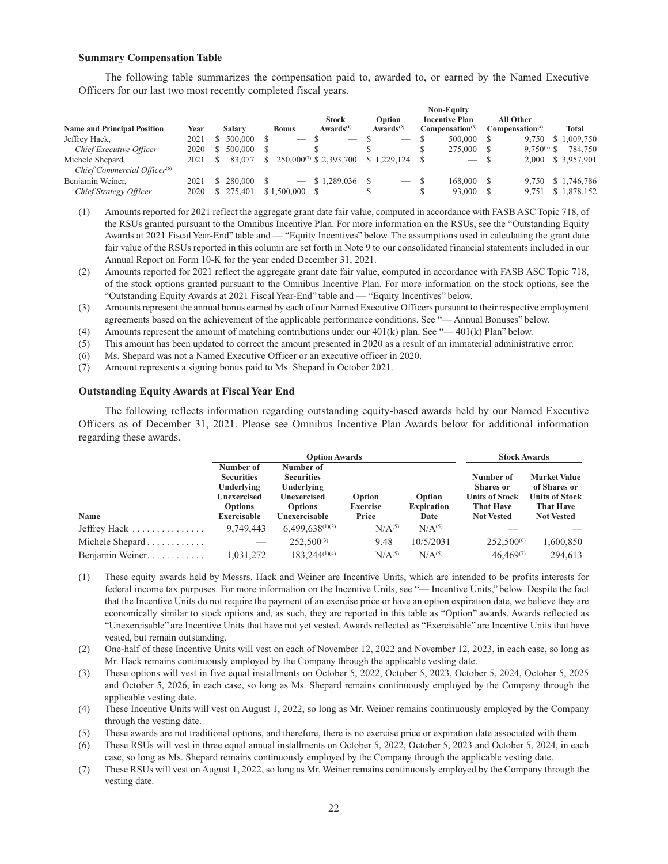#### **Summary Compensation Table**

The following table summarizes the compensation paid to, awarded to, or earned by the Named Executive Officers for our last two most recently completed fiscal years.

|                                         |      |         |                          |                                |                          |    | <b>Non-Equity</b>               |                             |                |                    |
|-----------------------------------------|------|---------|--------------------------|--------------------------------|--------------------------|----|---------------------------------|-----------------------------|----------------|--------------------|
|                                         |      |         |                          | <b>Stock</b>                   | Option                   |    | <b>Incentive Plan</b>           | All Other                   |                |                    |
| <b>Name and Principal Position</b>      | Year | Salarv  | <b>Bonus</b>             | Awards <sup>(1)</sup>          | Awards $(2)$             |    | Compensation <sup>(3)</sup>     | Compensation <sup>(4)</sup> |                | Total              |
| Jeffrey Hack,                           | 2021 | 500,000 | $\overline{\phantom{a}}$ | $\overline{\phantom{a}}$       | $\overline{\phantom{a}}$ |    | 500,000                         | 9.750                       | S <sub>1</sub> | 1.009.750          |
| Chief Executive Officer                 | 2020 | 500,000 |                          | _                              | $\overline{\phantom{a}}$ |    | 275,000                         | $9.750^{(5)}$ \$            |                | 784,750            |
| Michele Shepard,                        | 2021 | 83,077  |                          | $250,000^{(7)}$ \$ 2,393,700   | \$1,229,124              |    | $\hspace{0.1mm}-\hspace{0.1mm}$ | 2.000                       |                | \$ 3,957,901       |
| Chief Commercial Officer <sup>(6)</sup> |      |         |                          |                                |                          |    |                                 |                             |                |                    |
| Benjamin Weiner,                        | 2021 | 280,000 |                          | \$1.289,036                    |                          | -S | 168.000                         |                             |                | 9,750 \$ 1,746,786 |
| Chief Strategy Officer                  | 2020 | 275.401 | \$1,500,000              | $\overbrace{\hspace{25mm}}^{}$ | $\overline{\phantom{a}}$ |    | 93,000                          | 9.751                       |                | \$1,878,152        |

- (1) Amounts reported for 2021 reflect the aggregate grant date fair value, computed in accordance with FASB ASC Topic 718, of the RSUs granted pursuant to the Omnibus Incentive Plan. For more information on the RSUs, see the "Outstanding Equity Awards at 2021 Fiscal Year-End" table and — "Equity Incentives" below. The assumptions used in calculating the grant date fair value of the RSUs reported in this column are set forth in Note 9 to our consolidated financial statements included in our Annual Report on Form 10-K for the year ended December 31, 2021.
- (2) Amounts reported for 2021 reflect the aggregate grant date fair value, computed in accordance with FASB ASC Topic 718, of the stock options granted pursuant to the Omnibus Incentive Plan. For more information on the stock options, see the "Outstanding Equity Awards at 2021 Fiscal Year-End" table and — "Equity Incentives" below.
- (3) Amounts represent the annual bonus earned by each of our Named Executive Officers pursuant to their respective employment agreements based on the achievement of the applicable performance conditions. See "— Annual Bonuses" below.
- (4) Amounts represent the amount of matching contributions under our  $401(k)$  plan. See "— $401(k)$  Plan" below.
- (5) This amount has been updated to correct the amount presented in 2020 as a result of an immaterial administrative error.
- (6) Ms. Shepard was not a Named Executive Officer or an executive officer in 2020.
- (7) Amount represents a signing bonus paid to Ms. Shepard in October 2021.

### **Outstanding Equity Awards at Fiscal Year End**

The following reflects information regarding outstanding equity-based awards held by our Named Executive Officers as of December 31, 2021. Please see Omnibus Incentive Plan Awards below for additional information regarding these awards.

|                                     |                                                                                              | <b>Option Awards</b>                                                                           |                                    |                                     | <b>Stock Awards</b>                                                                             |                                                                                                       |
|-------------------------------------|----------------------------------------------------------------------------------------------|------------------------------------------------------------------------------------------------|------------------------------------|-------------------------------------|-------------------------------------------------------------------------------------------------|-------------------------------------------------------------------------------------------------------|
| Name                                | Number of<br><b>Securities</b><br>Underlying<br>Unexercised<br><b>Options</b><br>Exercisable | Number of<br><b>Securities</b><br>Underlying<br>Unexercised<br><b>Options</b><br>Unexercisable | Option<br><b>Exercise</b><br>Price | Option<br><b>Expiration</b><br>Date | Number of<br><b>Shares</b> or<br><b>Units of Stock</b><br><b>That Have</b><br><b>Not Vested</b> | <b>Market Value</b><br>of Shares or<br><b>Units of Stock</b><br><b>That Have</b><br><b>Not Vested</b> |
| Jeffrey Hack $\ldots$               | 9,749,443                                                                                    | $6,499,638^{(1)(2)}$                                                                           | N/A <sup>(5)</sup>                 | N/A <sup>(5)</sup>                  |                                                                                                 |                                                                                                       |
| Michele Shepard $\dots \dots \dots$ |                                                                                              | $252,500^{(3)}$                                                                                | 9.48                               | 10/5/2031                           | $252,500^{(6)}$                                                                                 | 1,600,850                                                                                             |
| Benjamin Weiner                     | 1,031,272                                                                                    | $183.244^{(1)(4)}$                                                                             | N/A <sup>(5)</sup>                 | N/A <sup>(5)</sup>                  | $46,469^{(7)}$                                                                                  | 294.613                                                                                               |

(1) These equity awards held by Messrs. Hack and Weiner are Incentive Units, which are intended to be profits interests for federal income tax purposes. For more information on the Incentive Units, see "— Incentive Units," below. Despite the fact that the Incentive Units do not require the payment of an exercise price or have an option expiration date, we believe they are economically similar to stock options and, as such, they are reported in this table as "Option" awards. Awards reflected as "Unexercisable" are Incentive Units that have not yet vested. Awards reflected as "Exercisable" are Incentive Units that have vested, but remain outstanding.

(2) One-half of these Incentive Units will vest on each of November 12, 2022 and November 12, 2023, in each case, so long as Mr. Hack remains continuously employed by the Company through the applicable vesting date.

- (3) These options will vest in five equal installments on October 5, 2022, October 5, 2023, October 5, 2024, October 5, 2025 and October 5, 2026, in each case, so long as Ms. Shepard remains continuously employed by the Company through the applicable vesting date.
- (4) These Incentive Units will vest on August 1, 2022, so long as Mr. Weiner remains continuously employed by the Company through the vesting date.
- (5) These awards are not traditional options, and therefore, there is no exercise price or expiration date associated with them.

(6) These RSUs will vest in three equal annual installments on October 5, 2022, October 5, 2023 and October 5, 2024, in each case, so long as Ms. Shepard remains continuously employed by the Company through the applicable vesting date.

(7) These RSUs will vest on August 1, 2022, so long as Mr. Weiner remains continuously employed by the Company through the vesting date.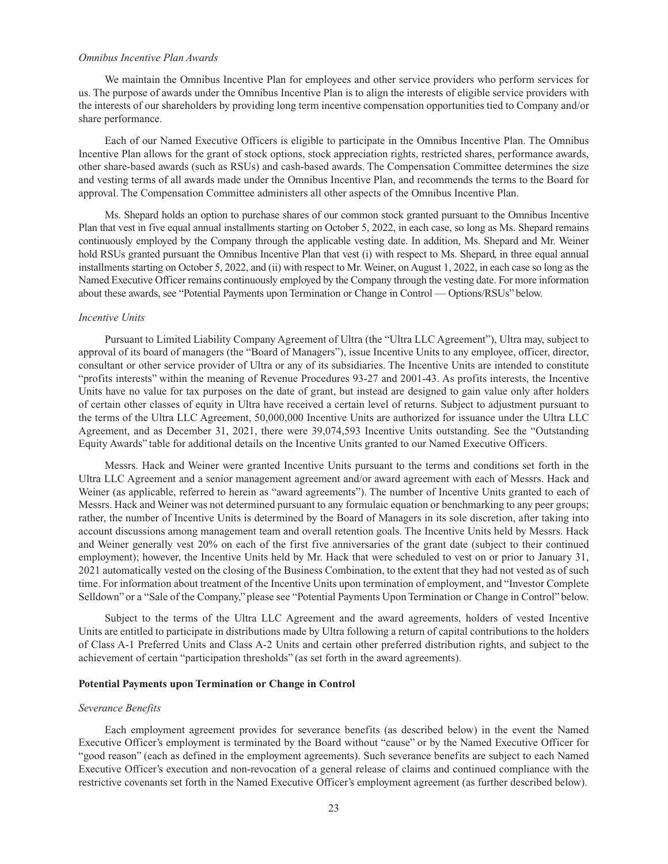### *Omnibus Incentive Plan Awards*

We maintain the Omnibus Incentive Plan for employees and other service providers who perform services for us. The purpose of awards under the Omnibus Incentive Plan is to align the interests of eligible service providers with the interests of our shareholders by providing long term incentive compensation opportunities tied to Company and/or share performance.

Each of our Named Executive Officers is eligible to participate in the Omnibus Incentive Plan. The Omnibus Incentive Plan allows for the grant of stock options, stock appreciation rights, restricted shares, performance awards, other share-based awards (such as RSUs) and cash-based awards. The Compensation Committee determines the size and vesting terms of all awards made under the Omnibus Incentive Plan, and recommends the terms to the Board for approval. The Compensation Committee administers all other aspects of the Omnibus Incentive Plan.

Ms. Shepard holds an option to purchase shares of our common stock granted pursuant to the Omnibus Incentive Plan that vest in five equal annual installments starting on October 5, 2022, in each case, so long as Ms. Shepard remains continuously employed by the Company through the applicable vesting date. In addition, Ms. Shepard and Mr. Weiner hold RSUs granted pursuant the Omnibus Incentive Plan that vest (i) with respect to Ms. Shepard, in three equal annual installments starting on October 5, 2022, and (ii) with respect to Mr. Weiner, on August 1, 2022, in each case so long as the Named Executive Officer remains continuously employed by the Company through the vesting date. For more information about these awards, see "Potential Payments upon Termination or Change in Control — Options/RSUs" below.

### *Incentive Units*

Pursuant to Limited Liability Company Agreement of Ultra (the "Ultra LLC Agreement"), Ultra may, subject to approval of its board of managers (the "Board of Managers"), issue Incentive Units to any employee, officer, director, consultant or other service provider of Ultra or any of its subsidiaries. The Incentive Units are intended to constitute "profits interests" within the meaning of Revenue Procedures 93-27 and 2001-43. As profits interests, the Incentive Units have no value for tax purposes on the date of grant, but instead are designed to gain value only after holders of certain other classes of equity in Ultra have received a certain level of returns. Subject to adjustment pursuant to the terms of the Ultra LLC Agreement, 50,000,000 Incentive Units are authorized for issuance under the Ultra LLC Agreement, and as December 31, 2021, there were 39,074,593 Incentive Units outstanding. See the "Outstanding Equity Awards" table for additional details on the Incentive Units granted to our Named Executive Officers.

Messrs. Hack and Weiner were granted Incentive Units pursuant to the terms and conditions set forth in the Ultra LLC Agreement and a senior management agreement and/or award agreement with each of Messrs. Hack and Weiner (as applicable, referred to herein as "award agreements"). The number of Incentive Units granted to each of Messrs. Hack and Weiner was not determined pursuant to any formulaic equation or benchmarking to any peer groups; rather, the number of Incentive Units is determined by the Board of Managers in its sole discretion, after taking into account discussions among management team and overall retention goals. The Incentive Units held by Messrs. Hack and Weiner generally vest 20% on each of the first five anniversaries of the grant date (subject to their continued employment); however, the Incentive Units held by Mr. Hack that were scheduled to vest on or prior to January 31, 2021 automatically vested on the closing of the Business Combination, to the extent that they had not vested as of such time. For information about treatment of the Incentive Units upon termination of employment, and "Investor Complete Selldown" or a "Sale of the Company," please see "Potential Payments Upon Termination or Change in Control" below.

Subject to the terms of the Ultra LLC Agreement and the award agreements, holders of vested Incentive Units are entitled to participate in distributions made by Ultra following a return of capital contributions to the holders of Class A-1 Preferred Units and Class A-2 Units and certain other preferred distribution rights, and subject to the achievement of certain "participation thresholds" (as set forth in the award agreements).

## **Potential Payments upon Termination or Change in Control**

#### *Severance Benefits*

Each employment agreement provides for severance benefits (as described below) in the event the Named Executive Officer's employment is terminated by the Board without "cause" or by the Named Executive Officer for "good reason" (each as defined in the employment agreements). Such severance benefits are subject to each Named Executive Officer's execution and non-revocation of a general release of claims and continued compliance with the restrictive covenants set forth in the Named Executive Officer's employment agreement (as further described below).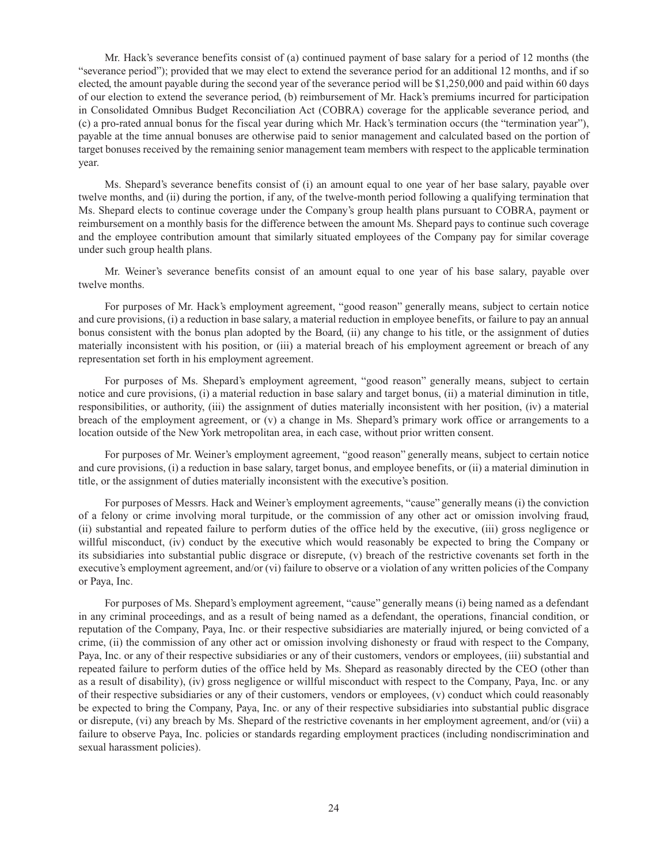Mr. Hack's severance benefits consist of (a) continued payment of base salary for a period of 12 months (the "severance period"); provided that we may elect to extend the severance period for an additional 12 months, and if so elected, the amount payable during the second year of the severance period will be \$1,250,000 and paid within 60 days of our election to extend the severance period, (b) reimbursement of Mr. Hack's premiums incurred for participation in Consolidated Omnibus Budget Reconciliation Act (COBRA) coverage for the applicable severance period, and (c) a pro-rated annual bonus for the fiscal year during which Mr. Hack's termination occurs (the "termination year"), payable at the time annual bonuses are otherwise paid to senior management and calculated based on the portion of target bonuses received by the remaining senior management team members with respect to the applicable termination year.

Ms. Shepard's severance benefits consist of (i) an amount equal to one year of her base salary, payable over twelve months, and (ii) during the portion, if any, of the twelve-month period following a qualifying termination that Ms. Shepard elects to continue coverage under the Company's group health plans pursuant to COBRA, payment or reimbursement on a monthly basis for the difference between the amount Ms. Shepard pays to continue such coverage and the employee contribution amount that similarly situated employees of the Company pay for similar coverage under such group health plans.

Mr. Weiner's severance benefits consist of an amount equal to one year of his base salary, payable over twelve months.

For purposes of Mr. Hack's employment agreement, "good reason" generally means, subject to certain notice and cure provisions, (i) a reduction in base salary, a material reduction in employee benefits, or failure to pay an annual bonus consistent with the bonus plan adopted by the Board, (ii) any change to his title, or the assignment of duties materially inconsistent with his position, or (iii) a material breach of his employment agreement or breach of any representation set forth in his employment agreement.

For purposes of Ms. Shepard's employment agreement, "good reason" generally means, subject to certain notice and cure provisions, (i) a material reduction in base salary and target bonus, (ii) a material diminution in title, responsibilities, or authority, (iii) the assignment of duties materially inconsistent with her position, (iv) a material breach of the employment agreement, or (v) a change in Ms. Shepard's primary work office or arrangements to a location outside of the New York metropolitan area, in each case, without prior written consent.

For purposes of Mr. Weiner's employment agreement, "good reason" generally means, subject to certain notice and cure provisions, (i) a reduction in base salary, target bonus, and employee benefits, or (ii) a material diminution in title, or the assignment of duties materially inconsistent with the executive's position.

For purposes of Messrs. Hack and Weiner's employment agreements, "cause" generally means (i) the conviction of a felony or crime involving moral turpitude, or the commission of any other act or omission involving fraud, (ii) substantial and repeated failure to perform duties of the office held by the executive, (iii) gross negligence or willful misconduct, (iv) conduct by the executive which would reasonably be expected to bring the Company or its subsidiaries into substantial public disgrace or disrepute, (v) breach of the restrictive covenants set forth in the executive's employment agreement, and/or (vi) failure to observe or a violation of any written policies of the Company or Paya, Inc.

For purposes of Ms. Shepard's employment agreement, "cause" generally means (i) being named as a defendant in any criminal proceedings, and as a result of being named as a defendant, the operations, financial condition, or reputation of the Company, Paya, Inc. or their respective subsidiaries are materially injured, or being convicted of a crime, (ii) the commission of any other act or omission involving dishonesty or fraud with respect to the Company, Paya, Inc. or any of their respective subsidiaries or any of their customers, vendors or employees, (iii) substantial and repeated failure to perform duties of the office held by Ms. Shepard as reasonably directed by the CEO (other than as a result of disability), (iv) gross negligence or willful misconduct with respect to the Company, Paya, Inc. or any of their respective subsidiaries or any of their customers, vendors or employees, (v) conduct which could reasonably be expected to bring the Company, Paya, Inc. or any of their respective subsidiaries into substantial public disgrace or disrepute, (vi) any breach by Ms. Shepard of the restrictive covenants in her employment agreement, and/or (vii) a failure to observe Paya, Inc. policies or standards regarding employment practices (including nondiscrimination and sexual harassment policies).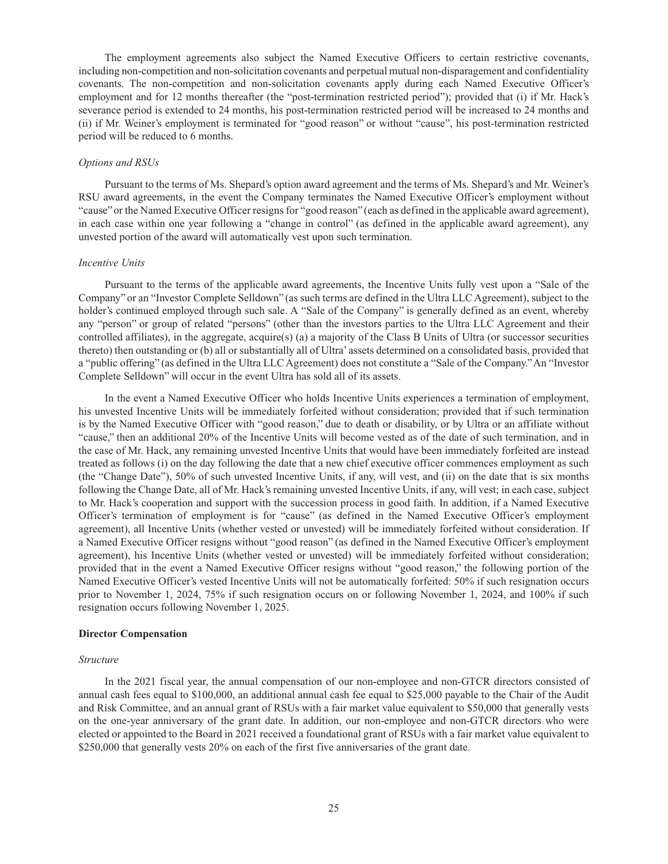The employment agreements also subject the Named Executive Officers to certain restrictive covenants, including non-competition and non-solicitation covenants and perpetual mutual non-disparagement and confidentiality covenants. The non-competition and non-solicitation covenants apply during each Named Executive Officer's employment and for 12 months thereafter (the "post-termination restricted period"); provided that (i) if Mr. Hack's severance period is extended to 24 months, his post-termination restricted period will be increased to 24 months and (ii) if Mr. Weiner's employment is terminated for "good reason" or without "cause", his post-termination restricted period will be reduced to 6 months.

### *Options and RSUs*

Pursuant to the terms of Ms. Shepard's option award agreement and the terms of Ms. Shepard's and Mr. Weiner's RSU award agreements, in the event the Company terminates the Named Executive Officer's employment without "cause" or the Named Executive Officer resigns for "good reason" (each as defined in the applicable award agreement), in each case within one year following a "change in control" (as defined in the applicable award agreement), any unvested portion of the award will automatically vest upon such termination.

#### *Incentive Units*

Pursuant to the terms of the applicable award agreements, the Incentive Units fully vest upon a "Sale of the Company" or an "Investor Complete Selldown" (as such terms are defined in the Ultra LLC Agreement), subject to the holder's continued employed through such sale. A "Sale of the Company" is generally defined as an event, whereby any "person" or group of related "persons" (other than the investors parties to the Ultra LLC Agreement and their controlled affiliates), in the aggregate, acquire(s) (a) a majority of the Class B Units of Ultra (or successor securities thereto) then outstanding or (b) all or substantially all of Ultra' assets determined on a consolidated basis, provided that a "public offering" (as defined in the Ultra LLC Agreement) does not constitute a "Sale of the Company." An "Investor Complete Selldown" will occur in the event Ultra has sold all of its assets.

In the event a Named Executive Officer who holds Incentive Units experiences a termination of employment, his unvested Incentive Units will be immediately forfeited without consideration; provided that if such termination is by the Named Executive Officer with "good reason," due to death or disability, or by Ultra or an affiliate without "cause," then an additional 20% of the Incentive Units will become vested as of the date of such termination, and in the case of Mr. Hack, any remaining unvested Incentive Units that would have been immediately forfeited are instead treated as follows (i) on the day following the date that a new chief executive officer commences employment as such (the "Change Date"), 50% of such unvested Incentive Units, if any, will vest, and (ii) on the date that is six months following the Change Date, all of Mr. Hack's remaining unvested Incentive Units, if any, will vest; in each case, subject to Mr. Hack's cooperation and support with the succession process in good faith. In addition, if a Named Executive Officer's termination of employment is for "cause" (as defined in the Named Executive Officer's employment agreement), all Incentive Units (whether vested or unvested) will be immediately forfeited without consideration. If a Named Executive Officer resigns without "good reason" (as defined in the Named Executive Officer's employment agreement), his Incentive Units (whether vested or unvested) will be immediately forfeited without consideration; provided that in the event a Named Executive Officer resigns without "good reason," the following portion of the Named Executive Officer's vested Incentive Units will not be automatically forfeited: 50% if such resignation occurs prior to November 1, 2024, 75% if such resignation occurs on or following November 1, 2024, and 100% if such resignation occurs following November 1, 2025.

### **Director Compensation**

#### *Structure*

In the 2021 fiscal year, the annual compensation of our non-employee and non-GTCR directors consisted of annual cash fees equal to \$100,000, an additional annual cash fee equal to \$25,000 payable to the Chair of the Audit and Risk Committee, and an annual grant of RSUs with a fair market value equivalent to \$50,000 that generally vests on the one-year anniversary of the grant date. In addition, our non-employee and non-GTCR directors who were elected or appointed to the Board in 2021 received a foundational grant of RSUs with a fair market value equivalent to \$250,000 that generally vests 20% on each of the first five anniversaries of the grant date.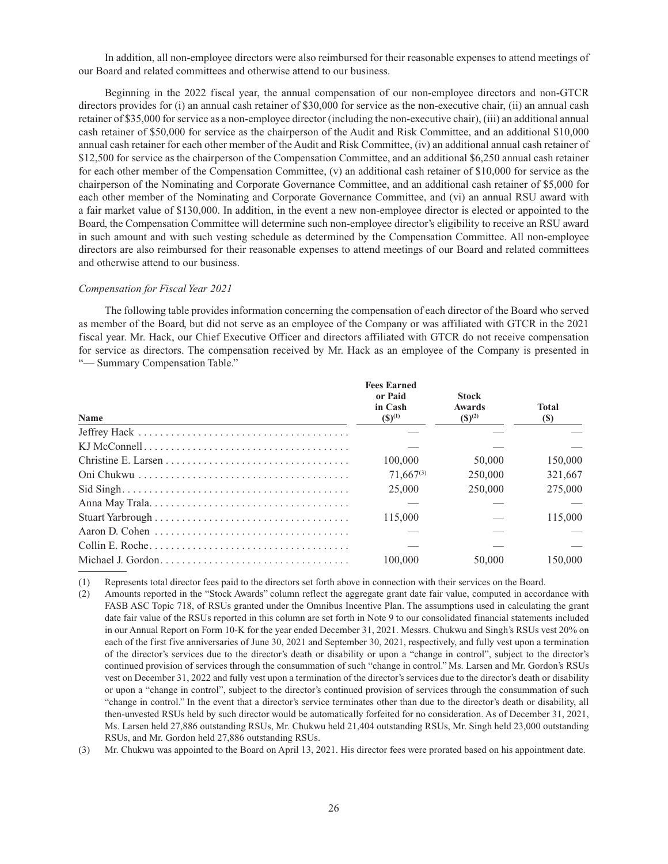In addition, all non-employee directors were also reimbursed for their reasonable expenses to attend meetings of our Board and related committees and otherwise attend to our business.

Beginning in the 2022 fiscal year, the annual compensation of our non-employee directors and non-GTCR directors provides for (i) an annual cash retainer of \$30,000 for service as the non-executive chair, (ii) an annual cash retainer of \$35,000 for service as a non-employee director (including the non-executive chair), (iii) an additional annual cash retainer of \$50,000 for service as the chairperson of the Audit and Risk Committee, and an additional \$10,000 annual cash retainer for each other member of the Audit and Risk Committee, (iv) an additional annual cash retainer of \$12,500 for service as the chairperson of the Compensation Committee, and an additional \$6,250 annual cash retainer for each other member of the Compensation Committee, (v) an additional cash retainer of \$10,000 for service as the chairperson of the Nominating and Corporate Governance Committee, and an additional cash retainer of \$5,000 for each other member of the Nominating and Corporate Governance Committee, and (vi) an annual RSU award with a fair market value of \$130,000. In addition, in the event a new non-employee director is elected or appointed to the Board, the Compensation Committee will determine such non-employee director's eligibility to receive an RSU award in such amount and with such vesting schedule as determined by the Compensation Committee. All non-employee directors are also reimbursed for their reasonable expenses to attend meetings of our Board and related committees and otherwise attend to our business.

#### *Compensation for Fiscal Year 2021*

The following table provides information concerning the compensation of each director of the Board who served as member of the Board, but did not serve as an employee of the Company or was affiliated with GTCR in the 2021 fiscal year. Mr. Hack, our Chief Executive Officer and directors affiliated with GTCR do not receive compensation for service as directors. The compensation received by Mr. Hack as an employee of the Company is presented in "— Summary Compensation Table."

| <b>Name</b> | <b>Fees Earned</b><br>or Paid<br>in Cash<br>$(S)^{(1)}$ | <b>Stock</b><br>Awards<br>$(S)^{(2)}$ | <b>Total</b><br>$\left( \mathbb{S}\right)$ |
|-------------|---------------------------------------------------------|---------------------------------------|--------------------------------------------|
|             |                                                         |                                       |                                            |
|             |                                                         |                                       |                                            |
|             | 100,000                                                 | 50,000                                | 150,000                                    |
|             | $71.667^{(3)}$                                          | 250,000                               | 321,667                                    |
|             | 25,000                                                  | 250,000                               | 275,000                                    |
|             |                                                         |                                       |                                            |
|             | 115,000                                                 |                                       | 115,000                                    |
|             |                                                         |                                       |                                            |
|             |                                                         |                                       |                                            |
|             | 100,000                                                 | 50,000                                | 150,000                                    |

(1) Represents total director fees paid to the directors set forth above in connection with their services on the Board.

(2) Amounts reported in the "Stock Awards" column reflect the aggregate grant date fair value, computed in accordance with FASB ASC Topic 718, of RSUs granted under the Omnibus Incentive Plan. The assumptions used in calculating the grant date fair value of the RSUs reported in this column are set forth in Note 9 to our consolidated financial statements included in our Annual Report on Form 10-K for the year ended December 31, 2021. Messrs. Chukwu and Singh's RSUs vest 20% on each of the first five anniversaries of June 30, 2021 and September 30, 2021, respectively, and fully vest upon a termination of the director's services due to the director's death or disability or upon a "change in control", subject to the director's continued provision of services through the consummation of such "change in control." Ms. Larsen and Mr. Gordon's RSUs vest on December 31, 2022 and fully vest upon a termination of the director's services due to the director's death or disability or upon a "change in control", subject to the director's continued provision of services through the consummation of such "change in control." In the event that a director's service terminates other than due to the director's death or disability, all then-unvested RSUs held by such director would be automatically forfeited for no consideration. As of December 31, 2021, Ms. Larsen held 27,886 outstanding RSUs, Mr. Chukwu held 21,404 outstanding RSUs, Mr. Singh held 23,000 outstanding RSUs, and Mr. Gordon held 27,886 outstanding RSUs.

(3) Mr. Chukwu was appointed to the Board on April 13, 2021. His director fees were prorated based on his appointment date.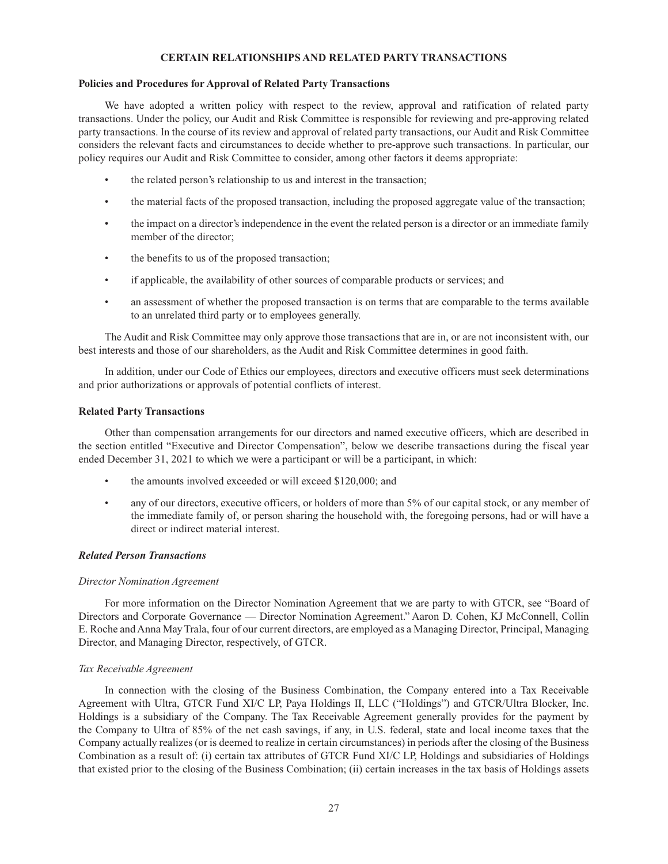## **CERTAIN RELATIONSHIPS AND RELATED PARTY TRANSACTIONS**

## **Policies and Procedures for Approval of Related Party Transactions**

We have adopted a written policy with respect to the review, approval and ratification of related party transactions. Under the policy, our Audit and Risk Committee is responsible for reviewing and pre-approving related party transactions. In the course of its review and approval of related party transactions, our Audit and Risk Committee considers the relevant facts and circumstances to decide whether to pre-approve such transactions. In particular, our policy requires our Audit and Risk Committee to consider, among other factors it deems appropriate:

- the related person's relationship to us and interest in the transaction;
- the material facts of the proposed transaction, including the proposed aggregate value of the transaction;
- the impact on a director's independence in the event the related person is a director or an immediate family member of the director;
- the benefits to us of the proposed transaction;
- if applicable, the availability of other sources of comparable products or services; and
- an assessment of whether the proposed transaction is on terms that are comparable to the terms available to an unrelated third party or to employees generally.

The Audit and Risk Committee may only approve those transactions that are in, or are not inconsistent with, our best interests and those of our shareholders, as the Audit and Risk Committee determines in good faith.

In addition, under our Code of Ethics our employees, directors and executive officers must seek determinations and prior authorizations or approvals of potential conflicts of interest.

### **Related Party Transactions**

Other than compensation arrangements for our directors and named executive officers, which are described in the section entitled "Executive and Director Compensation", below we describe transactions during the fiscal year ended December 31, 2021 to which we were a participant or will be a participant, in which:

- the amounts involved exceeded or will exceed \$120,000; and
- any of our directors, executive officers, or holders of more than 5% of our capital stock, or any member of the immediate family of, or person sharing the household with, the foregoing persons, had or will have a direct or indirect material interest.

### *Related Person Transactions*

### *Director Nomination Agreement*

For more information on the Director Nomination Agreement that we are party to with GTCR, see "Board of Directors and Corporate Governance — Director Nomination Agreement." Aaron D. Cohen, KJ McConnell, Collin E. Roche and Anna May Trala, four of our current directors, are employed as a Managing Director, Principal, Managing Director, and Managing Director, respectively, of GTCR.

## *Tax Receivable Agreement*

In connection with the closing of the Business Combination, the Company entered into a Tax Receivable Agreement with Ultra, GTCR Fund XI/C LP, Paya Holdings II, LLC ("Holdings") and GTCR/Ultra Blocker, Inc. Holdings is a subsidiary of the Company. The Tax Receivable Agreement generally provides for the payment by the Company to Ultra of 85% of the net cash savings, if any, in U.S. federal, state and local income taxes that the Company actually realizes (or is deemed to realize in certain circumstances) in periods after the closing of the Business Combination as a result of: (i) certain tax attributes of GTCR Fund XI/C LP, Holdings and subsidiaries of Holdings that existed prior to the closing of the Business Combination; (ii) certain increases in the tax basis of Holdings assets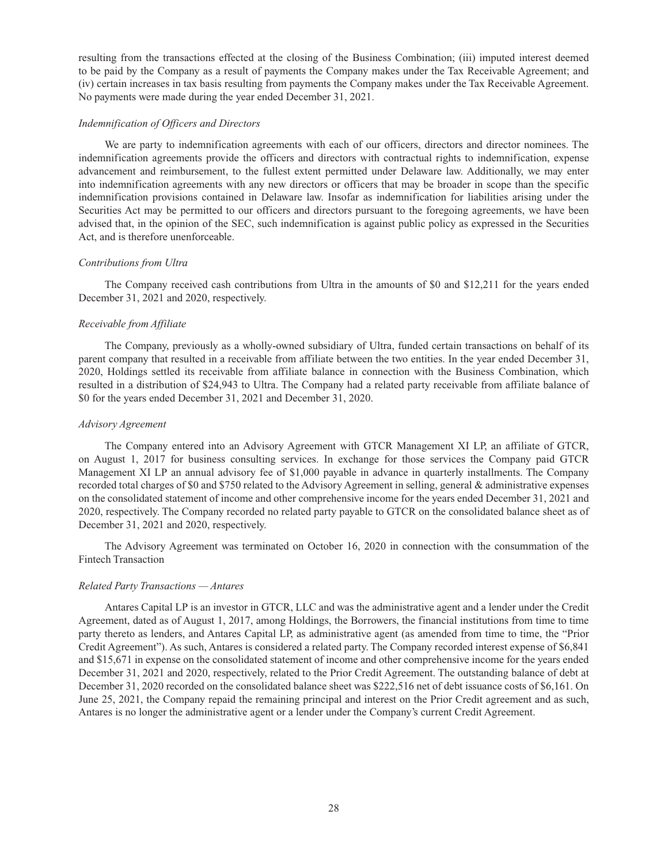resulting from the transactions effected at the closing of the Business Combination; (iii) imputed interest deemed to be paid by the Company as a result of payments the Company makes under the Tax Receivable Agreement; and (iv) certain increases in tax basis resulting from payments the Company makes under the Tax Receivable Agreement. No payments were made during the year ended December 31, 2021.

### *Indemnification of Officers and Directors*

We are party to indemnification agreements with each of our officers, directors and director nominees. The indemnification agreements provide the officers and directors with contractual rights to indemnification, expense advancement and reimbursement, to the fullest extent permitted under Delaware law. Additionally, we may enter into indemnification agreements with any new directors or officers that may be broader in scope than the specific indemnification provisions contained in Delaware law. Insofar as indemnification for liabilities arising under the Securities Act may be permitted to our officers and directors pursuant to the foregoing agreements, we have been advised that, in the opinion of the SEC, such indemnification is against public policy as expressed in the Securities Act, and is therefore unenforceable.

### *Contributions from Ultra*

The Company received cash contributions from Ultra in the amounts of \$0 and \$12,211 for the years ended December 31, 2021 and 2020, respectively.

### *Receivable from Affiliate*

The Company, previously as a wholly-owned subsidiary of Ultra, funded certain transactions on behalf of its parent company that resulted in a receivable from affiliate between the two entities. In the year ended December 31, 2020, Holdings settled its receivable from affiliate balance in connection with the Business Combination, which resulted in a distribution of \$24,943 to Ultra. The Company had a related party receivable from affiliate balance of \$0 for the years ended December 31, 2021 and December 31, 2020.

### *Advisory Agreement*

The Company entered into an Advisory Agreement with GTCR Management XI LP, an affiliate of GTCR, on August 1, 2017 for business consulting services. In exchange for those services the Company paid GTCR Management XI LP an annual advisory fee of \$1,000 payable in advance in quarterly installments. The Company recorded total charges of \$0 and \$750 related to the Advisory Agreement in selling, general & administrative expenses on the consolidated statement of income and other comprehensive income for the years ended December 31, 2021 and 2020, respectively. The Company recorded no related party payable to GTCR on the consolidated balance sheet as of December 31, 2021 and 2020, respectively.

The Advisory Agreement was terminated on October 16, 2020 in connection with the consummation of the Fintech Transaction

### *Related Party Transactions — Antares*

Antares Capital LP is an investor in GTCR, LLC and was the administrative agent and a lender under the Credit Agreement, dated as of August 1, 2017, among Holdings, the Borrowers, the financial institutions from time to time party thereto as lenders, and Antares Capital LP, as administrative agent (as amended from time to time, the "Prior Credit Agreement"). As such, Antares is considered a related party. The Company recorded interest expense of \$6,841 and \$15,671 in expense on the consolidated statement of income and other comprehensive income for the years ended December 31, 2021 and 2020, respectively, related to the Prior Credit Agreement. The outstanding balance of debt at December 31, 2020 recorded on the consolidated balance sheet was \$222,516 net of debt issuance costs of \$6,161. On June 25, 2021, the Company repaid the remaining principal and interest on the Prior Credit agreement and as such, Antares is no longer the administrative agent or a lender under the Company's current Credit Agreement.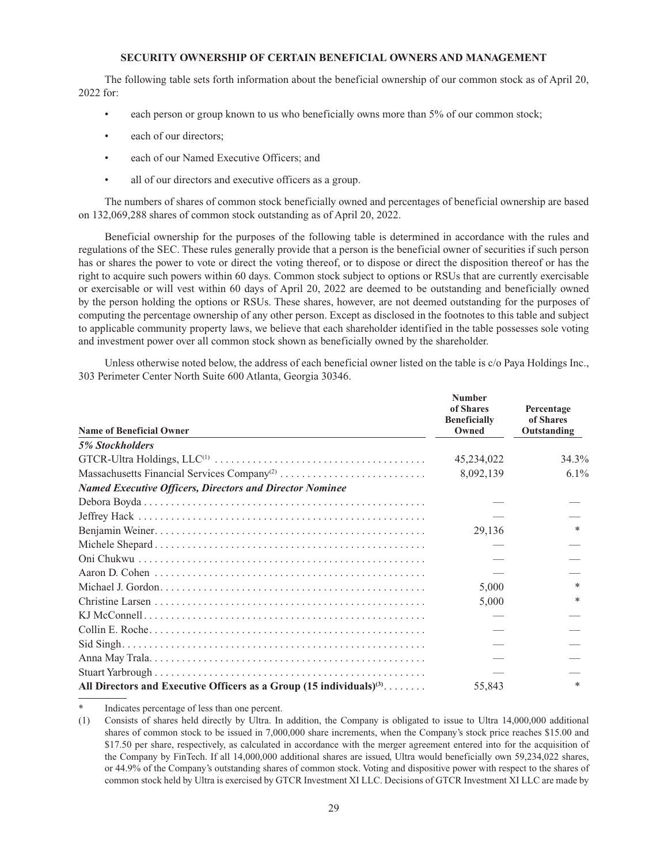### **SECURITY OWNERSHIP OF CERTAIN BENEFICIAL OWNERS AND MANAGEMENT**

The following table sets forth information about the beneficial ownership of our common stock as of April 20, 2022 for:

- each person or group known to us who beneficially owns more than 5% of our common stock;
- each of our directors:
- each of our Named Executive Officers; and
- all of our directors and executive officers as a group.

The numbers of shares of common stock beneficially owned and percentages of beneficial ownership are based on 132,069,288 shares of common stock outstanding as of April 20, 2022.

Beneficial ownership for the purposes of the following table is determined in accordance with the rules and regulations of the SEC. These rules generally provide that a person is the beneficial owner of securities if such person has or shares the power to vote or direct the voting thereof, or to dispose or direct the disposition thereof or has the right to acquire such powers within 60 days. Common stock subject to options or RSUs that are currently exercisable or exercisable or will vest within 60 days of April 20, 2022 are deemed to be outstanding and beneficially owned by the person holding the options or RSUs. These shares, however, are not deemed outstanding for the purposes of computing the percentage ownership of any other person. Except as disclosed in the footnotes to this table and subject to applicable community property laws, we believe that each shareholder identified in the table possesses sole voting and investment power over all common stock shown as beneficially owned by the shareholder.

Unless otherwise noted below, the address of each beneficial owner listed on the table is c/o Paya Holdings Inc., 303 Perimeter Center North Suite 600 Atlanta, Georgia 30346.

| <b>Name of Beneficial Owner</b>                                                  | <b>Number</b><br>of Shares<br><b>Beneficially</b><br>Owned | Percentage<br>of Shares<br>Outstanding |
|----------------------------------------------------------------------------------|------------------------------------------------------------|----------------------------------------|
| <b>5% Stockholders</b>                                                           |                                                            |                                        |
|                                                                                  | 45,234,022                                                 | 34.3%                                  |
| Massachusetts Financial Services Company <sup>(2)</sup>                          | 8,092,139                                                  | $6.1\%$                                |
| <b>Named Executive Officers, Directors and Director Nominee</b>                  |                                                            |                                        |
|                                                                                  |                                                            |                                        |
|                                                                                  |                                                            |                                        |
|                                                                                  | 29,136                                                     | $*$                                    |
|                                                                                  |                                                            |                                        |
|                                                                                  |                                                            |                                        |
|                                                                                  |                                                            |                                        |
|                                                                                  | 5,000                                                      | $*$                                    |
|                                                                                  | 5,000                                                      | $\ast$                                 |
|                                                                                  |                                                            |                                        |
|                                                                                  |                                                            |                                        |
|                                                                                  |                                                            |                                        |
|                                                                                  |                                                            |                                        |
|                                                                                  |                                                            |                                        |
| All Directors and Executive Officers as a Group $(15 \text{ individuals})^{(3)}$ | 55,843                                                     | $*$                                    |

Indicates percentage of less than one percent.

<sup>(1)</sup> Consists of shares held directly by Ultra. In addition, the Company is obligated to issue to Ultra 14,000,000 additional shares of common stock to be issued in 7,000,000 share increments, when the Company's stock price reaches \$15.00 and \$17.50 per share, respectively, as calculated in accordance with the merger agreement entered into for the acquisition of the Company by FinTech. If all 14,000,000 additional shares are issued, Ultra would beneficially own 59,234,022 shares, or 44.9% of the Company's outstanding shares of common stock. Voting and dispositive power with respect to the shares of common stock held by Ultra is exercised by GTCR Investment XI LLC. Decisions of GTCR Investment XI LLC are made by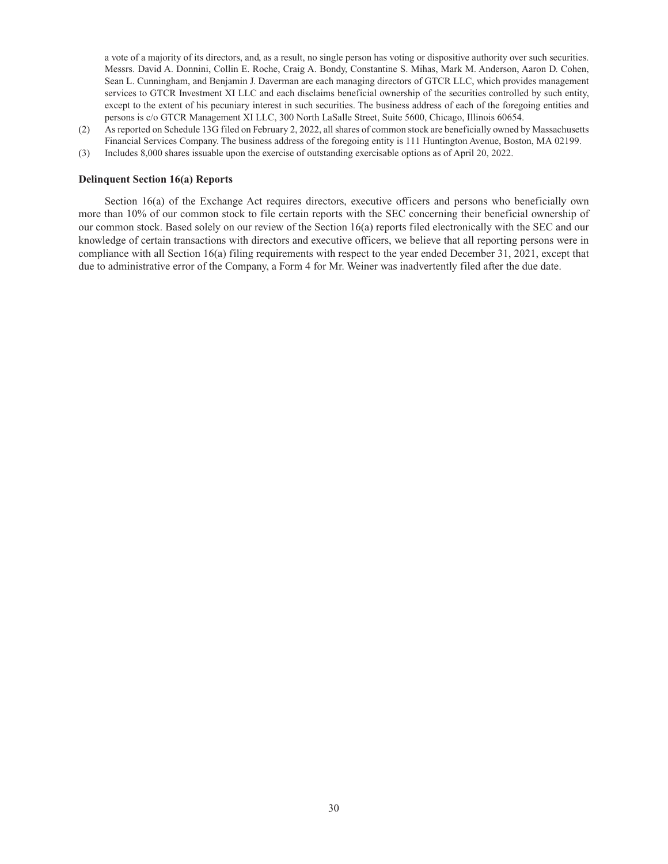a vote of a majority of its directors, and, as a result, no single person has voting or dispositive authority over such securities. Messrs. David A. Donnini, Collin E. Roche, Craig A. Bondy, Constantine S. Mihas, Mark M. Anderson, Aaron D. Cohen, Sean L. Cunningham, and Benjamin J. Daverman are each managing directors of GTCR LLC, which provides management services to GTCR Investment XI LLC and each disclaims beneficial ownership of the securities controlled by such entity, except to the extent of his pecuniary interest in such securities. The business address of each of the foregoing entities and persons is c/o GTCR Management XI LLC, 300 North LaSalle Street, Suite 5600, Chicago, Illinois 60654.

- (2) As reported on Schedule 13G filed on February 2, 2022, all shares of common stock are beneficially owned by Massachusetts Financial Services Company. The business address of the foregoing entity is 111 Huntington Avenue, Boston, MA 02199.
- (3) Includes 8,000 shares issuable upon the exercise of outstanding exercisable options as of April 20, 2022.

### **Delinquent Section 16(a) Reports**

Section 16(a) of the Exchange Act requires directors, executive officers and persons who beneficially own more than 10% of our common stock to file certain reports with the SEC concerning their beneficial ownership of our common stock. Based solely on our review of the Section 16(a) reports filed electronically with the SEC and our knowledge of certain transactions with directors and executive officers, we believe that all reporting persons were in compliance with all Section 16(a) filing requirements with respect to the year ended December 31, 2021, except that due to administrative error of the Company, a Form 4 for Mr. Weiner was inadvertently filed after the due date.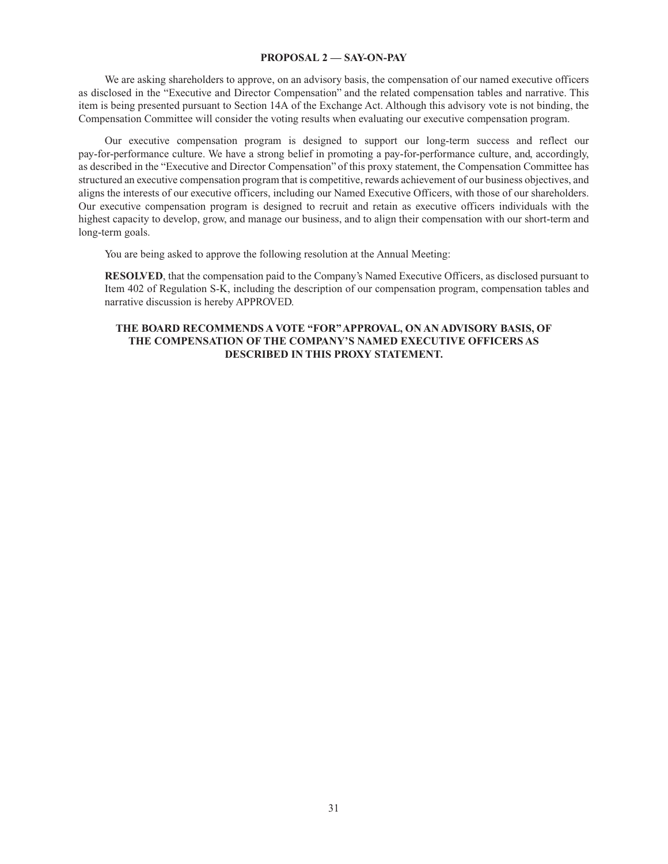### **PROPOSAL 2 — SAY-ON-PAY**

We are asking shareholders to approve, on an advisory basis, the compensation of our named executive officers as disclosed in the "Executive and Director Compensation" and the related compensation tables and narrative. This item is being presented pursuant to Section 14A of the Exchange Act. Although this advisory vote is not binding, the Compensation Committee will consider the voting results when evaluating our executive compensation program.

Our executive compensation program is designed to support our long-term success and reflect our pay-for-performance culture. We have a strong belief in promoting a pay-for-performance culture, and, accordingly, as described in the "Executive and Director Compensation" of this proxy statement, the Compensation Committee has structured an executive compensation program that is competitive, rewards achievement of our business objectives, and aligns the interests of our executive officers, including our Named Executive Officers, with those of our shareholders. Our executive compensation program is designed to recruit and retain as executive officers individuals with the highest capacity to develop, grow, and manage our business, and to align their compensation with our short-term and long-term goals.

You are being asked to approve the following resolution at the Annual Meeting:

**RESOLVED**, that the compensation paid to the Company's Named Executive Officers, as disclosed pursuant to Item 402 of Regulation S-K, including the description of our compensation program, compensation tables and narrative discussion is hereby APPROVED.

## **THE BOARD RECOMMENDS A VOTE "FOR" APPROVAL, ON AN ADVISORY BASIS, OF THE COMPENSATION OF THE COMPANY'S NAMED EXECUTIVE OFFICERS AS DESCRIBED IN THIS PROXY STATEMENT.**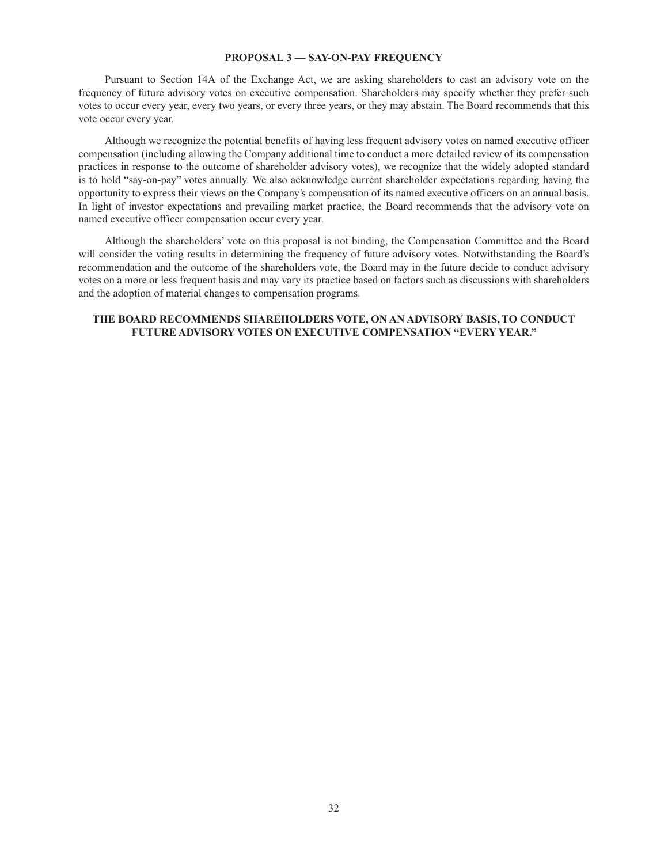#### **PROPOSAL 3 — SAY-ON-PAY FREQUENCY**

Pursuant to Section 14A of the Exchange Act, we are asking shareholders to cast an advisory vote on the frequency of future advisory votes on executive compensation. Shareholders may specify whether they prefer such votes to occur every year, every two years, or every three years, or they may abstain. The Board recommends that this vote occur every year.

Although we recognize the potential benefits of having less frequent advisory votes on named executive officer compensation (including allowing the Company additional time to conduct a more detailed review of its compensation practices in response to the outcome of shareholder advisory votes), we recognize that the widely adopted standard is to hold "say-on-pay" votes annually. We also acknowledge current shareholder expectations regarding having the opportunity to express their views on the Company's compensation of its named executive officers on an annual basis. In light of investor expectations and prevailing market practice, the Board recommends that the advisory vote on named executive officer compensation occur every year.

Although the shareholders' vote on this proposal is not binding, the Compensation Committee and the Board will consider the voting results in determining the frequency of future advisory votes. Notwithstanding the Board's recommendation and the outcome of the shareholders vote, the Board may in the future decide to conduct advisory votes on a more or less frequent basis and may vary its practice based on factors such as discussions with shareholders and the adoption of material changes to compensation programs.

# **THE BOARD RECOMMENDS SHAREHOLDERS VOTE, ON AN ADVISORY BASIS, TO CONDUCT FUTURE ADVISORY VOTES ON EXECUTIVE COMPENSATION "EVERY YEAR."**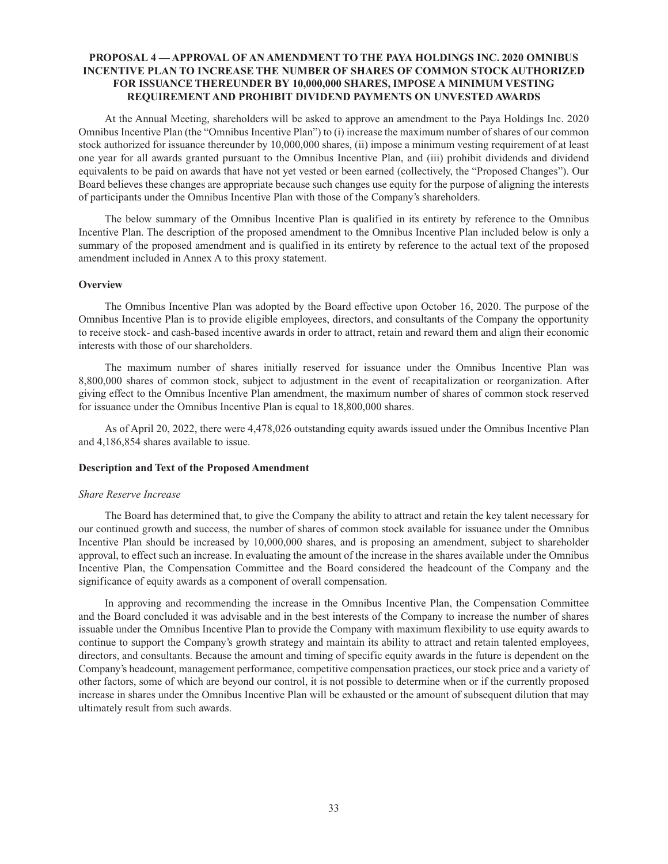## **PROPOSAL 4 — APPROVAL OF AN AMENDMENT TO THE PAYA HOLDINGS INC. 2020 OMNIBUS INCENTIVE PLAN TO INCREASE THE NUMBER OF SHARES OF COMMON STOCK AUTHORIZED FOR ISSUANCE THEREUNDER BY 10,000,000 SHARES, IMPOSE A MINIMUM VESTING REQUIREMENT AND PROHIBIT DIVIDEND PAYMENTS ON UNVESTED AWARDS**

At the Annual Meeting, shareholders will be asked to approve an amendment to the Paya Holdings Inc. 2020 Omnibus Incentive Plan (the "Omnibus Incentive Plan") to (i) increase the maximum number of shares of our common stock authorized for issuance thereunder by 10,000,000 shares, (ii) impose a minimum vesting requirement of at least one year for all awards granted pursuant to the Omnibus Incentive Plan, and (iii) prohibit dividends and dividend equivalents to be paid on awards that have not yet vested or been earned (collectively, the "Proposed Changes"). Our Board believes these changes are appropriate because such changes use equity for the purpose of aligning the interests of participants under the Omnibus Incentive Plan with those of the Company's shareholders.

The below summary of the Omnibus Incentive Plan is qualified in its entirety by reference to the Omnibus Incentive Plan. The description of the proposed amendment to the Omnibus Incentive Plan included below is only a summary of the proposed amendment and is qualified in its entirety by reference to the actual text of the proposed amendment included in Annex A to this proxy statement.

### **Overview**

The Omnibus Incentive Plan was adopted by the Board effective upon October 16, 2020. The purpose of the Omnibus Incentive Plan is to provide eligible employees, directors, and consultants of the Company the opportunity to receive stock- and cash-based incentive awards in order to attract, retain and reward them and align their economic interests with those of our shareholders.

The maximum number of shares initially reserved for issuance under the Omnibus Incentive Plan was 8,800,000 shares of common stock, subject to adjustment in the event of recapitalization or reorganization. After giving effect to the Omnibus Incentive Plan amendment, the maximum number of shares of common stock reserved for issuance under the Omnibus Incentive Plan is equal to 18,800,000 shares.

As of April 20, 2022, there were 4,478,026 outstanding equity awards issued under the Omnibus Incentive Plan and 4,186,854 shares available to issue.

### **Description and Text of the Proposed Amendment**

#### *Share Reserve Increase*

The Board has determined that, to give the Company the ability to attract and retain the key talent necessary for our continued growth and success, the number of shares of common stock available for issuance under the Omnibus Incentive Plan should be increased by 10,000,000 shares, and is proposing an amendment, subject to shareholder approval, to effect such an increase. In evaluating the amount of the increase in the shares available under the Omnibus Incentive Plan, the Compensation Committee and the Board considered the headcount of the Company and the significance of equity awards as a component of overall compensation.

In approving and recommending the increase in the Omnibus Incentive Plan, the Compensation Committee and the Board concluded it was advisable and in the best interests of the Company to increase the number of shares issuable under the Omnibus Incentive Plan to provide the Company with maximum flexibility to use equity awards to continue to support the Company's growth strategy and maintain its ability to attract and retain talented employees, directors, and consultants. Because the amount and timing of specific equity awards in the future is dependent on the Company's headcount, management performance, competitive compensation practices, our stock price and a variety of other factors, some of which are beyond our control, it is not possible to determine when or if the currently proposed increase in shares under the Omnibus Incentive Plan will be exhausted or the amount of subsequent dilution that may ultimately result from such awards.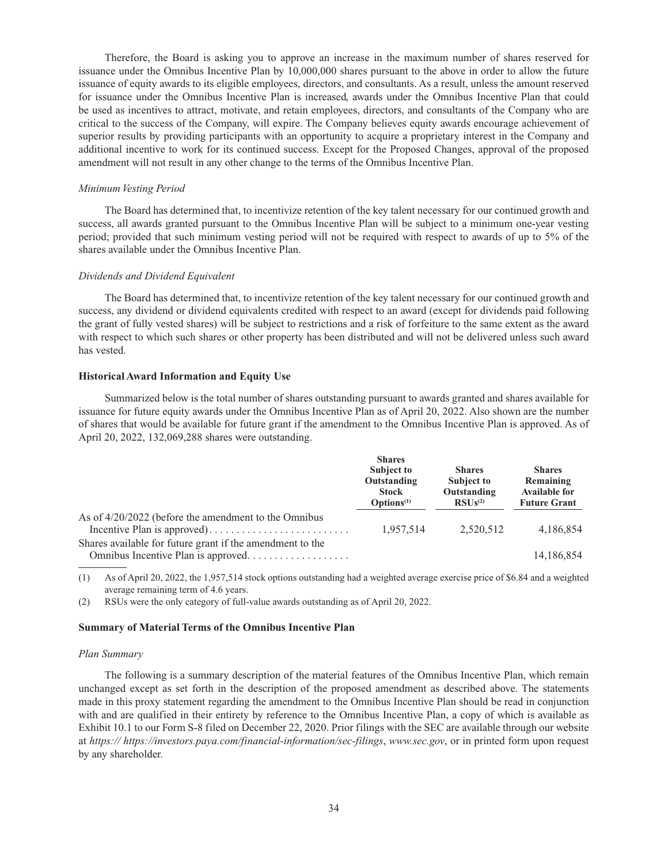Therefore, the Board is asking you to approve an increase in the maximum number of shares reserved for issuance under the Omnibus Incentive Plan by 10,000,000 shares pursuant to the above in order to allow the future issuance of equity awards to its eligible employees, directors, and consultants. As a result, unless the amount reserved for issuance under the Omnibus Incentive Plan is increased, awards under the Omnibus Incentive Plan that could be used as incentives to attract, motivate, and retain employees, directors, and consultants of the Company who are critical to the success of the Company, will expire. The Company believes equity awards encourage achievement of superior results by providing participants with an opportunity to acquire a proprietary interest in the Company and additional incentive to work for its continued success. Except for the Proposed Changes, approval of the proposed amendment will not result in any other change to the terms of the Omnibus Incentive Plan.

### *Minimum Vesting Period*

The Board has determined that, to incentivize retention of the key talent necessary for our continued growth and success, all awards granted pursuant to the Omnibus Incentive Plan will be subject to a minimum one-year vesting period; provided that such minimum vesting period will not be required with respect to awards of up to 5% of the shares available under the Omnibus Incentive Plan.

### *Dividends and Dividend Equivalent*

The Board has determined that, to incentivize retention of the key talent necessary for our continued growth and success, any dividend or dividend equivalents credited with respect to an award (except for dividends paid following the grant of fully vested shares) will be subject to restrictions and a risk of forfeiture to the same extent as the award with respect to which such shares or other property has been distributed and will not be delivered unless such award has vested.

### **Historical Award Information and Equity Use**

Summarized below is the total number of shares outstanding pursuant to awards granted and shares available for issuance for future equity awards under the Omnibus Incentive Plan as of April 20, 2022. Also shown are the number of shares that would be available for future grant if the amendment to the Omnibus Incentive Plan is approved. As of April 20, 2022, 132,069,288 shares were outstanding.

|                                                                                                 | <b>Shares</b><br><b>Subject to</b><br>Outstanding<br><b>Stock</b><br>$\mathbf{Options}^{(1)}$ | <b>Shares</b><br><b>Subject to</b><br>Outstanding<br>$RSUs^{(2)}$ | <b>Shares</b><br>Remaining<br><b>Available for</b><br><b>Future Grant</b> |
|-------------------------------------------------------------------------------------------------|-----------------------------------------------------------------------------------------------|-------------------------------------------------------------------|---------------------------------------------------------------------------|
| As of $4/20/2022$ (before the amendment to the Omnibus                                          | 1,957,514                                                                                     | 2,520,512                                                         | 4,186,854                                                                 |
| Shares available for future grant if the amendment to the<br>Omnibus Incentive Plan is approved |                                                                                               |                                                                   | 14,186,854                                                                |

(1) As of April 20, 2022, the 1,957,514 stock options outstanding had a weighted average exercise price of \$6.84 and a weighted average remaining term of 4.6 years.

(2) RSUs were the only category of full-value awards outstanding as of April 20, 2022.

#### **Summary of Material Terms of the Omnibus Incentive Plan**

#### *Plan Summary*

The following is a summary description of the material features of the Omnibus Incentive Plan, which remain unchanged except as set forth in the description of the proposed amendment as described above. The statements made in this proxy statement regarding the amendment to the Omnibus Incentive Plan should be read in conjunction with and are qualified in their entirety by reference to the Omnibus Incentive Plan, a copy of which is available as Exhibit 10.1 to our Form S-8 filed on December 22, 2020. Prior filings with the SEC are available through our website at *https:// https://investors.paya.com/financial-information/sec-filings*, *www.sec.gov*, or in printed form upon request by any shareholder.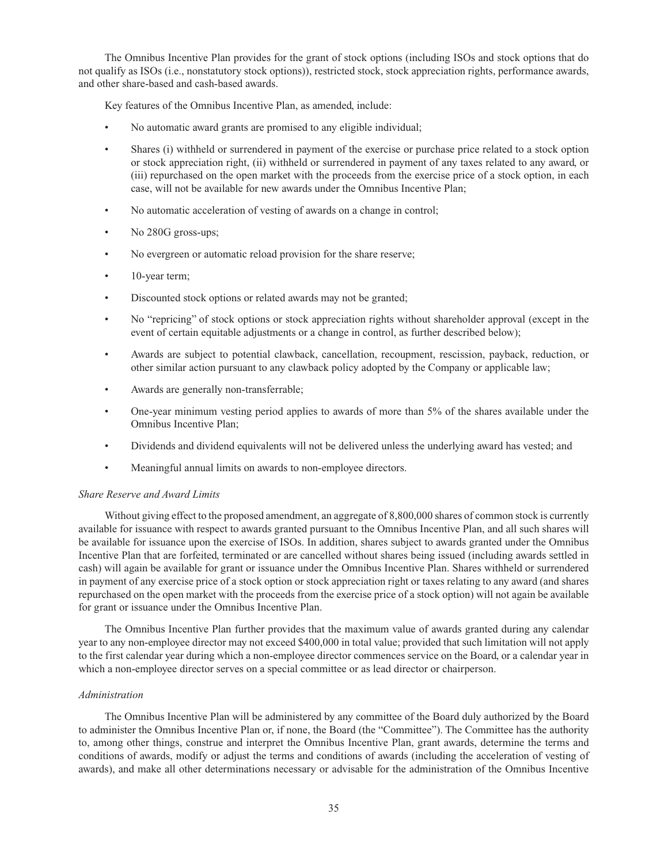The Omnibus Incentive Plan provides for the grant of stock options (including ISOs and stock options that do not qualify as ISOs (i.e., nonstatutory stock options)), restricted stock, stock appreciation rights, performance awards, and other share-based and cash-based awards.

Key features of the Omnibus Incentive Plan, as amended, include:

- No automatic award grants are promised to any eligible individual;
- Shares (i) withheld or surrendered in payment of the exercise or purchase price related to a stock option or stock appreciation right, (ii) withheld or surrendered in payment of any taxes related to any award, or (iii) repurchased on the open market with the proceeds from the exercise price of a stock option, in each case, will not be available for new awards under the Omnibus Incentive Plan;
- No automatic acceleration of vesting of awards on a change in control;
- No 280G gross-ups;
- No evergreen or automatic reload provision for the share reserve;
- 10-year term;
- Discounted stock options or related awards may not be granted;
- No "repricing" of stock options or stock appreciation rights without shareholder approval (except in the event of certain equitable adjustments or a change in control, as further described below);
- Awards are subject to potential clawback, cancellation, recoupment, rescission, payback, reduction, or other similar action pursuant to any clawback policy adopted by the Company or applicable law;
- Awards are generally non-transferrable;
- One-year minimum vesting period applies to awards of more than 5% of the shares available under the Omnibus Incentive Plan;
- Dividends and dividend equivalents will not be delivered unless the underlying award has vested; and
- Meaningful annual limits on awards to non-employee directors.

### *Share Reserve and Award Limits*

Without giving effect to the proposed amendment, an aggregate of 8,800,000 shares of common stock is currently available for issuance with respect to awards granted pursuant to the Omnibus Incentive Plan, and all such shares will be available for issuance upon the exercise of ISOs. In addition, shares subject to awards granted under the Omnibus Incentive Plan that are forfeited, terminated or are cancelled without shares being issued (including awards settled in cash) will again be available for grant or issuance under the Omnibus Incentive Plan. Shares withheld or surrendered in payment of any exercise price of a stock option or stock appreciation right or taxes relating to any award (and shares repurchased on the open market with the proceeds from the exercise price of a stock option) will not again be available for grant or issuance under the Omnibus Incentive Plan.

The Omnibus Incentive Plan further provides that the maximum value of awards granted during any calendar year to any non-employee director may not exceed \$400,000 in total value; provided that such limitation will not apply to the first calendar year during which a non-employee director commences service on the Board, or a calendar year in which a non-employee director serves on a special committee or as lead director or chairperson.

### *Administration*

The Omnibus Incentive Plan will be administered by any committee of the Board duly authorized by the Board to administer the Omnibus Incentive Plan or, if none, the Board (the "Committee"). The Committee has the authority to, among other things, construe and interpret the Omnibus Incentive Plan, grant awards, determine the terms and conditions of awards, modify or adjust the terms and conditions of awards (including the acceleration of vesting of awards), and make all other determinations necessary or advisable for the administration of the Omnibus Incentive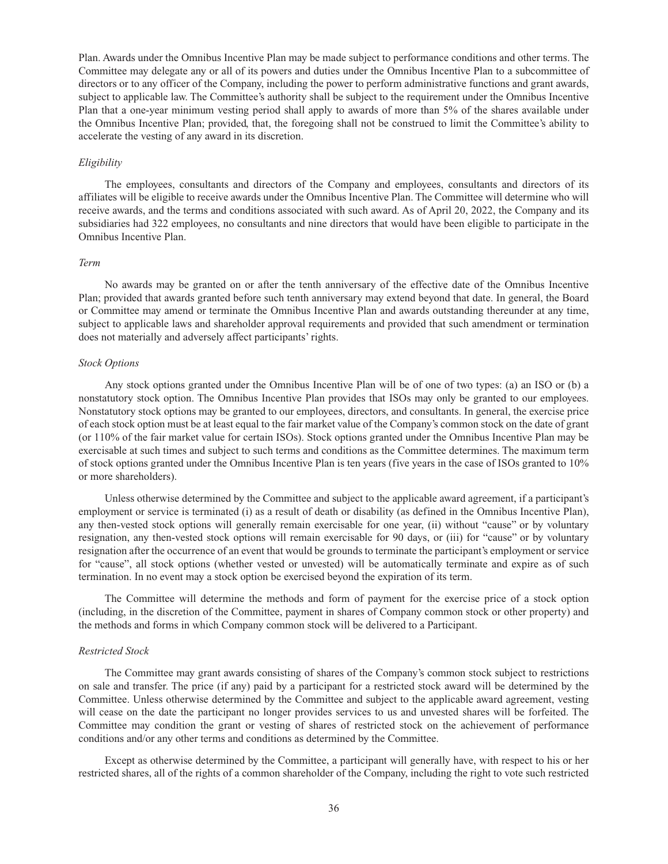Plan. Awards under the Omnibus Incentive Plan may be made subject to performance conditions and other terms. The Committee may delegate any or all of its powers and duties under the Omnibus Incentive Plan to a subcommittee of directors or to any officer of the Company, including the power to perform administrative functions and grant awards, subject to applicable law. The Committee's authority shall be subject to the requirement under the Omnibus Incentive Plan that a one-year minimum vesting period shall apply to awards of more than 5% of the shares available under the Omnibus Incentive Plan; provided, that, the foregoing shall not be construed to limit the Committee's ability to accelerate the vesting of any award in its discretion.

#### *Eligibility*

The employees, consultants and directors of the Company and employees, consultants and directors of its affiliates will be eligible to receive awards under the Omnibus Incentive Plan. The Committee will determine who will receive awards, and the terms and conditions associated with such award. As of April 20, 2022, the Company and its subsidiaries had 322 employees, no consultants and nine directors that would have been eligible to participate in the Omnibus Incentive Plan.

### *Term*

No awards may be granted on or after the tenth anniversary of the effective date of the Omnibus Incentive Plan; provided that awards granted before such tenth anniversary may extend beyond that date. In general, the Board or Committee may amend or terminate the Omnibus Incentive Plan and awards outstanding thereunder at any time, subject to applicable laws and shareholder approval requirements and provided that such amendment or termination does not materially and adversely affect participants' rights.

### *Stock Options*

Any stock options granted under the Omnibus Incentive Plan will be of one of two types: (a) an ISO or (b) a nonstatutory stock option. The Omnibus Incentive Plan provides that ISOs may only be granted to our employees. Nonstatutory stock options may be granted to our employees, directors, and consultants. In general, the exercise price of each stock option must be at least equal to the fair market value of the Company's common stock on the date of grant (or 110% of the fair market value for certain ISOs). Stock options granted under the Omnibus Incentive Plan may be exercisable at such times and subject to such terms and conditions as the Committee determines. The maximum term of stock options granted under the Omnibus Incentive Plan is ten years (five years in the case of ISOs granted to 10% or more shareholders).

Unless otherwise determined by the Committee and subject to the applicable award agreement, if a participant's employment or service is terminated (i) as a result of death or disability (as defined in the Omnibus Incentive Plan), any then-vested stock options will generally remain exercisable for one year, (ii) without "cause" or by voluntary resignation, any then-vested stock options will remain exercisable for 90 days, or (iii) for "cause" or by voluntary resignation after the occurrence of an event that would be grounds to terminate the participant's employment or service for "cause", all stock options (whether vested or unvested) will be automatically terminate and expire as of such termination. In no event may a stock option be exercised beyond the expiration of its term.

The Committee will determine the methods and form of payment for the exercise price of a stock option (including, in the discretion of the Committee, payment in shares of Company common stock or other property) and the methods and forms in which Company common stock will be delivered to a Participant.

### *Restricted Stock*

The Committee may grant awards consisting of shares of the Company's common stock subject to restrictions on sale and transfer. The price (if any) paid by a participant for a restricted stock award will be determined by the Committee. Unless otherwise determined by the Committee and subject to the applicable award agreement, vesting will cease on the date the participant no longer provides services to us and unvested shares will be forfeited. The Committee may condition the grant or vesting of shares of restricted stock on the achievement of performance conditions and/or any other terms and conditions as determined by the Committee.

Except as otherwise determined by the Committee, a participant will generally have, with respect to his or her restricted shares, all of the rights of a common shareholder of the Company, including the right to vote such restricted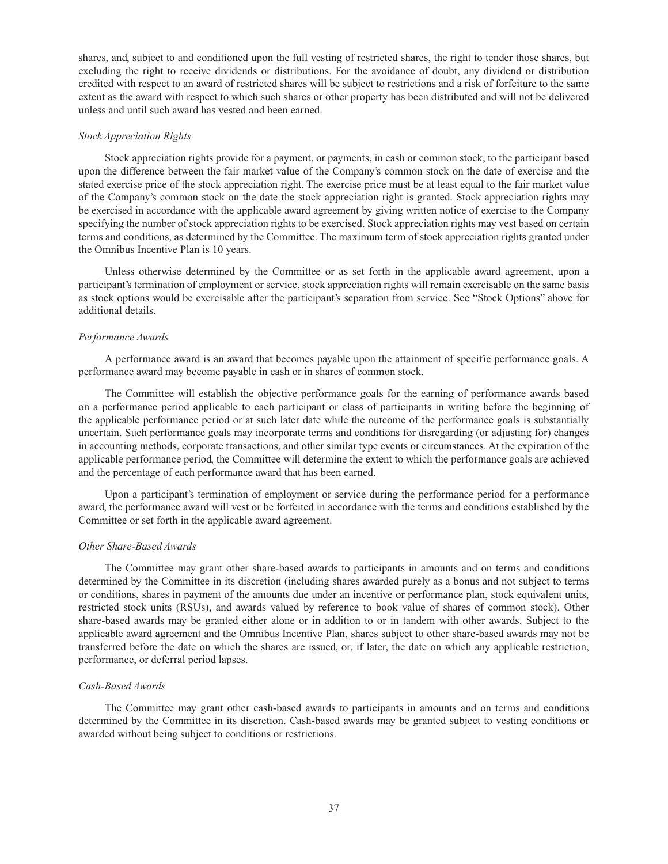shares, and, subject to and conditioned upon the full vesting of restricted shares, the right to tender those shares, but excluding the right to receive dividends or distributions. For the avoidance of doubt, any dividend or distribution credited with respect to an award of restricted shares will be subject to restrictions and a risk of forfeiture to the same extent as the award with respect to which such shares or other property has been distributed and will not be delivered unless and until such award has vested and been earned.

### *Stock Appreciation Rights*

Stock appreciation rights provide for a payment, or payments, in cash or common stock, to the participant based upon the difference between the fair market value of the Company's common stock on the date of exercise and the stated exercise price of the stock appreciation right. The exercise price must be at least equal to the fair market value of the Company's common stock on the date the stock appreciation right is granted. Stock appreciation rights may be exercised in accordance with the applicable award agreement by giving written notice of exercise to the Company specifying the number of stock appreciation rights to be exercised. Stock appreciation rights may vest based on certain terms and conditions, as determined by the Committee. The maximum term of stock appreciation rights granted under the Omnibus Incentive Plan is 10 years.

Unless otherwise determined by the Committee or as set forth in the applicable award agreement, upon a participant's termination of employment or service, stock appreciation rights will remain exercisable on the same basis as stock options would be exercisable after the participant's separation from service. See "Stock Options" above for additional details.

### *Performance Awards*

A performance award is an award that becomes payable upon the attainment of specific performance goals. A performance award may become payable in cash or in shares of common stock.

The Committee will establish the objective performance goals for the earning of performance awards based on a performance period applicable to each participant or class of participants in writing before the beginning of the applicable performance period or at such later date while the outcome of the performance goals is substantially uncertain. Such performance goals may incorporate terms and conditions for disregarding (or adjusting for) changes in accounting methods, corporate transactions, and other similar type events or circumstances. At the expiration of the applicable performance period, the Committee will determine the extent to which the performance goals are achieved and the percentage of each performance award that has been earned.

Upon a participant's termination of employment or service during the performance period for a performance award, the performance award will vest or be forfeited in accordance with the terms and conditions established by the Committee or set forth in the applicable award agreement.

#### *Other Share-Based Awards*

The Committee may grant other share-based awards to participants in amounts and on terms and conditions determined by the Committee in its discretion (including shares awarded purely as a bonus and not subject to terms or conditions, shares in payment of the amounts due under an incentive or performance plan, stock equivalent units, restricted stock units (RSUs), and awards valued by reference to book value of shares of common stock). Other share-based awards may be granted either alone or in addition to or in tandem with other awards. Subject to the applicable award agreement and the Omnibus Incentive Plan, shares subject to other share-based awards may not be transferred before the date on which the shares are issued, or, if later, the date on which any applicable restriction, performance, or deferral period lapses.

#### *Cash-Based Awards*

The Committee may grant other cash-based awards to participants in amounts and on terms and conditions determined by the Committee in its discretion. Cash-based awards may be granted subject to vesting conditions or awarded without being subject to conditions or restrictions.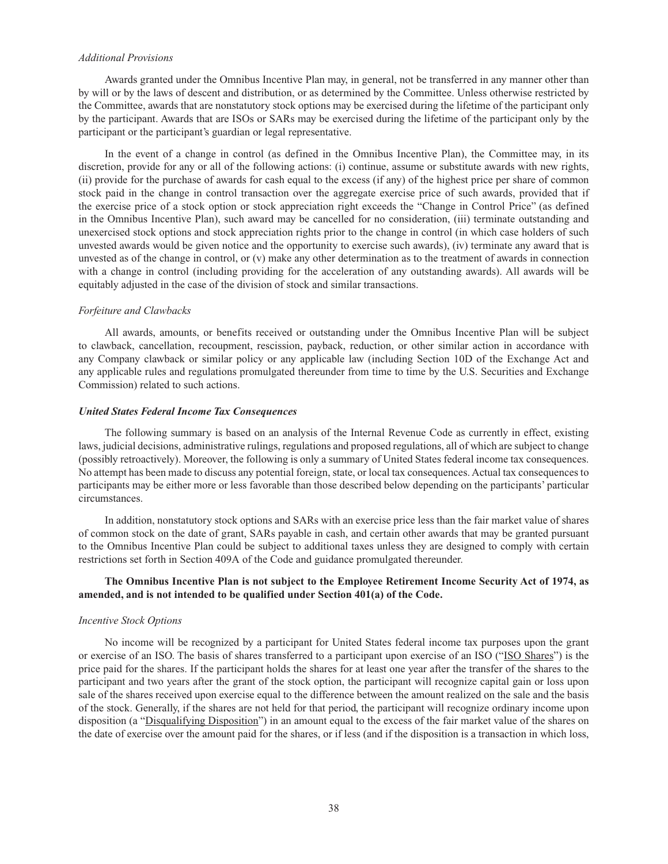### *Additional Provisions*

Awards granted under the Omnibus Incentive Plan may, in general, not be transferred in any manner other than by will or by the laws of descent and distribution, or as determined by the Committee. Unless otherwise restricted by the Committee, awards that are nonstatutory stock options may be exercised during the lifetime of the participant only by the participant. Awards that are ISOs or SARs may be exercised during the lifetime of the participant only by the participant or the participant's guardian or legal representative.

In the event of a change in control (as defined in the Omnibus Incentive Plan), the Committee may, in its discretion, provide for any or all of the following actions: (i) continue, assume or substitute awards with new rights, (ii) provide for the purchase of awards for cash equal to the excess (if any) of the highest price per share of common stock paid in the change in control transaction over the aggregate exercise price of such awards, provided that if the exercise price of a stock option or stock appreciation right exceeds the "Change in Control Price" (as defined in the Omnibus Incentive Plan), such award may be cancelled for no consideration, (iii) terminate outstanding and unexercised stock options and stock appreciation rights prior to the change in control (in which case holders of such unvested awards would be given notice and the opportunity to exercise such awards), (iv) terminate any award that is unvested as of the change in control, or  $(v)$  make any other determination as to the treatment of awards in connection with a change in control (including providing for the acceleration of any outstanding awards). All awards will be equitably adjusted in the case of the division of stock and similar transactions.

#### *Forfeiture and Clawbacks*

All awards, amounts, or benefits received or outstanding under the Omnibus Incentive Plan will be subject to clawback, cancellation, recoupment, rescission, payback, reduction, or other similar action in accordance with any Company clawback or similar policy or any applicable law (including Section 10D of the Exchange Act and any applicable rules and regulations promulgated thereunder from time to time by the U.S. Securities and Exchange Commission) related to such actions.

#### *United States Federal Income Tax Consequences*

The following summary is based on an analysis of the Internal Revenue Code as currently in effect, existing laws, judicial decisions, administrative rulings, regulations and proposed regulations, all of which are subject to change (possibly retroactively). Moreover, the following is only a summary of United States federal income tax consequences. No attempt has been made to discuss any potential foreign, state, or local tax consequences. Actual tax consequences to participants may be either more or less favorable than those described below depending on the participants' particular circumstances.

In addition, nonstatutory stock options and SARs with an exercise price less than the fair market value of shares of common stock on the date of grant, SARs payable in cash, and certain other awards that may be granted pursuant to the Omnibus Incentive Plan could be subject to additional taxes unless they are designed to comply with certain restrictions set forth in Section 409A of the Code and guidance promulgated thereunder.

## **The Omnibus Incentive Plan is not subject to the Employee Retirement Income Security Act of 1974, as amended, and is not intended to be qualified under Section 401(a) of the Code.**

#### *Incentive Stock Options*

No income will be recognized by a participant for United States federal income tax purposes upon the grant or exercise of an ISO. The basis of shares transferred to a participant upon exercise of an ISO ("ISO Shares") is the price paid for the shares. If the participant holds the shares for at least one year after the transfer of the shares to the participant and two years after the grant of the stock option, the participant will recognize capital gain or loss upon sale of the shares received upon exercise equal to the difference between the amount realized on the sale and the basis of the stock. Generally, if the shares are not held for that period, the participant will recognize ordinary income upon disposition (a "Disqualifying Disposition") in an amount equal to the excess of the fair market value of the shares on the date of exercise over the amount paid for the shares, or if less (and if the disposition is a transaction in which loss,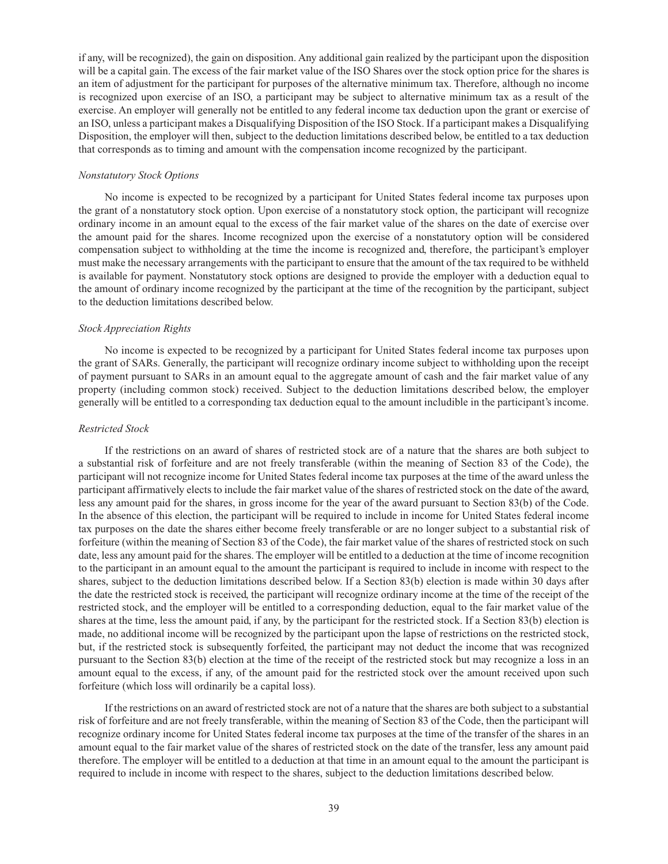if any, will be recognized), the gain on disposition. Any additional gain realized by the participant upon the disposition will be a capital gain. The excess of the fair market value of the ISO Shares over the stock option price for the shares is an item of adjustment for the participant for purposes of the alternative minimum tax. Therefore, although no income is recognized upon exercise of an ISO, a participant may be subject to alternative minimum tax as a result of the exercise. An employer will generally not be entitled to any federal income tax deduction upon the grant or exercise of an ISO, unless a participant makes a Disqualifying Disposition of the ISO Stock. If a participant makes a Disqualifying Disposition, the employer will then, subject to the deduction limitations described below, be entitled to a tax deduction that corresponds as to timing and amount with the compensation income recognized by the participant.

#### *Nonstatutory Stock Options*

No income is expected to be recognized by a participant for United States federal income tax purposes upon the grant of a nonstatutory stock option. Upon exercise of a nonstatutory stock option, the participant will recognize ordinary income in an amount equal to the excess of the fair market value of the shares on the date of exercise over the amount paid for the shares. Income recognized upon the exercise of a nonstatutory option will be considered compensation subject to withholding at the time the income is recognized and, therefore, the participant's employer must make the necessary arrangements with the participant to ensure that the amount of the tax required to be withheld is available for payment. Nonstatutory stock options are designed to provide the employer with a deduction equal to the amount of ordinary income recognized by the participant at the time of the recognition by the participant, subject to the deduction limitations described below.

#### *Stock Appreciation Rights*

No income is expected to be recognized by a participant for United States federal income tax purposes upon the grant of SARs. Generally, the participant will recognize ordinary income subject to withholding upon the receipt of payment pursuant to SARs in an amount equal to the aggregate amount of cash and the fair market value of any property (including common stock) received. Subject to the deduction limitations described below, the employer generally will be entitled to a corresponding tax deduction equal to the amount includible in the participant's income.

#### *Restricted Stock*

If the restrictions on an award of shares of restricted stock are of a nature that the shares are both subject to a substantial risk of forfeiture and are not freely transferable (within the meaning of Section 83 of the Code), the participant will not recognize income for United States federal income tax purposes at the time of the award unless the participant affirmatively elects to include the fair market value of the shares of restricted stock on the date of the award, less any amount paid for the shares, in gross income for the year of the award pursuant to Section 83(b) of the Code. In the absence of this election, the participant will be required to include in income for United States federal income tax purposes on the date the shares either become freely transferable or are no longer subject to a substantial risk of forfeiture (within the meaning of Section 83 of the Code), the fair market value of the shares of restricted stock on such date, less any amount paid for the shares. The employer will be entitled to a deduction at the time of income recognition to the participant in an amount equal to the amount the participant is required to include in income with respect to the shares, subject to the deduction limitations described below. If a Section 83(b) election is made within 30 days after the date the restricted stock is received, the participant will recognize ordinary income at the time of the receipt of the restricted stock, and the employer will be entitled to a corresponding deduction, equal to the fair market value of the shares at the time, less the amount paid, if any, by the participant for the restricted stock. If a Section 83(b) election is made, no additional income will be recognized by the participant upon the lapse of restrictions on the restricted stock, but, if the restricted stock is subsequently forfeited, the participant may not deduct the income that was recognized pursuant to the Section 83(b) election at the time of the receipt of the restricted stock but may recognize a loss in an amount equal to the excess, if any, of the amount paid for the restricted stock over the amount received upon such forfeiture (which loss will ordinarily be a capital loss).

If the restrictions on an award of restricted stock are not of a nature that the shares are both subject to a substantial risk of forfeiture and are not freely transferable, within the meaning of Section 83 of the Code, then the participant will recognize ordinary income for United States federal income tax purposes at the time of the transfer of the shares in an amount equal to the fair market value of the shares of restricted stock on the date of the transfer, less any amount paid therefore. The employer will be entitled to a deduction at that time in an amount equal to the amount the participant is required to include in income with respect to the shares, subject to the deduction limitations described below.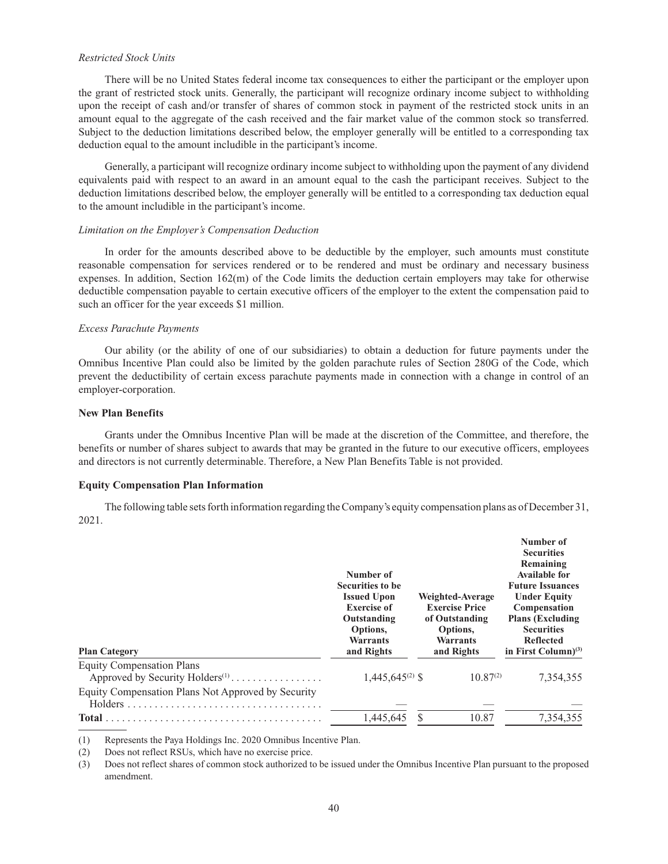### *Restricted Stock Units*

There will be no United States federal income tax consequences to either the participant or the employer upon the grant of restricted stock units. Generally, the participant will recognize ordinary income subject to withholding upon the receipt of cash and/or transfer of shares of common stock in payment of the restricted stock units in an amount equal to the aggregate of the cash received and the fair market value of the common stock so transferred. Subject to the deduction limitations described below, the employer generally will be entitled to a corresponding tax deduction equal to the amount includible in the participant's income.

Generally, a participant will recognize ordinary income subject to withholding upon the payment of any dividend equivalents paid with respect to an award in an amount equal to the cash the participant receives. Subject to the deduction limitations described below, the employer generally will be entitled to a corresponding tax deduction equal to the amount includible in the participant's income.

#### *Limitation on the Employer's Compensation Deduction*

In order for the amounts described above to be deductible by the employer, such amounts must constitute reasonable compensation for services rendered or to be rendered and must be ordinary and necessary business expenses. In addition, Section 162(m) of the Code limits the deduction certain employers may take for otherwise deductible compensation payable to certain executive officers of the employer to the extent the compensation paid to such an officer for the year exceeds \$1 million.

#### *Excess Parachute Payments*

Our ability (or the ability of one of our subsidiaries) to obtain a deduction for future payments under the Omnibus Incentive Plan could also be limited by the golden parachute rules of Section 280G of the Code, which prevent the deductibility of certain excess parachute payments made in connection with a change in control of an employer-corporation.

### **New Plan Benefits**

Grants under the Omnibus Incentive Plan will be made at the discretion of the Committee, and therefore, the benefits or number of shares subject to awards that may be granted in the future to our executive officers, employees and directors is not currently determinable. Therefore, a New Plan Benefits Table is not provided.

### **Equity Compensation Plan Information**

The following table sets forth information regarding the Company's equity compensation plans as of December 31, 2021.

| <b>Plan Category</b>                                                            | Number of<br><b>Securities to be</b><br><b>Issued Upon</b><br><b>Exercise of</b><br>Outstanding<br>Options,<br>Warrants<br>and Rights | Weighted-Average<br><b>Exercise Price</b><br>of Outstanding<br>Options,<br>Warrants<br>and Rights | Number of<br><b>Securities</b><br>Remaining<br><b>Available for</b><br><b>Future Issuances</b><br><b>Under Equity</b><br>Compensation<br><b>Plans (Excluding)</b><br><b>Securities</b><br><b>Reflected</b><br>in First Column $)^{(3)}$ |
|---------------------------------------------------------------------------------|---------------------------------------------------------------------------------------------------------------------------------------|---------------------------------------------------------------------------------------------------|-----------------------------------------------------------------------------------------------------------------------------------------------------------------------------------------------------------------------------------------|
| <b>Equity Compensation Plans</b><br>Approved by Security Holders <sup>(1)</sup> | $1,445,645^{(2)}$ \$                                                                                                                  | $10.87^{(2)}$                                                                                     | 7,354,355                                                                                                                                                                                                                               |
| Equity Compensation Plans Not Approved by Security                              |                                                                                                                                       |                                                                                                   |                                                                                                                                                                                                                                         |
| <b>Total</b>                                                                    | 1,445,645                                                                                                                             | 10.87                                                                                             | 7.354.355                                                                                                                                                                                                                               |

(1) Represents the Paya Holdings Inc. 2020 Omnibus Incentive Plan.

(2) Does not reflect RSUs, which have no exercise price.

(3) Does not reflect shares of common stock authorized to be issued under the Omnibus Incentive Plan pursuant to the proposed amendment.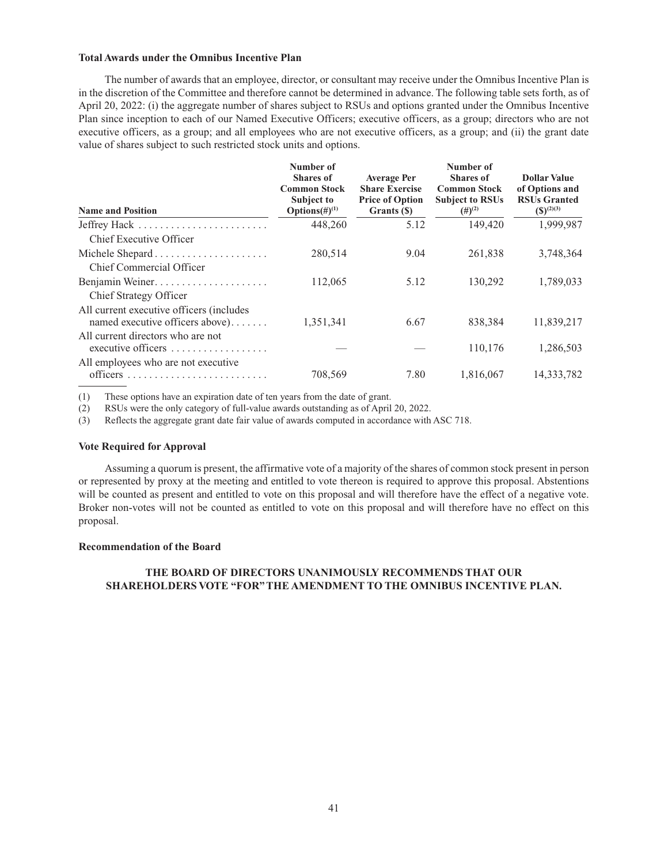### **Total Awards under the Omnibus Incentive Plan**

The number of awards that an employee, director, or consultant may receive under the Omnibus Incentive Plan is in the discretion of the Committee and therefore cannot be determined in advance. The following table sets forth, as of April 20, 2022: (i) the aggregate number of shares subject to RSUs and options granted under the Omnibus Incentive Plan since inception to each of our Named Executive Officers; executive officers, as a group; directors who are not executive officers, as a group; and all employees who are not executive officers, as a group; and (ii) the grant date value of shares subject to such restricted stock units and options.

| <b>Name and Position</b>                                                    | Number of<br><b>Shares of</b><br><b>Common Stock</b><br><b>Subject to</b><br>Options $(\#)^{(1)}$ | <b>Average Per</b><br><b>Share Exercise</b><br><b>Price of Option</b><br>Grants (\$) | Number of<br><b>Shares of</b><br><b>Common Stock</b><br><b>Subject to RSUs</b><br>$(#)^{(2)}$ | <b>Dollar Value</b><br>of Options and<br><b>RSUs Granted</b><br>$({\mathbb S})^{(2)(3)}$ |
|-----------------------------------------------------------------------------|---------------------------------------------------------------------------------------------------|--------------------------------------------------------------------------------------|-----------------------------------------------------------------------------------------------|------------------------------------------------------------------------------------------|
| Jeffrey Hack                                                                | 448,260                                                                                           | 5.12                                                                                 | 149,420                                                                                       | 1,999,987                                                                                |
| Chief Executive Officer                                                     |                                                                                                   |                                                                                      |                                                                                               |                                                                                          |
|                                                                             | 280,514                                                                                           | 9.04                                                                                 | 261,838                                                                                       | 3,748,364                                                                                |
| Chief Commercial Officer                                                    |                                                                                                   |                                                                                      |                                                                                               |                                                                                          |
| Benjamin Weiner                                                             | 112,065                                                                                           | 5.12                                                                                 | 130,292                                                                                       | 1,789,033                                                                                |
| Chief Strategy Officer                                                      |                                                                                                   |                                                                                      |                                                                                               |                                                                                          |
| All current executive officers (includes<br>named executive officers above) | 1,351,341                                                                                         | 6.67                                                                                 | 838,384                                                                                       | 11,839,217                                                                               |
| All current directors who are not<br>executive officers                     |                                                                                                   |                                                                                      | 110,176                                                                                       | 1,286,503                                                                                |
| All employees who are not executive.                                        |                                                                                                   |                                                                                      |                                                                                               |                                                                                          |
| officers                                                                    | 708.569                                                                                           | 7.80                                                                                 | 1,816,067                                                                                     | 14,333,782                                                                               |

(1) These options have an expiration date of ten years from the date of grant.

(2) RSUs were the only category of full-value awards outstanding as of April 20, 2022.

(3) Reflects the aggregate grant date fair value of awards computed in accordance with ASC 718.

### **Vote Required for Approval**

Assuming a quorum is present, the affirmative vote of a majority of the shares of common stock present in person or represented by proxy at the meeting and entitled to vote thereon is required to approve this proposal. Abstentions will be counted as present and entitled to vote on this proposal and will therefore have the effect of a negative vote. Broker non-votes will not be counted as entitled to vote on this proposal and will therefore have no effect on this proposal.

### **Recommendation of the Board**

# **THE BOARD OF DIRECTORS UNANIMOUSLY RECOMMENDS THAT OUR SHAREHOLDERS VOTE "FOR" THE AMENDMENT TO THE OMNIBUS INCENTIVE PLAN.**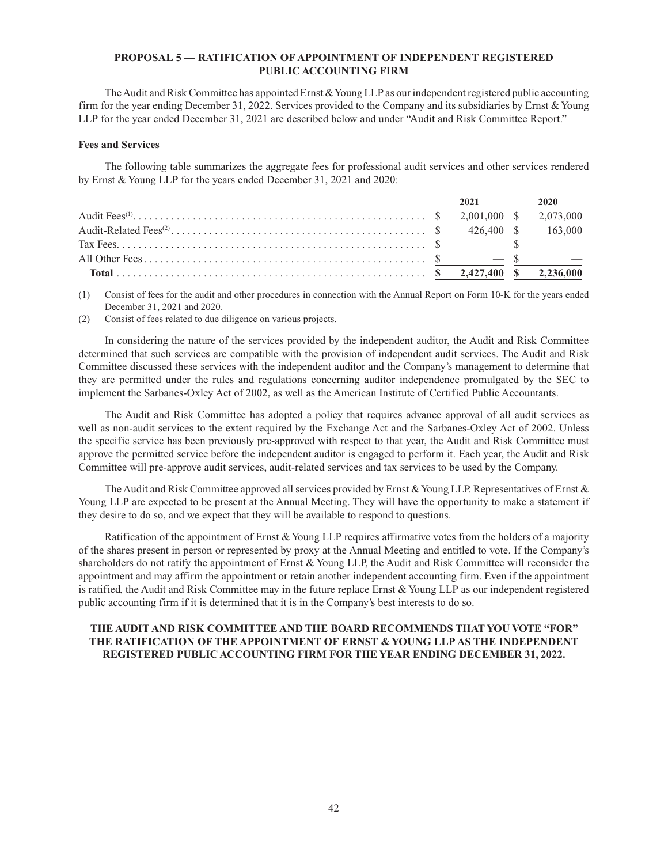## **PROPOSAL 5 — RATIFICATION OF APPOINTMENT OF INDEPENDENT REGISTERED PUBLIC ACCOUNTING FIRM**

The Audit and Risk Committee has appointed Ernst & Young LLP as our independent registered public accounting firm for the year ending December 31, 2022. Services provided to the Company and its subsidiaries by Ernst & Young LLP for the year ended December 31, 2021 are described below and under "Audit and Risk Committee Report."

## **Fees and Services**

The following table summarizes the aggregate fees for professional audit services and other services rendered by Ernst & Young LLP for the years ended December 31, 2021 and 2020:

|  | 2021 | 2020                                       |
|--|------|--------------------------------------------|
|  |      |                                            |
|  |      |                                            |
|  |      | <b>Contract Contract Contract Contract</b> |
|  |      | $\sim$ $-$                                 |
|  |      |                                            |

(1) Consist of fees for the audit and other procedures in connection with the Annual Report on Form 10-K for the years ended December 31, 2021 and 2020.

(2) Consist of fees related to due diligence on various projects.

In considering the nature of the services provided by the independent auditor, the Audit and Risk Committee determined that such services are compatible with the provision of independent audit services. The Audit and Risk Committee discussed these services with the independent auditor and the Company's management to determine that they are permitted under the rules and regulations concerning auditor independence promulgated by the SEC to implement the Sarbanes-Oxley Act of 2002, as well as the American Institute of Certified Public Accountants.

The Audit and Risk Committee has adopted a policy that requires advance approval of all audit services as well as non-audit services to the extent required by the Exchange Act and the Sarbanes-Oxley Act of 2002. Unless the specific service has been previously pre-approved with respect to that year, the Audit and Risk Committee must approve the permitted service before the independent auditor is engaged to perform it. Each year, the Audit and Risk Committee will pre-approve audit services, audit-related services and tax services to be used by the Company.

The Audit and Risk Committee approved all services provided by Ernst & Young LLP. Representatives of Ernst & Young LLP are expected to be present at the Annual Meeting. They will have the opportunity to make a statement if they desire to do so, and we expect that they will be available to respond to questions.

Ratification of the appointment of Ernst & Young LLP requires affirmative votes from the holders of a majority of the shares present in person or represented by proxy at the Annual Meeting and entitled to vote. If the Company's shareholders do not ratify the appointment of Ernst & Young LLP, the Audit and Risk Committee will reconsider the appointment and may affirm the appointment or retain another independent accounting firm. Even if the appointment is ratified, the Audit and Risk Committee may in the future replace Ernst & Young LLP as our independent registered public accounting firm if it is determined that it is in the Company's best interests to do so.

## **THE AUDIT AND RISK COMMITTEE AND THE BOARD RECOMMENDS THAT YOU VOTE "FOR" THE RATIFICATION OF THE APPOINTMENT OF ERNST & YOUNG LLP AS THE INDEPENDENT REGISTERED PUBLIC ACCOUNTING FIRM FOR THE YEAR ENDING DECEMBER 31, 2022.**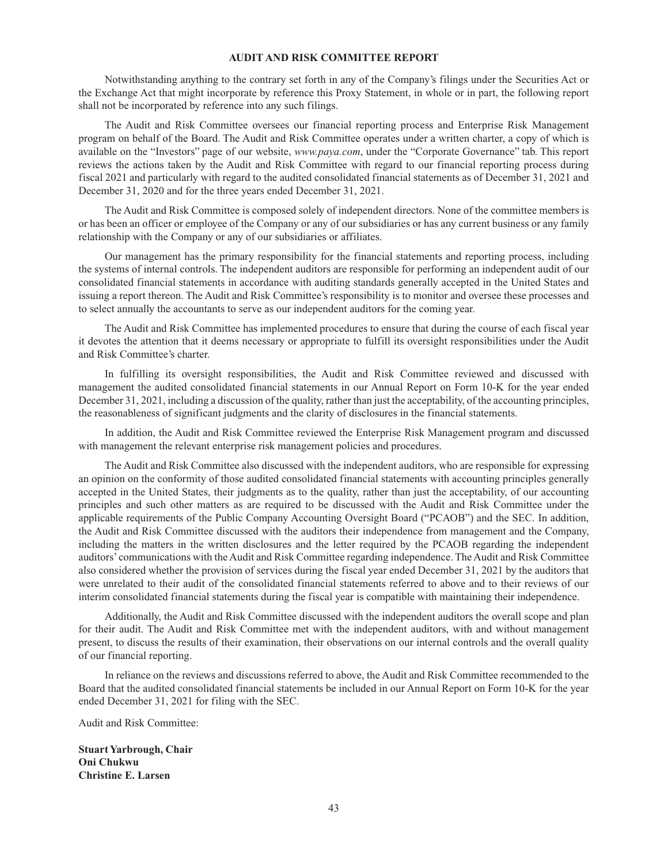### **AUDIT AND RISK COMMITTEE REPORT**

Notwithstanding anything to the contrary set forth in any of the Company's filings under the Securities Act or the Exchange Act that might incorporate by reference this Proxy Statement, in whole or in part, the following report shall not be incorporated by reference into any such filings.

The Audit and Risk Committee oversees our financial reporting process and Enterprise Risk Management program on behalf of the Board. The Audit and Risk Committee operates under a written charter, a copy of which is available on the "Investors" page of our website, *www.paya.com*, under the "Corporate Governance" tab. This report reviews the actions taken by the Audit and Risk Committee with regard to our financial reporting process during fiscal 2021 and particularly with regard to the audited consolidated financial statements as of December 31, 2021 and December 31, 2020 and for the three years ended December 31, 2021.

The Audit and Risk Committee is composed solely of independent directors. None of the committee members is or has been an officer or employee of the Company or any of our subsidiaries or has any current business or any family relationship with the Company or any of our subsidiaries or affiliates.

Our management has the primary responsibility for the financial statements and reporting process, including the systems of internal controls. The independent auditors are responsible for performing an independent audit of our consolidated financial statements in accordance with auditing standards generally accepted in the United States and issuing a report thereon. The Audit and Risk Committee's responsibility is to monitor and oversee these processes and to select annually the accountants to serve as our independent auditors for the coming year.

The Audit and Risk Committee has implemented procedures to ensure that during the course of each fiscal year it devotes the attention that it deems necessary or appropriate to fulfill its oversight responsibilities under the Audit and Risk Committee's charter.

In fulfilling its oversight responsibilities, the Audit and Risk Committee reviewed and discussed with management the audited consolidated financial statements in our Annual Report on Form 10-K for the year ended December 31, 2021, including a discussion of the quality, rather than just the acceptability, of the accounting principles, the reasonableness of significant judgments and the clarity of disclosures in the financial statements.

In addition, the Audit and Risk Committee reviewed the Enterprise Risk Management program and discussed with management the relevant enterprise risk management policies and procedures.

The Audit and Risk Committee also discussed with the independent auditors, who are responsible for expressing an opinion on the conformity of those audited consolidated financial statements with accounting principles generally accepted in the United States, their judgments as to the quality, rather than just the acceptability, of our accounting principles and such other matters as are required to be discussed with the Audit and Risk Committee under the applicable requirements of the Public Company Accounting Oversight Board ("PCAOB") and the SEC. In addition, the Audit and Risk Committee discussed with the auditors their independence from management and the Company, including the matters in the written disclosures and the letter required by the PCAOB regarding the independent auditors' communications with the Audit and Risk Committee regarding independence. The Audit and Risk Committee also considered whether the provision of services during the fiscal year ended December 31, 2021 by the auditors that were unrelated to their audit of the consolidated financial statements referred to above and to their reviews of our interim consolidated financial statements during the fiscal year is compatible with maintaining their independence.

Additionally, the Audit and Risk Committee discussed with the independent auditors the overall scope and plan for their audit. The Audit and Risk Committee met with the independent auditors, with and without management present, to discuss the results of their examination, their observations on our internal controls and the overall quality of our financial reporting.

In reliance on the reviews and discussions referred to above, the Audit and Risk Committee recommended to the Board that the audited consolidated financial statements be included in our Annual Report on Form 10-K for the year ended December 31, 2021 for filing with the SEC.

Audit and Risk Committee:

**Stuart Yarbrough, Chair Oni Chukwu Christine E. Larsen**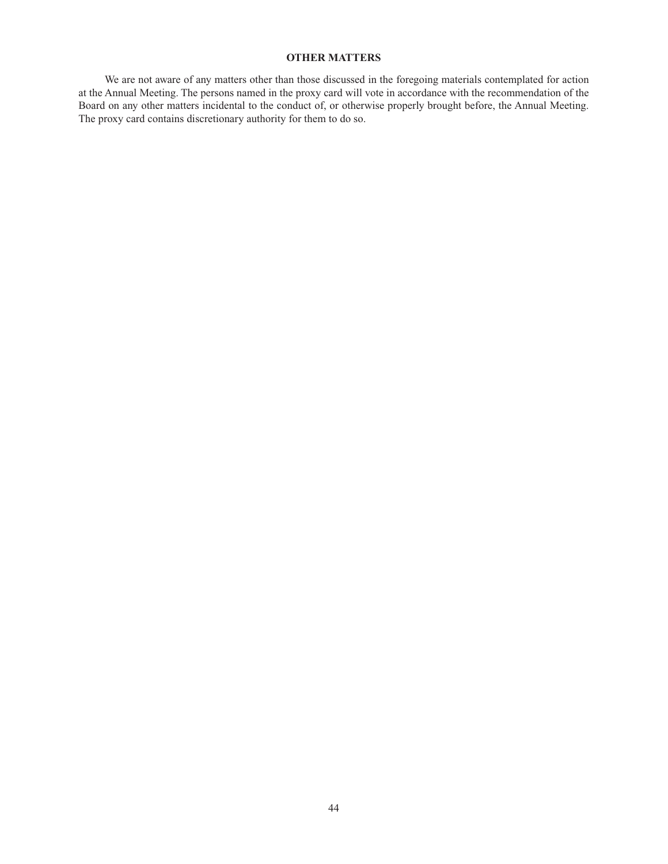## **OTHER MATTERS**

We are not aware of any matters other than those discussed in the foregoing materials contemplated for action at the Annual Meeting. The persons named in the proxy card will vote in accordance with the recommendation of the Board on any other matters incidental to the conduct of, or otherwise properly brought before, the Annual Meeting. The proxy card contains discretionary authority for them to do so.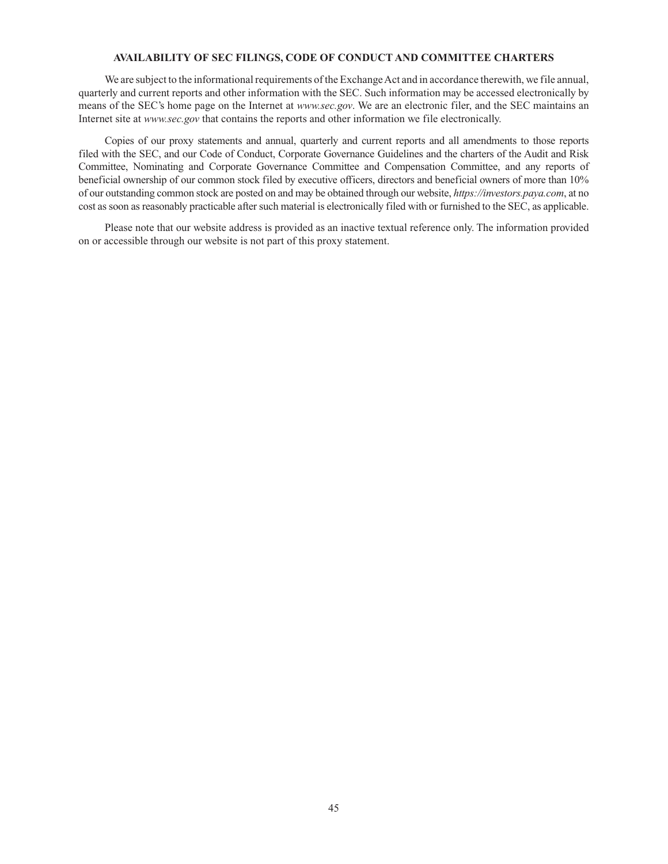### **AVAILABILITY OF SEC FILINGS, CODE OF CONDUCT AND COMMITTEE CHARTERS**

We are subject to the informational requirements of the Exchange Act and in accordance therewith, we file annual, quarterly and current reports and other information with the SEC. Such information may be accessed electronically by means of the SEC's home page on the Internet at *www.sec.gov*. We are an electronic filer, and the SEC maintains an Internet site at *www.sec.gov* that contains the reports and other information we file electronically.

Copies of our proxy statements and annual, quarterly and current reports and all amendments to those reports filed with the SEC, and our Code of Conduct, Corporate Governance Guidelines and the charters of the Audit and Risk Committee, Nominating and Corporate Governance Committee and Compensation Committee, and any reports of beneficial ownership of our common stock filed by executive officers, directors and beneficial owners of more than 10% of our outstanding common stock are posted on and may be obtained through our website, *https://investors.paya.com*, at no cost as soon as reasonably practicable after such material is electronically filed with or furnished to the SEC, as applicable.

Please note that our website address is provided as an inactive textual reference only. The information provided on or accessible through our website is not part of this proxy statement.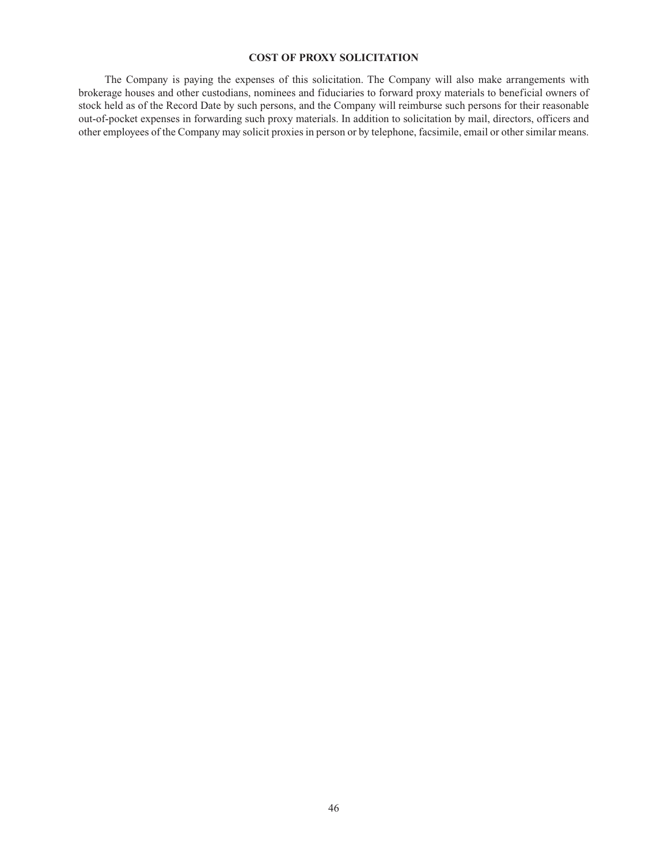## **COST OF PROXY SOLICITATION**

The Company is paying the expenses of this solicitation. The Company will also make arrangements with brokerage houses and other custodians, nominees and fiduciaries to forward proxy materials to beneficial owners of stock held as of the Record Date by such persons, and the Company will reimburse such persons for their reasonable out-of-pocket expenses in forwarding such proxy materials. In addition to solicitation by mail, directors, officers and other employees of the Company may solicit proxies in person or by telephone, facsimile, email or other similar means.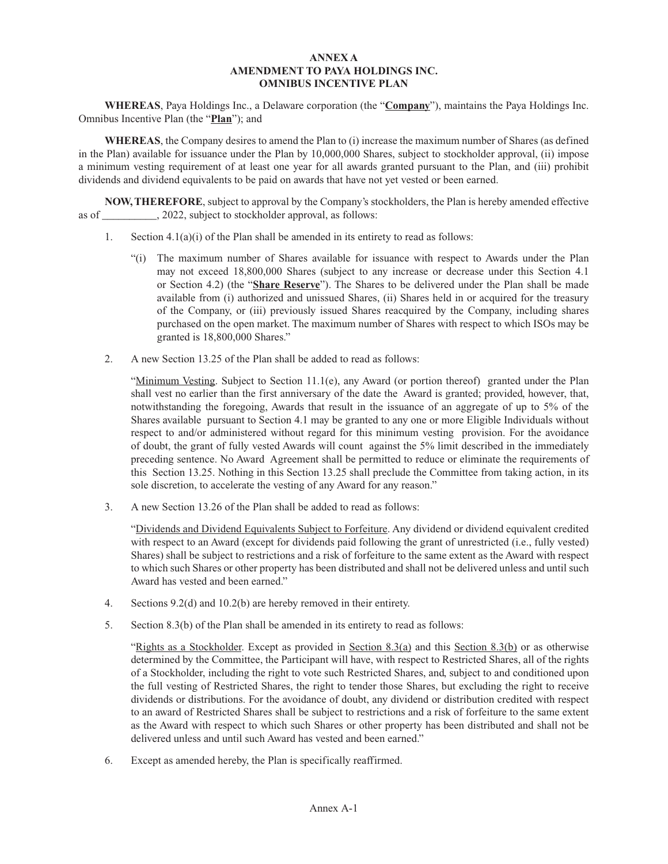## **ANNEX A AMENDMENT TO PAYA HOLDINGS INC. OMNIBUS INCENTIVE PLAN**

**WHEREAS**, Paya Holdings Inc., a Delaware corporation (the "**Company**"), maintains the Paya Holdings Inc. Omnibus Incentive Plan (the "**Plan**"); and

**WHEREAS**, the Company desires to amend the Plan to (i) increase the maximum number of Shares (as defined in the Plan) available for issuance under the Plan by 10,000,000 Shares, subject to stockholder approval, (ii) impose a minimum vesting requirement of at least one year for all awards granted pursuant to the Plan, and (iii) prohibit dividends and dividend equivalents to be paid on awards that have not yet vested or been earned.

**NOW, THEREFORE**, subject to approval by the Company's stockholders, the Plan is hereby amended effective as of \_\_\_\_\_\_\_\_\_\_, 2022, subject to stockholder approval, as follows:

- 1. Section 4.1(a)(i) of the Plan shall be amended in its entirety to read as follows:
	- "(i) The maximum number of Shares available for issuance with respect to Awards under the Plan may not exceed 18,800,000 Shares (subject to any increase or decrease under this Section 4.1 or Section 4.2) (the "**Share Reserve**"). The Shares to be delivered under the Plan shall be made available from (i) authorized and unissued Shares, (ii) Shares held in or acquired for the treasury of the Company, or (iii) previously issued Shares reacquired by the Company, including shares purchased on the open market. The maximum number of Shares with respect to which ISOs may be granted is 18,800,000 Shares."
- 2. A new Section 13.25 of the Plan shall be added to read as follows:

"Minimum Vesting. Subject to Section  $11.1(e)$ , any Award (or portion thereof) granted under the Plan shall vest no earlier than the first anniversary of the date the Award is granted; provided, however, that, notwithstanding the foregoing, Awards that result in the issuance of an aggregate of up to 5% of the Shares available pursuant to Section 4.1 may be granted to any one or more Eligible Individuals without respect to and/or administered without regard for this minimum vesting provision. For the avoidance of doubt, the grant of fully vested Awards will count against the 5% limit described in the immediately preceding sentence. No Award Agreement shall be permitted to reduce or eliminate the requirements of this Section 13.25. Nothing in this Section 13.25 shall preclude the Committee from taking action, in its sole discretion, to accelerate the vesting of any Award for any reason."

3. A new Section 13.26 of the Plan shall be added to read as follows:

"Dividends and Dividend Equivalents Subject to Forfeiture. Any dividend or dividend equivalent credited with respect to an Award (except for dividends paid following the grant of unrestricted (i.e., fully vested) Shares) shall be subject to restrictions and a risk of forfeiture to the same extent as the Award with respect to which such Shares or other property has been distributed and shall not be delivered unless and until such Award has vested and been earned."

- 4. Sections 9.2(d) and 10.2(b) are hereby removed in their entirety.
- 5. Section 8.3(b) of the Plan shall be amended in its entirety to read as follows:

"Rights as a Stockholder. Except as provided in Section 8.3(a) and this Section 8.3(b) or as otherwise determined by the Committee, the Participant will have, with respect to Restricted Shares, all of the rights of a Stockholder, including the right to vote such Restricted Shares, and, subject to and conditioned upon the full vesting of Restricted Shares, the right to tender those Shares, but excluding the right to receive dividends or distributions. For the avoidance of doubt, any dividend or distribution credited with respect to an award of Restricted Shares shall be subject to restrictions and a risk of forfeiture to the same extent as the Award with respect to which such Shares or other property has been distributed and shall not be delivered unless and until such Award has vested and been earned."

6. Except as amended hereby, the Plan is specifically reaffirmed.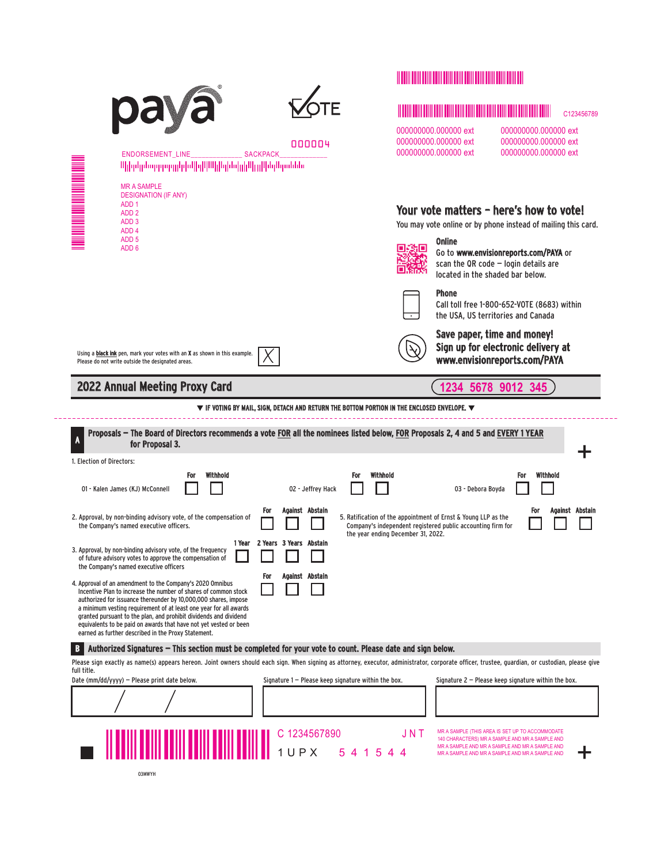|                                                                                                                                                                                                                                                                                                                                                                                                                                                                                                                 |                                                                                                                                   | <u> I din bili bilin bilin bilin bilin bili</u>                                                                                                                                                                                                        |
|-----------------------------------------------------------------------------------------------------------------------------------------------------------------------------------------------------------------------------------------------------------------------------------------------------------------------------------------------------------------------------------------------------------------------------------------------------------------------------------------------------------------|-----------------------------------------------------------------------------------------------------------------------------------|--------------------------------------------------------------------------------------------------------------------------------------------------------------------------------------------------------------------------------------------------------|
|                                                                                                                                                                                                                                                                                                                                                                                                                                                                                                                 |                                                                                                                                   | C123456789                                                                                                                                                                                                                                             |
| <b>ENDORSEMENT LINE</b><br>ՈկիրկրեսզորդորկվովիկՈվիկիզինվրկիկլը կնդՈւրսննե                                                                                                                                                                                                                                                                                                                                                                                                                                       | 000004<br><b>SACKPACK</b>                                                                                                         | 000000000.000000 ext<br>000000000.000000 ext<br>000000000.000000 ext<br>000000000.000000 ext<br>000000000.000000 ext<br>000000000.000000 ext                                                                                                           |
| <b>MR A SAMPLE</b><br><b>DESIGNATION (IF ANY)</b><br>ADD <sub>1</sub><br>ADD <sub>2</sub><br>ADD <sub>3</sub><br>ADD <sub>4</sub><br>ADD <sub>5</sub><br>ADD <sub>6</sub>                                                                                                                                                                                                                                                                                                                                       |                                                                                                                                   | Your vote matters - here's how to vote!<br>You may vote online or by phone instead of mailing this card.<br><b>Online</b><br>łО<br>Go to www.envisionreports.com/PAYA or<br>scan the QR code $-$ login details are<br>located in the shaded bar below. |
|                                                                                                                                                                                                                                                                                                                                                                                                                                                                                                                 |                                                                                                                                   | <b>Phone</b><br>Call toll free 1-800-652-VOTE (8683) within<br>the USA, US territories and Canada                                                                                                                                                      |
| Using a black ink pen, mark your votes with an X as shown in this example.<br>Please do not write outside the designated areas.                                                                                                                                                                                                                                                                                                                                                                                 |                                                                                                                                   | Save paper, time and money!<br>Sign up for electronic delivery at<br>www.envisionreports.com/PAYA                                                                                                                                                      |
| <b>2022 Annual Meeting Proxy Card</b>                                                                                                                                                                                                                                                                                                                                                                                                                                                                           |                                                                                                                                   | 1234 5678 9012 345                                                                                                                                                                                                                                     |
|                                                                                                                                                                                                                                                                                                                                                                                                                                                                                                                 | $\blacktriangledown$ if voting by mail, sign, detach and return the bottom portion in the enclosed envelope. $\blacktriangledown$ |                                                                                                                                                                                                                                                        |
| Proposals - The Board of Directors recommends a vote FOR all the nominees listed below, FOR Proposals 2, 4 and 5 and EVERY 1 YEAR<br>for Proposal 3.<br>1. Election of Directors:                                                                                                                                                                                                                                                                                                                               |                                                                                                                                   |                                                                                                                                                                                                                                                        |
| Withhold<br>For<br>01 - Kalen James (KJ) McConnell                                                                                                                                                                                                                                                                                                                                                                                                                                                              | Withhold<br>For<br>02 - Jeffrey Hack                                                                                              | Withhold<br>For<br>03 - Debora Boyda                                                                                                                                                                                                                   |
| 2. Approval, by non-binding advisory vote, of the compensation of<br>the Company's named executive officers.<br>3. Approval, by non-binding advisory vote, of the frequency<br>of future advisory votes to approve the compensation of                                                                                                                                                                                                                                                                          | Against Abstain<br>For<br>1 Year 2 Years 3 Years Abstain                                                                          | Against Abstain<br>For<br>5. Ratification of the appointment of Ernst & Young LLP as the<br>Company's independent registered public accounting firm for<br>the year ending December 31, 2022.                                                          |
| the Company's named executive officers<br>4. Approval of an amendment to the Company's 2020 Omnibus<br>Incentive Plan to increase the number of shares of common stock<br>authorized for issuance thereunder by 10,000,000 shares, impose<br>a minimum vesting requirement of at least one year for all awards<br>granted pursuant to the plan, and prohibit dividends and dividend<br>equivalents to be paid on awards that have not yet vested or been<br>earned as further described in the Proxy Statement. | Against Abstain<br>For                                                                                                            |                                                                                                                                                                                                                                                        |
| Authorized Signatures – This section must be completed for your vote to count. Please date and sign below.<br>В                                                                                                                                                                                                                                                                                                                                                                                                 |                                                                                                                                   | Please sign exactly as name(s) appears hereon. Joint owners should each sign. When signing as attorney, executor, administrator, corporate officer, trustee, quardian, or custodian, please give                                                       |
| full title.<br>Date ( $mm/dd/yyy$ ) - Please print date below.                                                                                                                                                                                                                                                                                                                                                                                                                                                  | Signature $1$ – Please keep signature within the box.                                                                             | Signature $2$ – Please keep signature within the box.                                                                                                                                                                                                  |
|                                                                                                                                                                                                                                                                                                                                                                                                                                                                                                                 |                                                                                                                                   |                                                                                                                                                                                                                                                        |
|                                                                                                                                                                                                                                                                                                                                                                                                                                                                                                                 |                                                                                                                                   | MR A SAMPLE (THIS AREA IS SET UP TO ACCOMMODATE<br>JNT<br>140 CHARACTERS) MR A SAMPLE AND MR A SAMPLE AND<br>MR A SAMPLE AND MR A SAMPLE AND MR A SAMPLE AND<br>MR A SAMPLE AND MR A SAMPLE AND MR A SAMPLE AND                                        |
| 03MWYH                                                                                                                                                                                                                                                                                                                                                                                                                                                                                                          |                                                                                                                                   |                                                                                                                                                                                                                                                        |